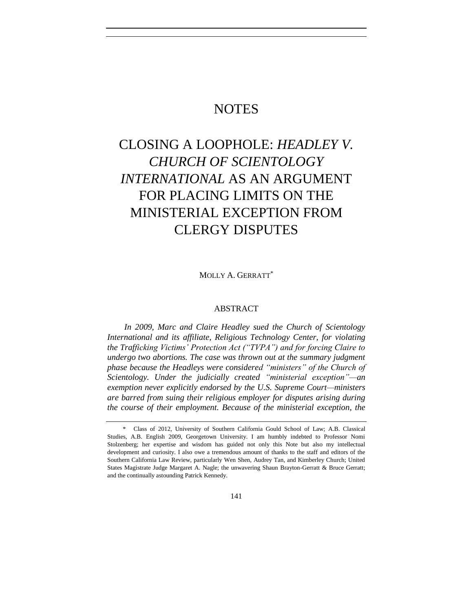# **NOTES**

# CLOSING A LOOPHOLE: *HEADLEY V. CHURCH OF SCIENTOLOGY INTERNATIONAL* AS AN ARGUMENT FOR PLACING LIMITS ON THE MINISTERIAL EXCEPTION FROM CLERGY DISPUTES

MOLLY A. GERRATT\*

# ABSTRACT

*In 2009, Marc and Claire Headley sued the Church of Scientology International and its affiliate, Religious Technology Center, for violating the Trafficking Victims' Protection Act ("TVPA") and for forcing Claire to undergo two abortions. The case was thrown out at the summary judgment phase because the Headleys were considered "ministers" of the Church of Scientology. Under the judicially created "ministerial exception"—an exemption never explicitly endorsed by the U.S. Supreme Court—ministers are barred from suing their religious employer for disputes arising during the course of their employment. Because of the ministerial exception, the* 

<sup>\*</sup> Class of 2012, University of Southern California Gould School of Law; A.B. Classical Studies, A.B. English 2009, Georgetown University. I am humbly indebted to Professor Nomi Stolzenberg; her expertise and wisdom has guided not only this Note but also my intellectual development and curiosity. I also owe a tremendous amount of thanks to the staff and editors of the Southern California Law Review, particularly Wen Shen, Audrey Tan, and Kimberley Church; United States Magistrate Judge Margaret A. Nagle; the unwavering Shaun Brayton-Gerratt & Bruce Gerratt; and the continually astounding Patrick Kennedy.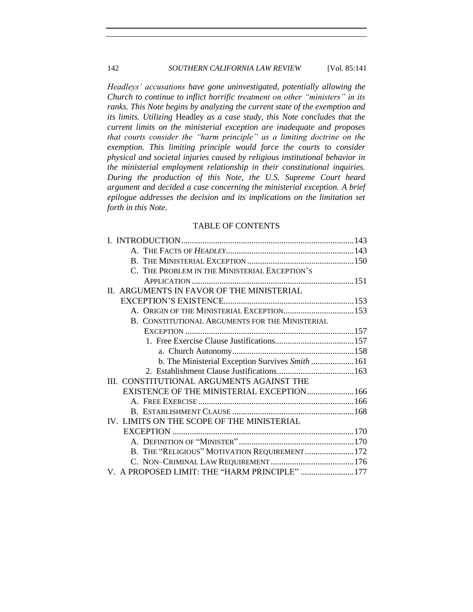# 142 *SOUTHERN CALIFORNIA LAW REVIEW* [Vol. 85:141]

*Headleys' accusations have gone uninvestigated, potentially allowing the Church to continue to inflict horrific treatment on other "ministers" in its ranks. This Note begins by analyzing the current state of the exemption and its limits. Utilizing* Headley *as a case study, this Note concludes that the current limits on the ministerial exception are inadequate and proposes that courts consider the "harm principle" as a limiting doctrine on the exemption. This limiting principle would force the courts to consider physical and societal injuries caused by religious institutional behavior in the ministerial employment relationship in their constitutional inquiries. During the production of this Note, the U.S. Supreme Court heard argument and decided a case concerning the ministerial exception. A brief epilogue addresses the decision and its implications on the limitation set forth in this Note.*

# TABLE OF CONTENTS

| C. THE PROBLEM IN THE MINISTERIAL EXCEPTION'S   |  |
|-------------------------------------------------|--|
|                                                 |  |
| II. ARGUMENTS IN FAVOR OF THE MINISTERIAL       |  |
|                                                 |  |
| A. ORIGIN OF THE MINISTERIAL EXCEPTION153       |  |
| B. CONSTITUTIONAL ARGUMENTS FOR THE MINISTERIAL |  |
|                                                 |  |
|                                                 |  |
|                                                 |  |
| b. The Ministerial Exception Survives Smith 161 |  |
|                                                 |  |
| III. CONSTITUTIONAL ARGUMENTS AGAINST THE       |  |
| EXISTENCE OF THE MINISTERIAL EXCEPTION 166      |  |
|                                                 |  |
|                                                 |  |
| IV. LIMITS ON THE SCOPE OF THE MINISTERIAL      |  |
|                                                 |  |
|                                                 |  |
| B. THE "RELIGIOUS" MOTIVATION REQUIREMENT172    |  |
|                                                 |  |
| V. A PROPOSED LIMIT: THE "HARM PRINCIPLE" 177   |  |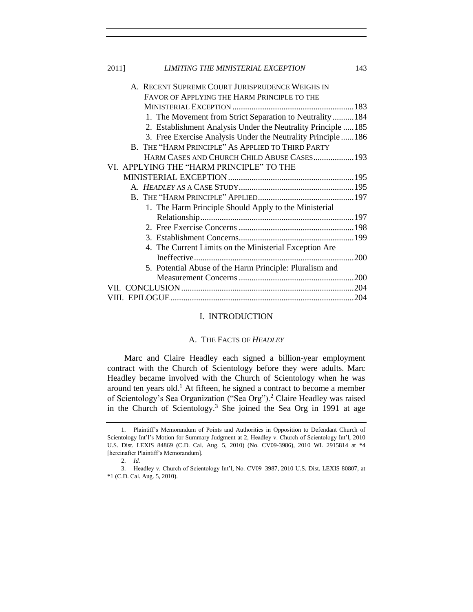| 2011] | LIMITING THE MINISTERIAL EXCEPTION                            | 143 |
|-------|---------------------------------------------------------------|-----|
|       | A. RECENT SUPREME COURT JURISPRUDENCE WEIGHS IN               |     |
|       | FAVOR OF APPLYING THE HARM PRINCIPLE TO THE                   |     |
|       |                                                               |     |
|       | 1. The Movement from Strict Separation to Neutrality184       |     |
|       | 2. Establishment Analysis Under the Neutrality Principle  185 |     |
|       | 3. Free Exercise Analysis Under the Neutrality Principle  186 |     |
|       | B. THE "HARM PRINCIPLE" AS APPLIED TO THIRD PARTY             |     |
|       | HARM CASES AND CHURCH CHILD ABUSE CASES 193                   |     |
|       | VI. APPLYING THE "HARM PRINCIPLE" TO THE                      |     |
|       |                                                               |     |
|       |                                                               |     |
|       |                                                               |     |
|       | 1. The Harm Principle Should Apply to the Ministerial         |     |
|       |                                                               |     |
|       |                                                               |     |
|       |                                                               |     |
|       | 4. The Current Limits on the Ministerial Exception Are        |     |
|       |                                                               |     |
|       | 5. Potential Abuse of the Harm Principle: Pluralism and       |     |
|       |                                                               |     |
|       |                                                               |     |
|       |                                                               |     |
|       |                                                               |     |

# I. INTRODUCTION

# <span id="page-2-2"></span>A. THE FACTS OF *HEADLEY*

<span id="page-2-1"></span><span id="page-2-0"></span>Marc and Claire Headley each signed a billion-year employment contract with the Church of Scientology before they were adults. Marc Headley became involved with the Church of Scientology when he was around ten years old.<sup>1</sup> At fifteen, he signed a contract to become a member of Scientology's Sea Organization ("Sea Org").<sup>2</sup> Claire Headley was raised in the Church of Scientology.<sup>3</sup> She joined the Sea Org in 1991 at age

<sup>1.</sup> Plaintiff's Memorandum of Points and Authorities in Opposition to Defendant Church of Scientology Int'l's Motion for Summary Judgment at 2, Headley v. Church of Scientology Int'l, 2010 U.S. Dist. LEXIS 84869 (C.D. Cal. Aug. 5, 2010) (No. CV09-3986), 2010 WL 2915814 at \*4 [hereinafter Plaintiff's Memorandum].

<sup>2.</sup> *Id.*

<sup>3.</sup> Headley v. Church of Scientology Int'l, No. CV09–3987, 2010 U.S. Dist. LEXIS 80807, at \*1 (C.D. Cal. Aug. 5, 2010).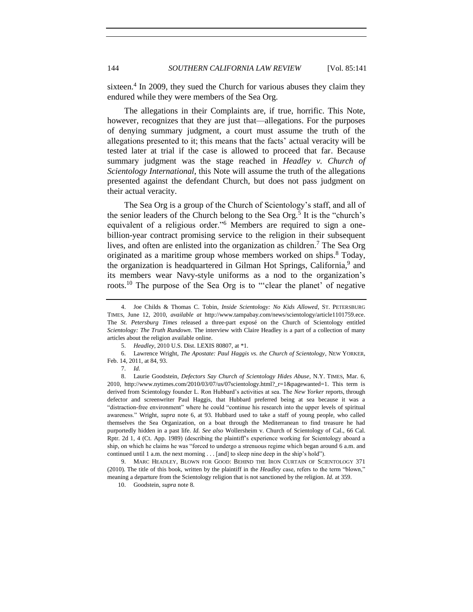<span id="page-3-3"></span>sixteen.<sup>4</sup> In 2009, they sued the Church for various abuses they claim they endured while they were members of the Sea Org.

The allegations in their Complaints are, if true, horrific. This Note, however, recognizes that they are just that—allegations. For the purposes of denying summary judgment, a court must assume the truth of the allegations presented to it; this means that the facts' actual veracity will be tested later at trial if the case is allowed to proceed that far. Because summary judgment was the stage reached in *Headley v. Church of Scientology International*, this Note will assume the truth of the allegations presented against the defendant Church, but does not pass judgment on their actual veracity.

<span id="page-3-1"></span><span id="page-3-0"></span>The Sea Org is a group of the Church of Scientology's staff, and all of the senior leaders of the Church belong to the Sea Org.<sup>5</sup> It is the "church's equivalent of a religious order."<sup>6</sup> Members are required to sign a onebillion-year contract promising service to the religion in their subsequent lives, and often are enlisted into the organization as children.<sup>7</sup> The Sea Org originated as a maritime group whose members worked on ships.<sup>8</sup> Today, the organization is headquartered in Gilman Hot Springs, California,<sup>9</sup> and its members wear Navy-style uniforms as a nod to the organization's roots.<sup>10</sup> The purpose of the Sea Org is to "'clear the planet' of negative

7. *Id.*

<sup>4.</sup> Joe Childs & Thomas C. Tobin, *Inside Scientology: No Kids Allowed*, ST. PETERSBURG TIMES, June 12, 2010, *available at* http://www.tampabay.com/news/scientology/article1101759.ece. The *St. Petersburg Times* released a three-part exposé on the Church of Scientology entitled *Scientology: The Truth Rundown*. The interview with Claire Headley is a part of a collection of many articles about the religion available online.

<span id="page-3-2"></span><sup>5.</sup> *Headley*, 2010 U.S. Dist. LEXIS 80807, at \*1.

<sup>6.</sup> Lawrence Wright, *The Apostate: Paul Haggis vs. the Church of Scientology*, NEW YORKER, Feb. 14, 2011, at 84, 93.

<sup>8.</sup> Laurie Goodstein, *Defectors Say Church of Scientology Hides Abuse*, N.Y. TIMES, Mar. 6, 2010, http://www.nytimes.com/2010/03/07/us/07scientology.html?  $r=1$ &pagewanted=1. This term is derived from Scientology founder L. Ron Hubbard's activities at sea. The *New Yorker* reports, through defector and screenwriter Paul Haggis, that Hubbard preferred being at sea because it was a "distraction-free environment" where he could "continue his research into the upper levels of spiritual awareness." Wright, *supra* note [6,](#page-3-0) at 93. Hubbard used to take a staff of young people, who called themselves the Sea Organization, on a boat through the Mediterranean to find treasure he had purportedly hidden in a past life. *Id. See also* Wollersheim v. Church of Scientology of Cal., 66 Cal. Rptr. 2d 1, 4 (Ct. App. 1989) (describing the plaintiff's experience working for Scientology aboard a ship, on which he claims he was "forced to undergo a strenuous regime which began around 6 a.m. and continued until 1 a.m. the next morning . . . [and] to sleep nine deep in the ship's hold").

<sup>9.</sup> MARC HEADLEY, BLOWN FOR GOOD: BEHIND THE IRON CURTAIN OF SCIENTOLOGY 371 (2010). The title of this book, written by the plaintiff in the *Headley* case, refers to the term "blown," meaning a departure from the Scientology religion that is not sanctioned by the religion. *Id.* at 359.

<sup>10.</sup> Goodstein, *supra* note [8.](#page-3-1)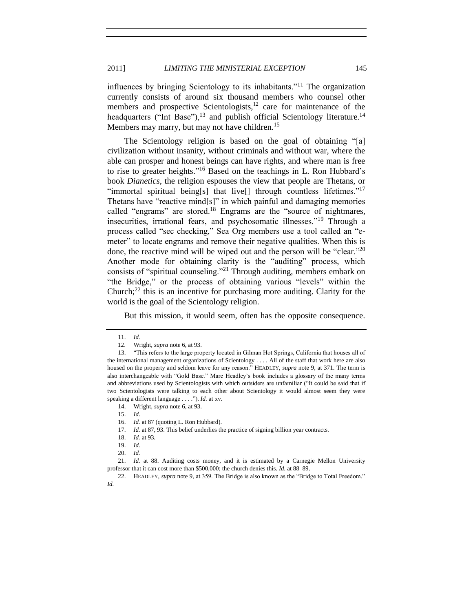influences by bringing Scientology to its inhabitants."<sup>11</sup> The organization currently consists of around six thousand members who counsel other members and prospective Scientologists, $12$  care for maintenance of the headquarters ("Int Base"), $^{13}$  and publish official Scientology literature.<sup>14</sup> Members may marry, but may not have children.<sup>15</sup>

The Scientology religion is based on the goal of obtaining "[a] civilization without insanity, without criminals and without war, where the able can prosper and honest beings can have rights, and where man is free to rise to greater heights."<sup>16</sup> Based on the teachings in L. Ron Hubbard's book *Dianetics*, the religion espouses the view that people are Thetans, or "immortal spiritual being[s] that live[] through countless lifetimes."<sup>17</sup> Thetans have "reactive mind[s]" in which painful and damaging memories called "engrams" are stored.<sup>18</sup> Engrams are the "source of nightmares, insecurities, irrational fears, and psychosomatic illnesses."<sup>19</sup> Through a process called "sec checking," Sea Org members use a tool called an "emeter" to locate engrams and remove their negative qualities. When this is done, the reactive mind will be wiped out and the person will be "clear."<sup>20</sup> Another mode for obtaining clarity is the "auditing" process, which consists of "spiritual counseling."<sup>21</sup> Through auditing, members embark on "the Bridge," or the process of obtaining various "levels" within the Church; $^{22}$  this is an incentive for purchasing more auditing. Clarity for the world is the goal of the Scientology religion.

But this mission, it would seem, often has the opposite consequence.

21. *Id.* at 88. Auditing costs money, and it is estimated by a Carnegie Mellon University professor that it can cost more than \$500,000; the church denies this. *Id.* at 88–89.

<sup>11.</sup> *Id.*

<sup>12.</sup> Wright, *supra* not[e 6,](#page-3-0) at 93.

<sup>13.</sup> "This refers to the large property located in Gilman Hot Springs, California that houses all of the international management organizations of Scientology . . . . All of the staff that work here are also housed on the property and seldom leave for any reason." HEADLEY, *supra* not[e 9,](#page-3-2) at 371. The term is also interchangeable with "Gold Base." Marc Headley's book includes a glossary of the many terms and abbreviations used by Scientologists with which outsiders are unfamiliar ("It could be said that if two Scientologists were talking to each other about Scientology it would almost seem they were speaking a different language . . . ."). *Id.* at xv.

<sup>14.</sup> Wright, *supra* not[e 6,](#page-3-0) at 93.

<sup>15.</sup> *Id.*

<sup>16.</sup> *Id.* at 87 (quoting L. Ron Hubbard).

<sup>17.</sup> *Id.* at 87, 93. This belief underlies the practice of signing billion year contracts.

<sup>18.</sup> *Id.* at 93.

<sup>19.</sup> *Id.*

<sup>20.</sup> *Id.*

<sup>22.</sup> HEADLEY, *supra* not[e 9,](#page-3-2) at 359. The Bridge is also known as the "Bridge to Total Freedom." *Id.*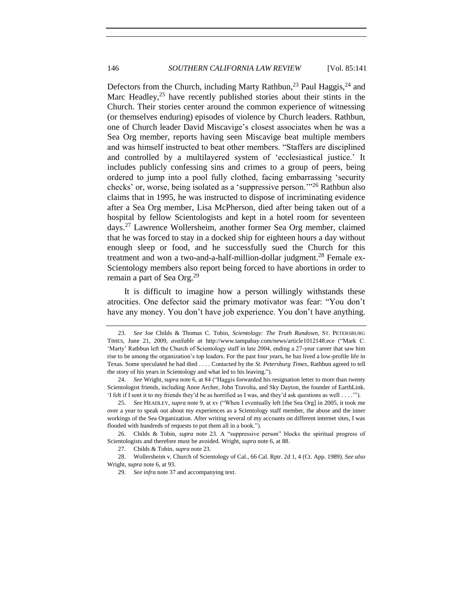<span id="page-5-0"></span>Defectors from the Church, including Marty Rathbun,<sup>23</sup> Paul Haggis,<sup>24</sup> and Marc Headley,  $2^5$  have recently published stories about their stints in the Church. Their stories center around the common experience of witnessing (or themselves enduring) episodes of violence by Church leaders. Rathbun, one of Church leader David Miscavige's closest associates when he was a Sea Org member, reports having seen Miscavige beat multiple members and was himself instructed to beat other members. "Staffers are disciplined and controlled by a multilayered system of 'ecclesiastical justice.' It includes publicly confessing sins and crimes to a group of peers, being ordered to jump into a pool fully clothed, facing embarrassing 'security checks' or, worse, being isolated as a 'suppressive person.'"<sup>26</sup> Rathbun also claims that in 1995, he was instructed to dispose of incriminating evidence after a Sea Org member, Lisa McPherson, died after being taken out of a hospital by fellow Scientologists and kept in a hotel room for seventeen days.<sup>27</sup> Lawrence Wollersheim, another former Sea Org member, claimed that he was forced to stay in a docked ship for eighteen hours a day without enough sleep or food, and he successfully sued the Church for this treatment and won a two-and-a-half-million-dollar judgment.<sup>28</sup> Female ex-Scientology members also report being forced to have abortions in order to remain a part of Sea Org.<sup>29</sup>

It is difficult to imagine how a person willingly withstands these atrocities. One defector said the primary motivator was fear: "You don't have any money. You don't have job experience. You don't have anything.

26. Childs & Tobin, *supra* note [23.](#page-5-0) A "suppressive person" blocks the spiritual progress of Scientologists and therefore must be avoided. Wright, *supra* not[e 6,](#page-3-0) at 88.

27. Childs & Tobin, *supra* not[e 23.](#page-5-0)

28. Wollersheim v. Church of Scientology of Cal., 66 Cal. Rptr. 2d 1, 4 (Ct. App. 1989). *See also* Wright, *supra* not[e 6,](#page-3-0) at 93.

<sup>23.</sup> *See* Joe Childs & Thomas C. Tobin, *Scientology: The Truth Rundown*, ST. PETERSBURG TIMES, June 21, 2009, *available at* http://www.tampabay.com/news/article1012148.ece ("Mark C. 'Marty' Rathbun left the Church of Scientology staff in late 2004, ending a 27-year career that saw him rise to be among the organization's top leaders. For the past four years, he has lived a low-profile life in Texas. Some speculated he had died . . . . Contacted by the *St. Petersburg Times*, Rathbun agreed to tell the story of his years in Scientology and what led to his leaving.").

<sup>24.</sup> *See* Wright, *supra* not[e 6,](#page-3-0) at 84 ("Haggis forwarded his resignation letter to more than twenty Scientologist friends, including Anne Archer, John Travolta, and Sky Dayton, the founder of EarthLink. 'I felt if I sent it to my friends they'd be as horrified as I was, and they'd ask questions as well . . . .'").

<sup>25.</sup> *See* HEADLEY, *supra* not[e 9,](#page-3-2) at xv ("When I eventually left [the Sea Org] in 2005, it took me over a year to speak out about my experiences as a Scientology staff member, the abuse and the inner workings of the Sea Organization. After writing several of my accounts on different internet sites, I was flooded with hundreds of requests to put them all in a book.").

<sup>29.</sup> *See infra* not[e 37](#page-6-0) and accompanying text.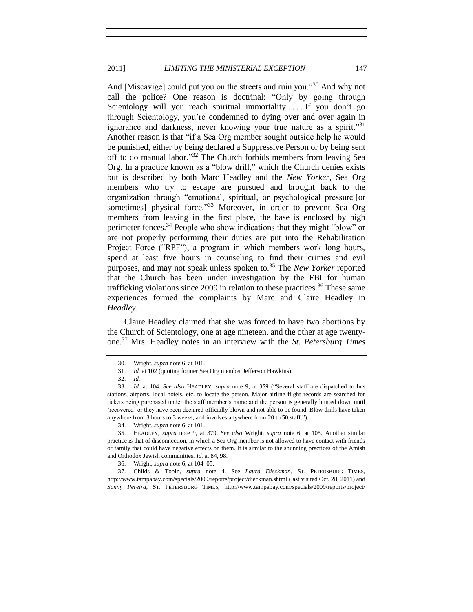And [Miscavige] could put you on the streets and ruin you."<sup>30</sup> And why not call the police? One reason is doctrinal: "Only by going through Scientology will you reach spiritual immortality ... If you don't go through Scientology, you're condemned to dying over and over again in ignorance and darkness, never knowing your true nature as a spirit."<sup>31</sup> Another reason is that "if a Sea Org member sought outside help he would be punished, either by being declared a Suppressive Person or by being sent off to do manual labor." <sup>32</sup> The Church forbids members from leaving Sea Org. In a practice known as a "blow drill," which the Church denies exists but is described by both Marc Headley and the *New Yorker*, Sea Org members who try to escape are pursued and brought back to the organization through "emotional, spiritual, or psychological pressure [or sometimes] physical force."<sup>33</sup> Moreover, in order to prevent Sea Org members from leaving in the first place, the base is enclosed by high perimeter fences.<sup>34</sup> People who show indications that they might "blow" or are not properly performing their duties are put into the Rehabilitation Project Force ("RPF"), a program in which members work long hours, spend at least five hours in counseling to find their crimes and evil purposes, and may not speak unless spoken to.<sup>35</sup> The *New Yorker* reported that the Church has been under investigation by the FBI for human trafficking violations since 2009 in relation to these practices.<sup>36</sup> These same experiences formed the complaints by Marc and Claire Headley in *Headley*.

<span id="page-6-1"></span><span id="page-6-0"></span>Claire Headley claimed that she was forced to have two abortions by the Church of Scientology, one at age nineteen, and the other at age twentyone.<sup>37</sup> Mrs. Headley notes in an interview with the *St. Petersburg Times*

<sup>30.</sup> Wright, *supra* not[e 6,](#page-3-0) at 101.

<sup>31.</sup> *Id.* at 102 (quoting former Sea Org member Jefferson Hawkins).

<sup>32.</sup> *Id.*

<sup>33.</sup> *Id.* at 104. *See also* HEADLEY, *supra* note [9,](#page-3-2) at 359 ("Several staff are dispatched to bus stations, airports, local hotels, etc. to locate the person. Major airline flight records are searched for tickets being purchased under the staff member's name and the person is generally hunted down until 'recovered' or they have been declared officially blown and not able to be found. Blow drills have taken anywhere from 3 hours to 3 weeks, and involves anywhere from 20 to 50 staff.").

<sup>34.</sup> Wright, *supra* not[e 6,](#page-3-0) at 101.

<sup>35.</sup> HEADLEY, *supra* note [9,](#page-3-2) at 379. *See also* Wright, *supra* note [6,](#page-3-0) at 105. Another similar practice is that of disconnection, in which a Sea Org member is not allowed to have contact with friends or family that could have negative effects on them. It is similar to the shunning practices of the Amish and Orthodox Jewish communities. *Id.* at 84, 98.

<sup>36.</sup> Wright, *supra* not[e 6,](#page-3-0) at 104–05.

<sup>37.</sup> Childs & Tobin, *supra* note [4.](#page-3-3) See *Laura Dieckman*, ST. PETERSBURG TIMES, http://www.tampabay.com/specials/2009/reports/project/dieckman.shtml (last visited Oct. 28, 2011) and *Sunny Pereira*, ST. PETERSBURG TIMES, http://www.tampabay.com/specials/2009/reports/project/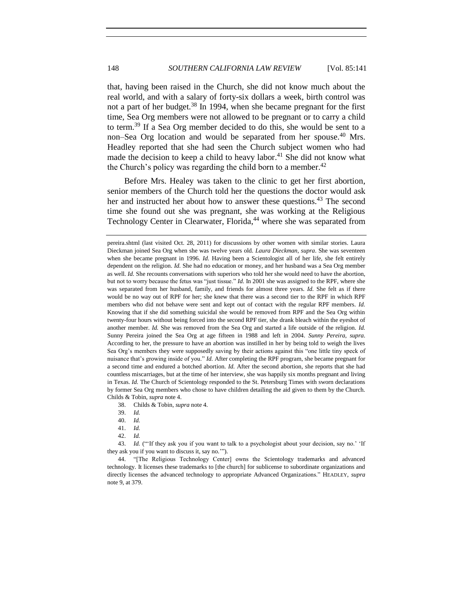that, having been raised in the Church, she did not know much about the real world, and with a salary of forty-six dollars a week, birth control was not a part of her budget.<sup>38</sup> In 1994, when she became pregnant for the first time, Sea Org members were not allowed to be pregnant or to carry a child to term.<sup>39</sup> If a Sea Org member decided to do this, she would be sent to a non–Sea Org location and would be separated from her spouse.<sup>40</sup> Mrs. Headley reported that she had seen the Church subject women who had made the decision to keep a child to heavy labor.<sup>41</sup> She did not know what the Church's policy was regarding the child born to a member.<sup>42</sup>

Before Mrs. Healey was taken to the clinic to get her first abortion, senior members of the Church told her the questions the doctor would ask her and instructed her about how to answer these questions.<sup>43</sup> The second time she found out she was pregnant, she was working at the Religious Technology Center in Clearwater, Florida,<sup>44</sup> where she was separated from

38. Childs & Tobin, *supra* not[e 4.](#page-3-3)

40. *Id.*

42. *Id.*

43. *Id.* ("If they ask you if you want to talk to a psychologist about your decision, say no.' 'If they ask you if you want to discuss it, say no.'").

44. "[The Religious Technology Center] owns the Scientology trademarks and advanced technology. It licenses these trademarks to [the church] for sublicense to subordinate organizations and directly licenses the advanced technology to appropriate Advanced Organizations." HEADLEY, *supra* note [9,](#page-3-2) at 379.

pereira.shtml (last visited Oct. 28, 2011) for discussions by other women with similar stories. Laura Dieckman joined Sea Org when she was twelve years old. *Laura Dieckman*, *supra*. She was seventeen when she became pregnant in 1996. *Id.* Having been a Scientologist all of her life, she felt entirely dependent on the religion. *Id.* She had no education or money, and her husband was a Sea Org member as well. *Id.* She recounts conversations with superiors who told her she would need to have the abortion, but not to worry because the fetus was "just tissue." *Id.* In 2001 she was assigned to the RPF, where she was separated from her husband, family, and friends for almost three years. *Id.* She felt as if there would be no way out of RPF for her; she knew that there was a second tier to the RPF in which RPF members who did not behave were sent and kept out of contact with the regular RPF members. *Id.*  Knowing that if she did something suicidal she would be removed from RPF and the Sea Org within twenty-four hours without being forced into the second RPF tier, she drank bleach within the eyeshot of another member. *Id.* She was removed from the Sea Org and started a life outside of the religion. *Id.* Sunny Pereira joined the Sea Org at age fifteen in 1988 and left in 2004. *Sunny Pereira*, *supra*. According to her, the pressure to have an abortion was instilled in her by being told to weigh the lives Sea Org's members they were supposedly saving by their actions against this "one little tiny speck of nuisance that's growing inside of you." *Id.* After completing the RPF program, she became pregnant for a second time and endured a botched abortion. *Id.* After the second abortion, she reports that she had countless miscarriages, but at the time of her interview, she was happily six months pregnant and living in Texas. *Id.* The Church of Scientology responded to the St. Petersburg Times with sworn declarations by former Sea Org members who chose to have children detailing the aid given to them by the Church. Childs & Tobin, *supra* note 4.

<sup>39.</sup> *Id.*

<sup>41.</sup> *Id.*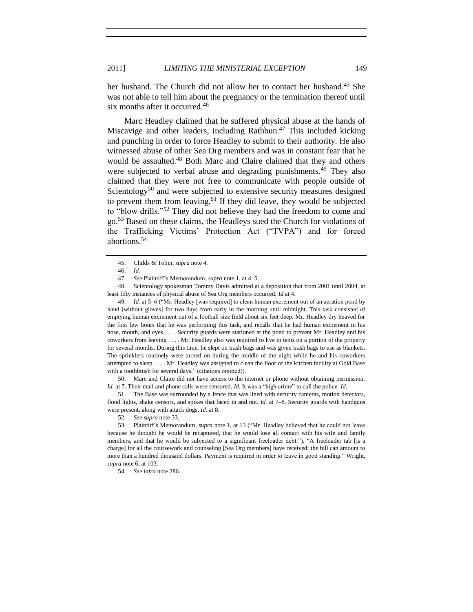her husband. The Church did not allow her to contact her husband.<sup>45</sup> She was not able to tell him about the pregnancy or the termination thereof until six months after it occurred.<sup>46</sup>

Marc Headley claimed that he suffered physical abuse at the hands of Miscavige and other leaders, including Rathbun.<sup>47</sup> This included kicking and punching in order to force Headley to submit to their authority. He also witnessed abuse of other Sea Org members and was in constant fear that he would be assaulted.<sup>48</sup> Both Marc and Claire claimed that they and others were subjected to verbal abuse and degrading punishments.<sup>49</sup> They also claimed that they were not free to communicate with people outside of Scientology<sup>50</sup> and were subjected to extensive security measures designed to prevent them from leaving.<sup>51</sup> If they did leave, they would be subjected to "blow drills."<sup>52</sup> They did not believe they had the freedom to come and go.<sup>53</sup> Based on these claims, the Headleys sued the Church for violations of the Trafficking Victims' Protection Act ("TVPA") and for forced abortions.<sup>54</sup>

48. Scientology spokesman Tommy Davis admitted at a deposition that from 2001 until 2004, at least fifty instances of physical abuse of Sea Org members occurred. *Id* at 4.

49. *Id.* at 5–6 ("Mr. Headley [was required] to clean human excrement out of an aeration pond by hand [without gloves] for two days from early in the morning until midnight. This task consisted of emptying human excrement out of a football size field about six feet deep. Mr. Headley dry heaved for the first few hours that he was performing this task, and recalls that he had human excrement in his nose, mouth, and eyes . . . . Security guards were stationed at the pond to prevent Mr. Headley and his coworkers from leaving . . . . Mr. Headley also was required to live in tents on a portion of the property for several months. During this time, he slept on trash bags and was given trash bags to use as blankets. The sprinklers routinely were turned on during the middle of the night while he and his coworkers attempted to sleep . . . . Mr. Headley was assigned to clean the floor of the kitchen facility at Gold Base with a toothbrush for several days." (citations omitted)).

50. Marc and Claire did not have access to the internet or phone without obtaining permission. *Id.* at 7. Their mail and phone calls were censored. *Id.* It was a "high crime" to call the police. *Id.*

51. The Base was surrounded by a fence that was lined with security cameras, motion detectors, flood lights, shake censors, and spikes that faced in and out. *Id.* at 7–8. Security guards with handguns were present, along with attack dogs. *Id.* at 8.

53. Plaintiff's Memorandum, *supra* not[e 1,](#page-2-2) at 13 ("Mr. Headley believed that he could not leave because he thought he would be recaptured, that he would lose all contact with his wife and family members, and that he would be subjected to a significant freeloader debt."). "A freeloader tab [is a charge] for all the coursework and counseling [Sea Org members] have received; the bill can amount to more than a hundred thousand dollars. Payment is required in order to leave in good standing." Wright, *supra* not[e 6,](#page-3-0) at 103.

54. *See infra* not[e 286.](#page-54-2)

<sup>45.</sup> Childs & Tobin, *supra* not[e 4.](#page-3-3)

<sup>46.</sup> *Id.*

<sup>47.</sup> *See* Plaintiff's Memorandum, *supra* not[e 1,](#page-2-2) at 4–5.

<sup>52.</sup> *See supra* not[e 33.](#page-6-1)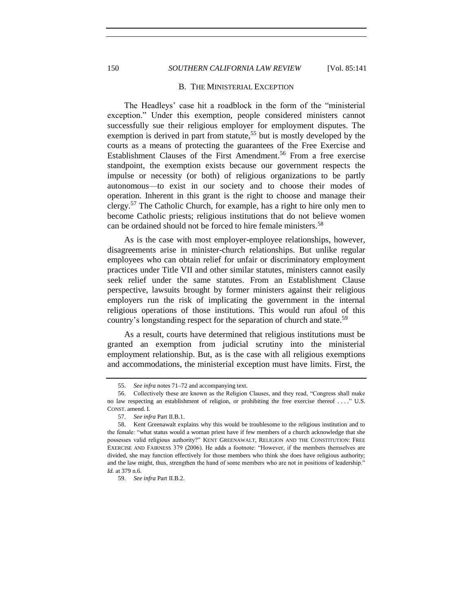# 150 *SOUTHERN CALIFORNIA LAW REVIEW* [Vol. 85:141

#### B. THE MINISTERIAL EXCEPTION

The Headleys' case hit a roadblock in the form of the "ministerial exception." Under this exemption, people considered ministers cannot successfully sue their religious employer for employment disputes. The exemption is derived in part from statute,<sup>55</sup> but is mostly developed by the courts as a means of protecting the guarantees of the Free Exercise and Establishment Clauses of the First Amendment.<sup>56</sup> From a free exercise standpoint, the exemption exists because our government respects the impulse or necessity (or both) of religious organizations to be partly autonomous—to exist in our society and to choose their modes of operation. Inherent in this grant is the right to choose and manage their clergy.<sup>57</sup> The Catholic Church, for example, has a right to hire only men to become Catholic priests; religious institutions that do not believe women can be ordained should not be forced to hire female ministers.<sup>58</sup>

As is the case with most employer-employee relationships, however, disagreements arise in minister-church relationships. But unlike regular employees who can obtain relief for unfair or discriminatory employment practices under Title VII and other similar statutes, ministers cannot easily seek relief under the same statutes. From an Establishment Clause perspective, lawsuits brought by former ministers against their religious employers run the risk of implicating the government in the internal religious operations of those institutions. This would run afoul of this country's longstanding respect for the separation of church and state.<sup>59</sup>

As a result, courts have determined that religious institutions must be granted an exemption from judicial scrutiny into the ministerial employment relationship. But, as is the case with all religious exemptions and accommodations, the ministerial exception must have limits. First, the

<span id="page-9-0"></span>

<sup>55.</sup> *See infra* note[s 71](#page-13-0)[–72](#page-13-1) and accompanying text.

<sup>56.</sup> Collectively these are known as the Religion Clauses, and they read, "Congress shall make no law respecting an establishment of religion, or prohibiting the free exercise thereof . . . ." U.S. CONST. amend. I.

<sup>57.</sup> *See infra* Part II.B.1.

<sup>58.</sup> Kent Greenawalt explains why this would be troublesome to the religious institution and to the female: "what status would a woman priest have if few members of a church acknowledge that she possesses valid religious authority?" KENT GREENAWALT, RELIGION AND THE CONSTITUTION: FREE EXERCISE AND FAIRNESS 379 (2006). He adds a footnote: "However, if the members themselves are divided, she may function effectively for those members who think she does have religious authority; and the law might, thus, strengthen the hand of some members who are not in positions of leadership." *Id.* at 379 n.6.

<sup>59.</sup> *See infra* Part II.B.2.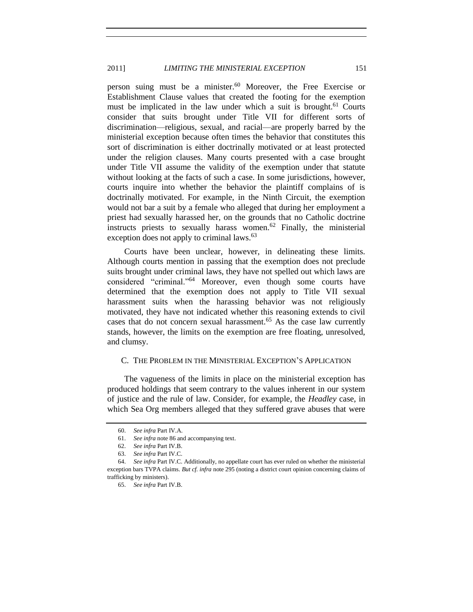person suing must be a minister.<sup>60</sup> Moreover, the Free Exercise or Establishment Clause values that created the footing for the exemption must be implicated in the law under which a suit is brought.<sup>61</sup> Courts consider that suits brought under Title VII for different sorts of discrimination—religious, sexual, and racial—are properly barred by the ministerial exception because often times the behavior that constitutes this sort of discrimination is either doctrinally motivated or at least protected under the religion clauses. Many courts presented with a case brought under Title VII assume the validity of the exemption under that statute without looking at the facts of such a case. In some jurisdictions, however, courts inquire into whether the behavior the plaintiff complains of is doctrinally motivated. For example, in the Ninth Circuit, the exemption would not bar a suit by a female who alleged that during her employment a priest had sexually harassed her, on the grounds that no Catholic doctrine instructs priests to sexually harass women.<sup>62</sup> Finally, the ministerial exception does not apply to criminal laws.<sup>63</sup>

Courts have been unclear, however, in delineating these limits. Although courts mention in passing that the exemption does not preclude suits brought under criminal laws, they have not spelled out which laws are considered "criminal."<sup>64</sup> Moreover, even though some courts have determined that the exemption does not apply to Title VII sexual harassment suits when the harassing behavior was not religiously motivated, they have not indicated whether this reasoning extends to civil cases that do not concern sexual harassment.<sup>65</sup> As the case law currently stands, however, the limits on the exemption are free floating, unresolved, and clumsy.

# <span id="page-10-0"></span>C. THE PROBLEM IN THE MINISTERIAL EXCEPTION'S APPLICATION

The vagueness of the limits in place on the ministerial exception has produced holdings that seem contrary to the values inherent in our system of justice and the rule of law. Consider, for example, the *Headley* case, in which Sea Org members alleged that they suffered grave abuses that were

<sup>60.</sup> *See infra* Part IV.A.

<sup>61.</sup> *See infra* not[e 86](#page-15-0) and accompanying text.

<sup>62.</sup> *See infra* Part IV.B.

<sup>63.</sup> *See infra* Part IV.C.

<sup>64.</sup> *See infra* Part IV.C. Additionally, no appellate court has ever ruled on whether the ministerial exception bars TVPA claims. *But cf. infra* note [295](#page-56-2) (noting a district court opinion concerning claims of trafficking by ministers).

<sup>65.</sup> *See infra* Part IV.B.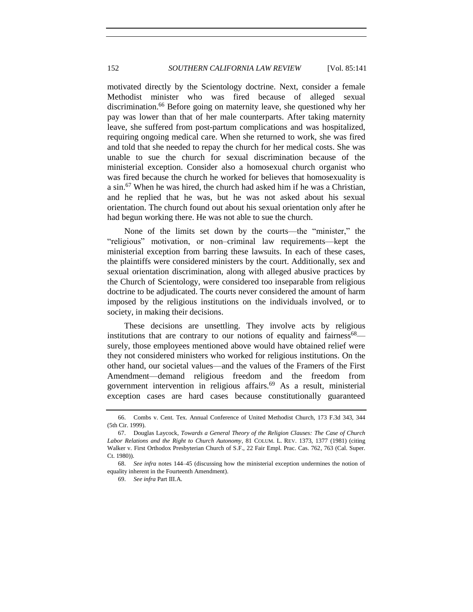<span id="page-11-1"></span>motivated directly by the Scientology doctrine. Next, consider a female Methodist minister who was fired because of alleged sexual discrimination. <sup>66</sup> Before going on maternity leave, she questioned why her pay was lower than that of her male counterparts. After taking maternity leave, she suffered from post-partum complications and was hospitalized, requiring ongoing medical care. When she returned to work, she was fired and told that she needed to repay the church for her medical costs. She was unable to sue the church for sexual discrimination because of the ministerial exception. Consider also a homosexual church organist who was fired because the church he worked for believes that homosexuality is a sin.<sup>67</sup> When he was hired, the church had asked him if he was a Christian, and he replied that he was, but he was not asked about his sexual orientation. The church found out about his sexual orientation only after he had begun working there. He was not able to sue the church.

<span id="page-11-0"></span>None of the limits set down by the courts—the "minister," the "religious" motivation, or non–criminal law requirements—kept the ministerial exception from barring these lawsuits. In each of these cases, the plaintiffs were considered ministers by the court. Additionally, sex and sexual orientation discrimination, along with alleged abusive practices by the Church of Scientology, were considered too inseparable from religious doctrine to be adjudicated. The courts never considered the amount of harm imposed by the religious institutions on the individuals involved, or to society, in making their decisions.

These decisions are unsettling. They involve acts by religious institutions that are contrary to our notions of equality and fairness $68$  surely, those employees mentioned above would have obtained relief were they not considered ministers who worked for religious institutions. On the other hand, our societal values—and the values of the Framers of the First Amendment—demand religious freedom and the freedom from government intervention in religious affairs.<sup>69</sup> As a result, ministerial exception cases are hard cases because constitutionally guaranteed

<sup>66.</sup> Combs v. Cent. Tex. Annual Conference of United Methodist Church, 173 F.3d 343, 344 (5th Cir. 1999).

<sup>67.</sup> Douglas Laycock, *Towards a General Theory of the Religion Clauses: The Case of Church Labor Relations and the Right to Church Autonomy*, 81 COLUM. L. REV. 1373, 1377 (1981) (citing Walker v. First Orthodox Presbyterian Church of S.F., 22 Fair Empl. Prac. Cas. 762, 763 (Cal. Super. Ct. 1980)).

<sup>68.</sup> *See infra* notes [144–](#page-26-0)[45](#page-26-1) (discussing how the ministerial exception undermines the notion of equality inherent in the Fourteenth Amendment).

<sup>69.</sup> *See infra* Part III.A.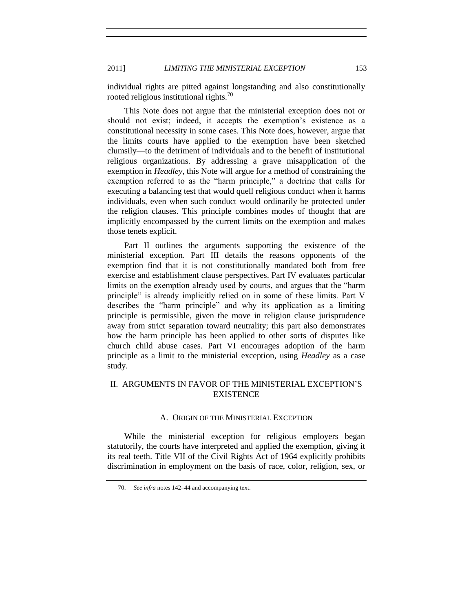individual rights are pitted against longstanding and also constitutionally rooted religious institutional rights.<sup>70</sup>

This Note does not argue that the ministerial exception does not or should not exist; indeed, it accepts the exemption's existence as a constitutional necessity in some cases. This Note does, however, argue that the limits courts have applied to the exemption have been sketched clumsily—to the detriment of individuals and to the benefit of institutional religious organizations. By addressing a grave misapplication of the exemption in *Headley*, this Note will argue for a method of constraining the exemption referred to as the "harm principle," a doctrine that calls for executing a balancing test that would quell religious conduct when it harms individuals, even when such conduct would ordinarily be protected under the religion clauses. This principle combines modes of thought that are implicitly encompassed by the current limits on the exemption and makes those tenets explicit.

Part II outlines the arguments supporting the existence of the ministerial exception. Part III details the reasons opponents of the exemption find that it is not constitutionally mandated both from free exercise and establishment clause perspectives. Part IV evaluates particular limits on the exemption already used by courts, and argues that the "harm principle" is already implicitly relied on in some of these limits. Part V describes the "harm principle" and why its application as a limiting principle is permissible, given the move in religion clause jurisprudence away from strict separation toward neutrality; this part also demonstrates how the harm principle has been applied to other sorts of disputes like church child abuse cases. Part VI encourages adoption of the harm principle as a limit to the ministerial exception, using *Headley* as a case study.

# <span id="page-12-1"></span><span id="page-12-0"></span>II. ARGUMENTS IN FAVOR OF THE MINISTERIAL EXCEPTION'S **EXISTENCE**

#### A. ORIGIN OF THE MINISTERIAL EXCEPTION

While the ministerial exception for religious employers began statutorily, the courts have interpreted and applied the exemption, giving it its real teeth. Title VII of the Civil Rights Act of 1964 explicitly prohibits discrimination in employment on the basis of race, color, religion, sex, or

<sup>70.</sup> *See infra* note[s 142](#page-26-2)[–44](#page-26-0) and accompanying text.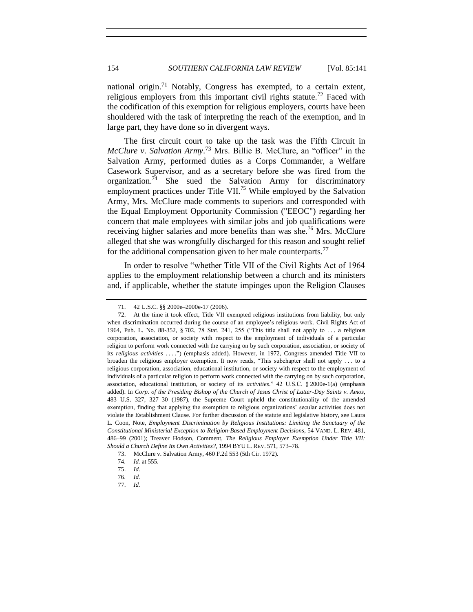<span id="page-13-1"></span><span id="page-13-0"></span>national origin.<sup>71</sup> Notably, Congress has exempted, to a certain extent, religious employers from this important civil rights statute.<sup>72</sup> Faced with the codification of this exemption for religious employers, courts have been shouldered with the task of interpreting the reach of the exemption, and in large part, they have done so in divergent ways.

The first circuit court to take up the task was the Fifth Circuit in *McClure v. Salvation Army.*<sup>73</sup> Mrs. Billie B. McClure, an "officer" in the Salvation Army, performed duties as a Corps Commander, a Welfare Casework Supervisor, and as a secretary before she was fired from the organization.<sup>74</sup> She sued the Salvation Army for discriminatory employment practices under Title VII.<sup>75</sup> While employed by the Salvation Army, Mrs. McClure made comments to superiors and corresponded with the Equal Employment Opportunity Commission ("EEOC") regarding her concern that male employees with similar jobs and job qualifications were receiving higher salaries and more benefits than was she.<sup>76</sup> Mrs. McClure alleged that she was wrongfully discharged for this reason and sought relief for the additional compensation given to her male counterparts.<sup>77</sup>

In order to resolve "whether Title VII of the Civil Rights Act of 1964 applies to the employment relationship between a church and its ministers and, if applicable, whether the statute impinges upon the Religion Clauses

<sup>71.</sup> 42 U.S.C. §§ 2000e–2000e-17 (2006).

<sup>72.</sup> At the time it took effect, Title VII exempted religious institutions from liability, but only when discrimination occurred during the course of an employee's religious work. Civil Rights Act of 1964, Pub. L. No. 88-352, § 702, 78 Stat. 241, 255 ("This title shall not apply to . . . a religious corporation, association, or society with respect to the employment of individuals of a particular religion to perform work connected with the carrying on by such corporation, association, or society of its *religious activities* . . . .") (emphasis added). However, in 1972, Congress amended Title VII to broaden the religious employer exemption. It now reads, "This subchapter shall not apply . . . to a religious corporation, association, educational institution, or society with respect to the employment of individuals of a particular religion to perform work connected with the carrying on by such corporation, association, educational institution, or society of its *activities*." 42 U.S.C. § 2000e-1(a) (emphasis added). In *Corp. of the Presiding Bishop of the Church of Jesus Christ of Latter-Day Saints v. Amos*, 483 U.S. 327, 327–30 (1987), the Supreme Court upheld the constitutionality of the amended exemption, finding that applying the exemption to religious organizations' secular activities does not violate the Establishment Clause. For further discussion of the statute and legislative history, see Laura L. Coon, Note, *Employment Discrimination by Religious Institutions: Limiting the Sanctuary of the Constitutional Ministerial Exception to Religion-Based Employment Decisions*, 54 VAND. L. REV. 481, 486–99 (2001); Treaver Hodson, Comment, *The Religious Employer Exemption Under Title VII: Should a Church Define Its Own Activities?*, 1994 BYU L. REV. 571, 573–78.

<sup>73.</sup> McClure v. Salvation Army, 460 F.2d 553 (5th Cir. 1972).

<sup>74.</sup> *Id.* at 555.

<sup>75.</sup> *Id.*

<sup>76.</sup> *Id.*

<sup>77.</sup> *Id.*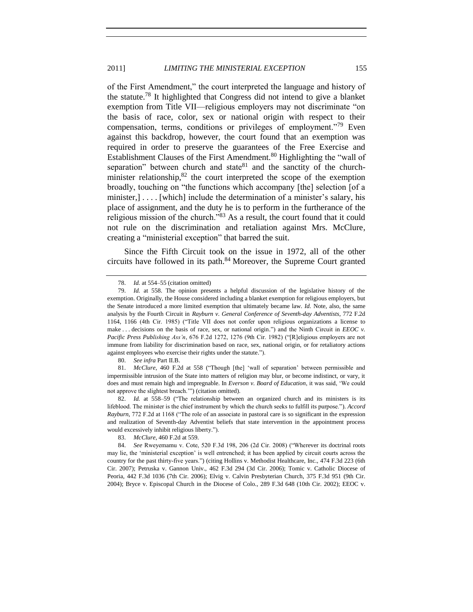of the First Amendment," the court interpreted the language and history of the statute.<sup>78</sup> It highlighted that Congress did not intend to give a blanket exemption from Title VII—religious employers may not discriminate "on the basis of race, color, sex or national origin with respect to their compensation, terms, conditions or privileges of employment."<sup>79</sup> Even against this backdrop, however, the court found that an exemption was required in order to preserve the guarantees of the Free Exercise and Establishment Clauses of the First Amendment.<sup>80</sup> Highlighting the "wall of separation" between church and state $81$  and the sanctity of the churchminister relationship, $82$  the court interpreted the scope of the exemption broadly, touching on "the functions which accompany [the] selection [of a minister,].... [which] include the determination of a minister's salary, his place of assignment, and the duty he is to perform in the furtherance of the religious mission of the church."<sup>83</sup> As a result, the court found that it could not rule on the discrimination and retaliation against Mrs. McClure, creating a "ministerial exception" that barred the suit.

Since the Fifth Circuit took on the issue in 1972, all of the other circuits have followed in its path.<sup>84</sup> Moreover, the Supreme Court granted

<span id="page-14-0"></span><sup>78.</sup> *Id.* at 554–55 (citation omitted)

<sup>79.</sup> *Id.* at 558. The opinion presents a helpful discussion of the legislative history of the exemption. Originally, the House considered including a blanket exemption for religious employers, but the Senate introduced a more limited exemption that ultimately became law. *Id.* Note, also, the same analysis by the Fourth Circuit in *Rayburn v. General Conference of Seventh-day Adventists*, 772 F.2d 1164, 1166 (4th Cir. 1985) ("Title VII does not confer upon religious organizations a license to make . . . decisions on the basis of race, sex, or national origin.") and the Ninth Circuit in *EEOC v. Pacific Press Publishing Ass'n*, 676 F.2d 1272, 1276 (9th Cir. 1982) ("[R]eligious employers are not immune from liability for discrimination based on race, sex, national origin, or for retaliatory actions against employees who exercise their rights under the statute.").

<sup>80.</sup> *See infra* Part II.B.

<sup>81.</sup> *McClure*, 460 F.2d at 558 ("Though [the] 'wall of separation' between permissible and impermissible intrusion of the State into matters of religion may blur, or become indistinct, or vary, it does and must remain high and impregnable. In *Everson v. Board of Education*, it was said, 'We could not approve the slightest breach.'") (citation omitted).

<sup>82.</sup> *Id.* at 558–59 ("The relationship between an organized church and its ministers is its lifeblood. The minister is the chief instrument by which the church seeks to fulfill its purpose."). *Accord Rayburn*, 772 F.2d at 1168 ("The role of an associate in pastoral care is so significant in the expression and realization of Seventh-day Adventist beliefs that state intervention in the appointment process would excessively inhibit religious liberty.").

<sup>83.</sup> *McClure*, 460 F.2d at 559.

<sup>84.</sup> *See* Rweyemamu v. Cote, 520 F.3d 198, 206 (2d Cir. 2008) ("Wherever its doctrinal roots may lie, the 'ministerial exception' is well entrenched; it has been applied by circuit courts across the country for the past thirty-five years.") (citing Hollins v. Methodist Healthcare, Inc., 474 F.3d 223 (6th Cir. 2007); Petruska v. Gannon Univ., 462 F.3d 294 (3d Cir. 2006); Tomic v. Catholic Diocese of Peoria, 442 F.3d 1036 (7th Cir. 2006); Elvig v. Calvin Presbyterian Church, 375 F.3d 951 (9th Cir. 2004); Bryce v. Episcopal Church in the Diocese of Colo., 289 F.3d 648 (10th Cir. 2002); EEOC v.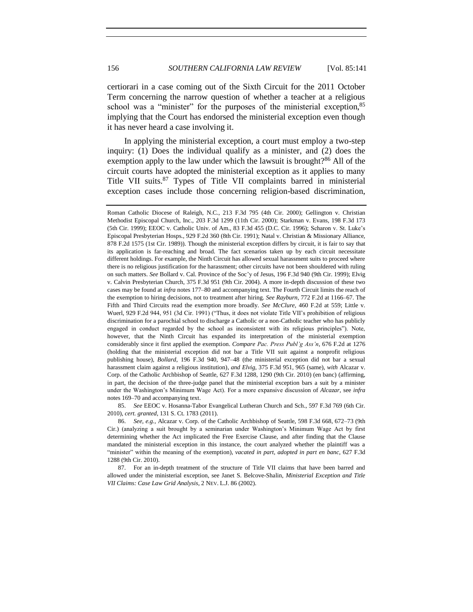certiorari in a case coming out of the Sixth Circuit for the 2011 October Term concerning the narrow question of whether a teacher at a religious school was a "minister" for the purposes of the ministerial exception,  $85$ implying that the Court has endorsed the ministerial exception even though it has never heard a case involving it.

<span id="page-15-0"></span>In applying the ministerial exception, a court must employ a two-step inquiry: (1) Does the individual qualify as a minister, and (2) does the exemption apply to the law under which the lawsuit is brought?<sup>86</sup> All of the circuit courts have adopted the ministerial exception as it applies to many Title VII suits.<sup>87</sup> Types of Title VII complaints barred in ministerial exception cases include those concerning religion-based discrimination,

85. *See* EEOC v. Hosanna-Tabor Evangelical Lutheran Church and Sch., 597 F.3d 769 (6th Cir. 2010), *cert. granted*, 131 S. Ct. 1783 (2011).

86. *See, e.g.*, Alcazar v. Corp. of the Catholic Archbishop of Seattle, 598 F.3d 668, 672–73 (9th Cir.) (analyzing a suit brought by a seminarian under Washington's Minimum Wage Act by first determining whether the Act implicated the Free Exercise Clause, and after finding that the Clause mandated the ministerial exception in this instance, the court analyzed whether the plaintiff was a "minister" within the meaning of the exemption), *vacated in part, adopted in part en banc*, 627 F.3d 1288 (9th Cir. 2010).

87. For an in-depth treatment of the structure of Title VII claims that have been barred and allowed under the ministerial exception, see Janet S. Belcove-Shalin, *Ministerial Exception and Title VII Claims: Case Law Grid Analysis*, 2 NEV. L.J. 86 (2002).

<span id="page-15-1"></span>Roman Catholic Diocese of Raleigh, N.C., 213 F.3d 795 (4th Cir. 2000); Gellington v. Christian Methodist Episcopal Church, Inc., 203 F.3d 1299 (11th Cir. 2000); Starkman v. Evans, 198 F.3d 173 (5th Cir. 1999); EEOC v. Catholic Univ. of Am., 83 F.3d 455 (D.C. Cir. 1996); Scharon v. St. Luke's Episcopal Presbyterian Hosps., 929 F.2d 360 (8th Cir. 1991); Natal v. Christian & Missionary Alliance, 878 F.2d 1575 (1st Cir. 1989)). Though the ministerial exception differs by circuit, it is fair to say that its application is far-reaching and broad. The fact scenarios taken up by each circuit necessitate different holdings. For example, the Ninth Circuit has allowed sexual harassment suits to proceed where there is no religious justification for the harassment; other circuits have not been shouldered with ruling on such matters. *See* Bollard v. Cal. Province of the Soc'y of Jesus, 196 F.3d 940 (9th Cir. 1999); Elvig v. Calvin Presbyterian Church, 375 F.3d 951 (9th Cir. 2004). A more in-depth discussion of these two cases may be found at *infra* note[s 177–](#page-32-0)[80](#page-32-1) and accompanying text. The Fourth Circuit limits the reach of the exemption to hiring decisions, not to treatment after hiring. *See Rayburn*, 772 F.2d at 1166–67. The Fifth and Third Circuits read the exemption more broadly. *See McClure*, 460 F.2d at 559; Little v. Wuerl, 929 F.2d 944, 951 (3d Cir. 1991) ("Thus, it does not violate Title VII's prohibition of religious discrimination for a parochial school to discharge a Catholic or a non-Catholic teacher who has publicly engaged in conduct regarded by the school as inconsistent with its religious principles"). Note, however, that the Ninth Circuit has expanded its interpretation of the ministerial exemption considerably since it first applied the exemption. *Compare Pac. Press Publ'g Ass'n*, 676 F.2d at 1276 (holding that the ministerial exception did not bar a Title VII suit against a nonprofit religious publishing house), *Bollard*, 196 F.3d 940, 947–48 (the ministerial exception did not bar a sexual harassment claim against a religious institution), *and Elvig*, 375 F.3d 951, 965 (same), *with* Alcazar v. Corp. of the Catholic Archbishop of Seattle, 627 F.3d 1288, 1290 (9th Cir. 2010) (en banc) (affirming, in part, the decision of the three-judge panel that the ministerial exception bars a suit by a minister under the Washington's Minimum Wage Act). For a more expansive discussion of *Alcazar*, see *infra* notes [169–](#page-31-1)[70](#page-31-2) and accompanying text.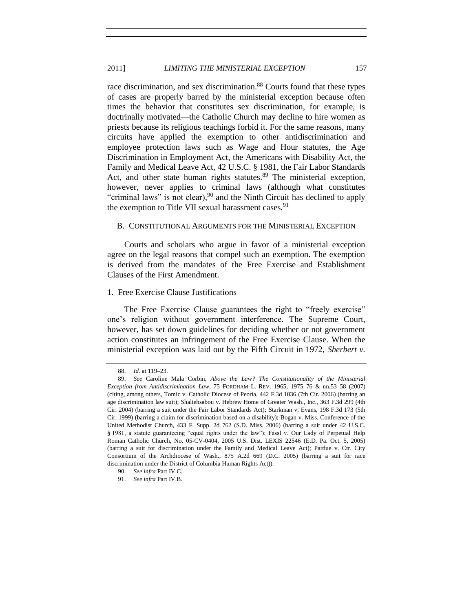race discrimination, and sex discrimination.<sup>88</sup> Courts found that these types of cases are properly barred by the ministerial exception because often times the behavior that constitutes sex discrimination, for example, is doctrinally motivated—the Catholic Church may decline to hire women as priests because its religious teachings forbid it. For the same reasons, many circuits have applied the exemption to other antidiscrimination and employee protection laws such as Wage and Hour statutes, the Age Discrimination in Employment Act, the Americans with Disability Act, the Family and Medical Leave Act, 42 U.S.C. § 1981, the Fair Labor Standards Act, and other state human rights statutes.<sup>89</sup> The ministerial exception, however, never applies to criminal laws (although what constitutes "criminal laws" is not clear),  $90$  and the Ninth Circuit has declined to apply the exemption to Title VII sexual harassment cases.<sup>91</sup>

#### <span id="page-16-0"></span>B. CONSTITUTIONAL ARGUMENTS FOR THE MINISTERIAL EXCEPTION

Courts and scholars who argue in favor of a ministerial exception agree on the legal reasons that compel such an exemption. The exemption is derived from the mandates of the Free Exercise and Establishment Clauses of the First Amendment.

# <span id="page-16-1"></span>1. Free Exercise Clause Justifications

The Free Exercise Clause guarantees the right to "freely exercise" one's religion without government interference. The Supreme Court, however, has set down guidelines for deciding whether or not government action constitutes an infringement of the Free Exercise Clause. When the ministerial exception was laid out by the Fifth Circuit in 1972, *Sherbert v.* 

<span id="page-16-2"></span>

<sup>88.</sup> *Id.* at 119–23.

<sup>89.</sup> *See* Caroline Mala Corbin, *Above the Law? The Constitutionality of the Ministerial Exception from Antidiscrimination Law*, 75 FORDHAM L. REV. 1965, 1975–76 & nn.53–58 (2007) (citing, among others, Tomic v. Catholic Diocese of Peoria, 442 F.3d 1036 (7th Cir. 2006) (barring an age discrimination law suit); Shaliehsabou v. Hebrew Home of Greater Wash., Inc., 363 F.3d 299 (4th Cir. 2004) (barring a suit under the Fair Labor Standards Act); Starkman v. Evans, 198 F.3d 173 (5th Cir. 1999) (barring a claim for discrimination based on a disability); Bogan v. Miss. Conference of the United Methodist Church, 433 F. Supp. 2d 762 (S.D. Miss. 2006) (barring a suit under 42 U.S.C. § 1981, a statute guaranteeing "equal rights under the law"); Fassl v. Our Lady of Perpetual Help Roman Catholic Church, No. 05-CV-0404, 2005 U.S. Dist. LEXIS 22546 (E.D. Pa. Oct. 5, 2005) (barring a suit for discrimination under the Family and Medical Leave Act); Pardue v. Ctr. City Consortium of the Archdiocese of Wash., 875 A.2d 669 (D.C. 2005) (barring a suit for race discrimination under the District of Columbia Human Rights Act)).

<sup>90.</sup> *See infra* Part IV.C.

<sup>91.</sup> *See infra* Part IV.B.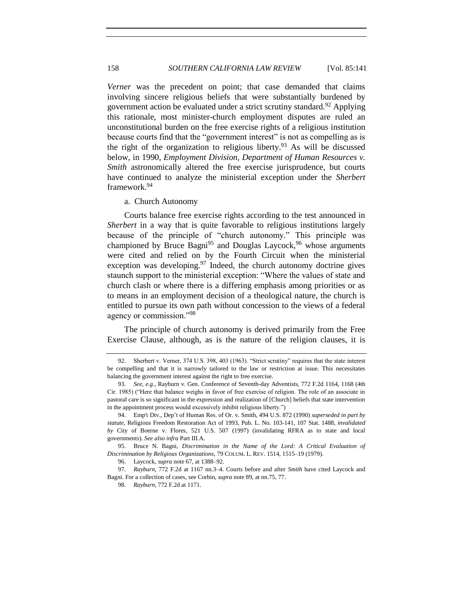<span id="page-17-2"></span>*Verner* was the precedent on point; that case demanded that claims involving sincere religious beliefs that were substantially burdened by government action be evaluated under a strict scrutiny standard.<sup>92</sup> Applying this rationale, most minister-church employment disputes are ruled an unconstitutional burden on the free exercise rights of a religious institution because courts find that the "government interest" is not as compelling as is the right of the organization to religious liberty. $93$  As will be discussed below, in 1990, *Employment Division, Department of Human Resources v. Smith* astronomically altered the free exercise jurisprudence, but courts have continued to analyze the ministerial exception under the *Sherbert*  framework.<sup>94</sup>

<span id="page-17-3"></span><span id="page-17-1"></span>a. Church Autonomy

<span id="page-17-0"></span>Courts balance free exercise rights according to the test announced in *Sherbert* in a way that is quite favorable to religious institutions largely because of the principle of "church autonomy." This principle was championed by Bruce Bagni<sup>95</sup> and Douglas Laycock,  $96$  whose arguments were cited and relied on by the Fourth Circuit when the ministerial exception was developing.<sup>97</sup> Indeed, the church autonomy doctrine gives staunch support to the ministerial exception: "Where the values of state and church clash or where there is a differing emphasis among priorities or as to means in an employment decision of a theological nature, the church is entitled to pursue its own path without concession to the views of a federal agency or commission."<sup>98</sup>

The principle of church autonomy is derived primarily from the Free Exercise Clause, although, as is the nature of the religion clauses, it is

<sup>92.</sup> Sherbert v. Verner, 374 U.S. 398, 403 (1963). "Strict scrutiny" requires that the state interest be compelling and that it is narrowly tailored to the law or restriction at issue. This necessitates balancing the government interest against the right to free exercise.

<sup>93.</sup> *See, e.g.*, Rayburn v. Gen. Conference of Seventh-day Adventists, 772 F.2d 1164, 1168 (4th Cir. 1985) ("Here that balance weighs in favor of free exercise of religion. The role of an associate in pastoral care is so significant in the expression and realization of [Church] beliefs that state intervention in the appointment process would excessively inhibit religious liberty.")

<sup>94.</sup> Emp't Div., Dep't of Human Res. of Or. v. Smith, 494 U.S. 872 (1990) *superseded in part by statute*, Religious Freedom Restoration Act of 1993, Pub. L. No. 103-141, 107 Stat. 1488, *invalidated by* City of Boerne v. Flores, 521 U.S. 507 (1997) (invalidating RFRA as to state and local governments). *See also infra* Part III.A.

<sup>95.</sup> Bruce N. Bagni, *Discrimination in the Name of the Lord: A Critical Evaluation of Discrimination by Religious Organizations*, 79 COLUM. L. REV. 1514, 1515–19 (1979).

<sup>96.</sup> Laycock, *supra* not[e 67,](#page-11-0) at 1388–92.

<sup>97.</sup> *Rayburn*, 772 F.2d at 1167 nn.3–4. Courts before and after *Smith* have cited Laycock and Bagni. For a collection of cases, see Corbin, *supra* not[e 89,](#page-16-2) at nn.75, 77.

<sup>98.</sup> *Rayburn*, 772 F.2d at 1171.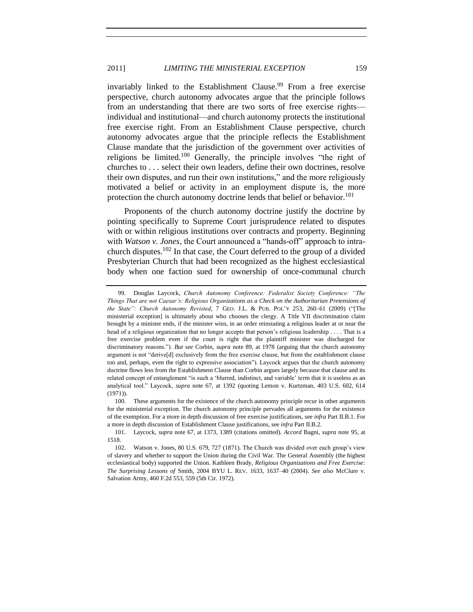<span id="page-18-1"></span>invariably linked to the Establishment Clause.<sup>99</sup> From a free exercise perspective, church autonomy advocates argue that the principle follows from an understanding that there are two sorts of free exercise rights individual and institutional—and church autonomy protects the institutional free exercise right. From an Establishment Clause perspective, church autonomy advocates argue that the principle reflects the Establishment Clause mandate that the jurisdiction of the government over activities of religions be limited.<sup>100</sup> Generally, the principle involves "the right of churches to . . . select their own leaders, define their own doctrines, resolve their own disputes, and run their own institutions," and the more religiously motivated a belief or activity in an employment dispute is, the more protection the church autonomy doctrine lends that belief or behavior.<sup>101</sup>

<span id="page-18-0"></span>Proponents of the church autonomy doctrine justify the doctrine by pointing specifically to Supreme Court jurisprudence related to disputes with or within religious institutions over contracts and property. Beginning with *Watson v. Jones*, the Court announced a "hands-off" approach to intrachurch disputes.<sup>102</sup> In that case, the Court deferred to the group of a divided Presbyterian Church that had been recognized as the highest ecclesiastical body when one faction sued for ownership of once-communal church

<sup>99.</sup> Douglas Laycock, *Church Autonomy Conference: Federalist Society Conference: "The Things That are not Caesar's: Religious Organizations as a Check on the Authoritarian Pretensions of the State": Church Autonomy Revisted*, 7 GEO. J.L. & PUB. POL'Y 253, 260–61 (2009) ("[The ministerial exception] is ultimately about who chooses the clergy. A Title VII discrimination claim brought by a minister ends, if the minister wins, in an order reinstating a religious leader at or near the head of a religious organization that no longer accepts that person's religious leadership . . . . That is a free exercise problem even if the court is right that the plaintiff minister was discharged for discriminatory reasons."). *But see* Corbin, *supra* note [89,](#page-16-2) at 1978 (arguing that the church autonomy argument is not "derive[d] exclusively from the free exercise clause, but from the establishment clause too and, perhaps, even the right to expressive association"). Laycock argues that the church autonomy doctrine flows less from the Establishment Clause than Corbin argues largely because that clause and its related concept of entanglement "is such a 'blurred, indistinct, and variable' term that it is useless as an analytical tool." Laycock, *supra* note [67,](#page-11-0) at 1392 (quoting Lemon v. Kurtzman, 403 U.S. 602, 614 (1971)).

<sup>100.</sup> These arguments for the existence of the church autonomy principle recur in other arguments for the ministerial exception. The church autonomy principle pervades all arguments for the existence of the exemption. For a more in depth discussion of free exercise justifications, see *infra* Part II.B.1. For a more in depth discussion of Establishment Clause justifications, see *infra* Part II.B.2.

<sup>101.</sup> Laycock, *supra* note [67,](#page-11-0) at 1373, 1389 (citations omitted). *Accord* Bagni, *supra* note [95,](#page-17-1) at 1518.

<sup>102.</sup> Watson v. Jones, 80 U.S. 679, 727 (1871). The Church was divided over each group's view of slavery and whether to support the Union during the Civil War. The General Assembly (the highest ecclesiastical body) supported the Union. Kathleen Brady, *Religious Organizations and Free Exercise: The Surprising Lessons of* Smith, 2004 BYU L. REV. 1633, 1637–40 (2004). *See also* McClure v. Salvation Army, 460 F.2d 553, 559 (5th Cir. 1972).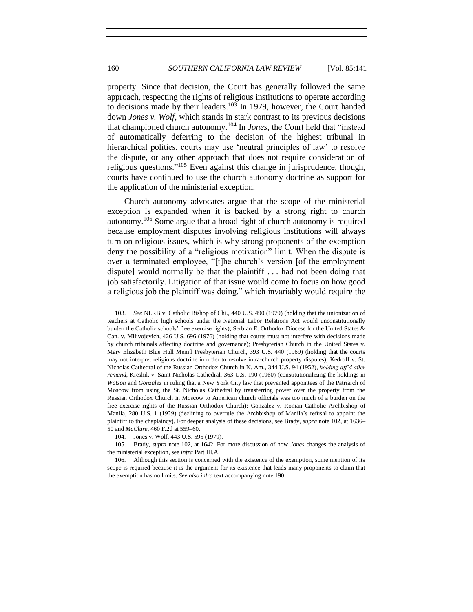<span id="page-19-2"></span><span id="page-19-1"></span>property. Since that decision, the Court has generally followed the same approach, respecting the rights of religious institutions to operate according to decisions made by their leaders.<sup>103</sup> In 1979, however, the Court handed down *Jones v. Wolf*, which stands in stark contrast to its previous decisions that championed church autonomy.<sup>104</sup> In *Jones*, the Court held that "instead of automatically deferring to the decision of the highest tribunal in hierarchical polities, courts may use 'neutral principles of law' to resolve the dispute, or any other approach that does not require consideration of religious questions."<sup>105</sup> Even against this change in jurisprudence, though, courts have continued to use the church autonomy doctrine as support for the application of the ministerial exception.

<span id="page-19-3"></span><span id="page-19-0"></span>Church autonomy advocates argue that the scope of the ministerial exception is expanded when it is backed by a strong right to church autonomy.<sup>106</sup> Some argue that a broad right of church autonomy is required because employment disputes involving religious institutions will always turn on religious issues, which is why strong proponents of the exemption deny the possibility of a "religious motivation" limit. When the dispute is over a terminated employee, "[t]he church's version [of the employment dispute] would normally be that the plaintiff . . . had not been doing that job satisfactorily. Litigation of that issue would come to focus on how good a religious job the plaintiff was doing," which invariably would require the

<sup>103.</sup> *See* NLRB v. Catholic Bishop of Chi., 440 U.S. 490 (1979) (holding that the unionization of teachers at Catholic high schools under the National Labor Relations Act would unconstitutionally burden the Catholic schools' free exercise rights); Serbian E. Orthodox Diocese for the United States & Can. v. Milivojevich, 426 U.S. 696 (1976) (holding that courts must not interfere with decisions made by church tribunals affecting doctrine and governance); Presbyterian Church in the United States v. Mary Elizabeth Blue Hull Mem'l Presbyterian Church, 393 U.S. 440 (1969) (holding that the courts may not interpret religious doctrine in order to resolve intra-church property disputes); Kedroff v. St. Nicholas Cathedral of the Russian Orthodox Church in N. Am., 344 U.S. 94 (1952), *holding aff'd after remand*, Kreshik v. Saint Nicholas Cathedral, 363 U.S. 190 (1960) (constitutionalizing the holdings in *Watson* and *Gonzalez* in ruling that a New York City law that prevented appointees of the Patriarch of Moscow from using the St. Nicholas Cathedral by transferring power over the property from the Russian Orthodox Church in Moscow to American church officials was too much of a burden on the free exercise rights of the Russian Orthodox Church); Gonzalez v. Roman Catholic Archbishop of Manila, 280 U.S. 1 (1929) (declining to overrule the Archbishop of Manila's refusal to appoint the plaintiff to the chaplaincy). For deeper analysis of these decisions, see Brady, *supra* not[e 102,](#page-18-0) at 1636– 50 and *McClure*, 460 F.2d at 559–60.

<sup>104.</sup> Jones v. Wolf, 443 U.S. 595 (1979).

<sup>105.</sup> Brady, *supra* note [102,](#page-18-0) at 1642. For more discussion of how *Jones* changes the analysis of the ministerial exception, see *infra* Part III.A.

<sup>106.</sup> Although this section is concerned with the existence of the exemption, some mention of its scope is required because it is the argument for its existence that leads many proponents to claim that the exemption has no limits. *See also infra* text accompanying note [190.](#page-35-1)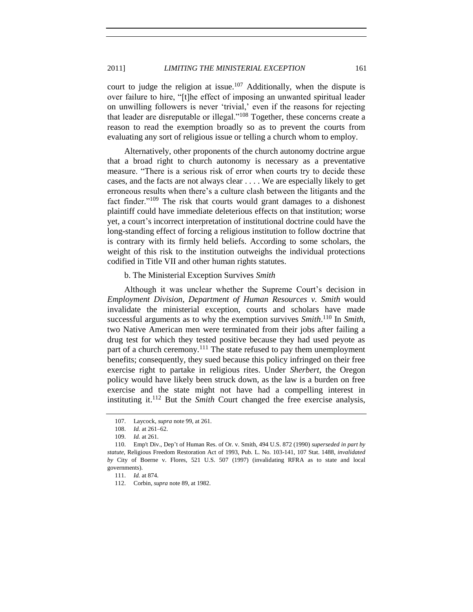# 2011] *LIMITING THE MINISTERIAL EXCEPTION* 161

court to judge the religion at issue.<sup>107</sup> Additionally, when the dispute is over failure to hire, "[t]he effect of imposing an unwanted spiritual leader on unwilling followers is never 'trivial,' even if the reasons for rejecting that leader are disreputable or illegal."<sup>108</sup> Together, these concerns create a reason to read the exemption broadly so as to prevent the courts from evaluating any sort of religious issue or telling a church whom to employ.

<span id="page-20-2"></span>Alternatively, other proponents of the church autonomy doctrine argue that a broad right to church autonomy is necessary as a preventative measure. "There is a serious risk of error when courts try to decide these cases, and the facts are not always clear . . . . We are especially likely to get erroneous results when there's a culture clash between the litigants and the fact finder."<sup>109</sup> The risk that courts would grant damages to a dishonest plaintiff could have immediate deleterious effects on that institution; worse yet, a court's incorrect interpretation of institutional doctrine could have the long-standing effect of forcing a religious institution to follow doctrine that is contrary with its firmly held beliefs. According to some scholars, the weight of this risk to the institution outweighs the individual protections codified in Title VII and other human rights statutes.

# <span id="page-20-0"></span>b. The Ministerial Exception Survives *Smith*

Although it was unclear whether the Supreme Court's decision in *Employment Division, Department of Human Resources v. Smith* would invalidate the ministerial exception, courts and scholars have made successful arguments as to why the exemption survives *Smith*. <sup>110</sup> In *Smith*, two Native American men were terminated from their jobs after failing a drug test for which they tested positive because they had used peyote as part of a church ceremony.<sup>111</sup> The state refused to pay them unemployment benefits; consequently, they sued because this policy infringed on their free exercise right to partake in religious rites. Under *Sherbert*, the Oregon policy would have likely been struck down, as the law is a burden on free exercise and the state might not have had a compelling interest in instituting it.<sup>112</sup> But the *Smith* Court changed the free exercise analysis,

<span id="page-20-1"></span>

<sup>107.</sup> Laycock, *supra* note [99,](#page-18-1) at 261.

<sup>108.</sup> *Id.* at 261–62.

<sup>109.</sup> *Id.* at 261.

<sup>110.</sup> Emp't Div., Dep't of Human Res. of Or. v. Smith, 494 U.S. 872 (1990) *superseded in part by statute*, Religious Freedom Restoration Act of 1993, Pub. L. No. 103-141, 107 Stat. 1488, *invalidated by* City of Boerne v. Flores, 521 U.S. 507 (1997) (invalidating RFRA as to state and local governments).

<sup>111.</sup> *Id.* at 874.

<sup>112.</sup> Corbin, *supra* not[e 89,](#page-16-2) at 1982.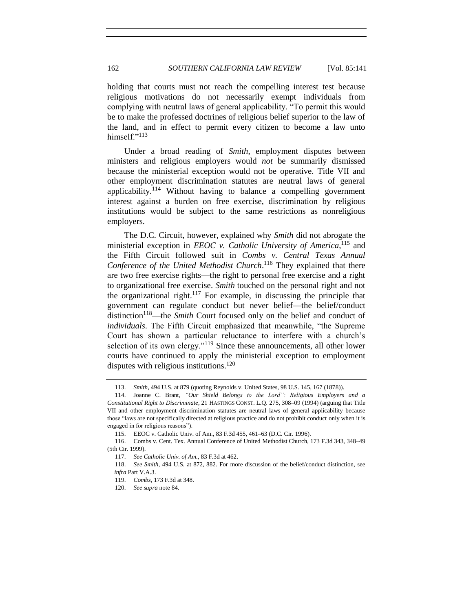holding that courts must not reach the compelling interest test because religious motivations do not necessarily exempt individuals from complying with neutral laws of general applicability. "To permit this would be to make the professed doctrines of religious belief superior to the law of the land, and in effect to permit every citizen to become a law unto himself."<sup>113</sup>

<span id="page-21-0"></span>Under a broad reading of *Smith*, employment disputes between ministers and religious employers would *not* be summarily dismissed because the ministerial exception would not be operative. Title VII and other employment discrimination statutes are neutral laws of general applicability.<sup>114</sup> Without having to balance a compelling government interest against a burden on free exercise, discrimination by religious institutions would be subject to the same restrictions as nonreligious employers.

The D.C. Circuit, however, explained why *Smith* did not abrogate the ministerial exception in *EEOC v. Catholic University of America*, <sup>115</sup> and the Fifth Circuit followed suit in *Combs v. Central Texas Annual*  Conference of the United Methodist Church.<sup>116</sup> They explained that there are two free exercise rights—the right to personal free exercise and a right to organizational free exercise. *Smith* touched on the personal right and not the organizational right.<sup>117</sup> For example, in discussing the principle that government can regulate conduct but never belief—the belief/conduct distinction<sup>118</sup>—the *Smith* Court focused only on the belief and conduct of *individuals*. The Fifth Circuit emphasized that meanwhile, "the Supreme Court has shown a particular reluctance to interfere with a church's selection of its own clergy."<sup>119</sup> Since these announcements, all other lower courts have continued to apply the ministerial exception to employment disputes with religious institutions.<sup>120</sup>

<sup>113.</sup> *Smith*, 494 U.S. at 879 (quoting Reynolds v. United States, 98 U.S. 145, 167 (1878)).

<sup>114.</sup> Joanne C. Brant, *"Our Shield Belongs to the Lord": Religious Employers and a Constitutional Right to Discriminate*, 21 HASTINGS CONST. L.Q. 275, 308–09 (1994) (arguing that Title VII and other employment discrimination statutes are neutral laws of general applicability because those "laws are not specifically directed at religious practice and do not prohibit conduct only when it is engaged in for religious reasons").

<sup>115.</sup> EEOC v. Catholic Univ. of Am., 83 F.3d 455, 461–63 (D.C. Cir. 1996).

<sup>116.</sup> Combs v. Cent. Tex. Annual Conference of United Methodist Church, 173 F.3d 343, 348–49 (5th Cir. 1999).

<sup>117.</sup> *See Catholic Univ. of Am.*, 83 F.3d at 462.

<sup>118.</sup> *See Smith*, 494 U.S. at 872, 882. For more discussion of the belief/conduct distinction, see *infra* Part V.A.3.

<sup>119.</sup> *Combs*, 173 F.3d at 348.

<sup>120.</sup> *See supra* not[e 84.](#page-14-0)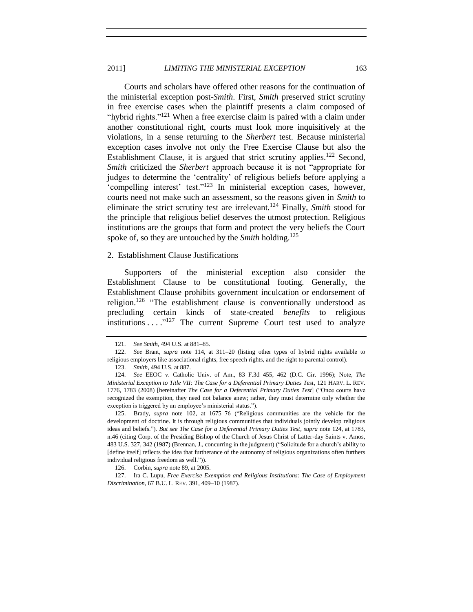# 2011] *LIMITING THE MINISTERIAL EXCEPTION* 163

Courts and scholars have offered other reasons for the continuation of the ministerial exception post-*Smith*. First, *Smith* preserved strict scrutiny in free exercise cases when the plaintiff presents a claim composed of "hybrid rights."<sup>121</sup> When a free exercise claim is paired with a claim under another constitutional right, courts must look more inquisitively at the violations, in a sense returning to the *Sherbert* test. Because ministerial exception cases involve not only the Free Exercise Clause but also the Establishment Clause, it is argued that strict scrutiny applies.<sup>122</sup> Second, *Smith* criticized the *Sherbert* approach because it is not "appropriate for judges to determine the 'centrality' of religious beliefs before applying a 'compelling interest' test."<sup>123</sup> In ministerial exception cases, however, courts need not make such an assessment, so the reasons given in *Smith* to eliminate the strict scrutiny test are irrelevant.<sup>124</sup> Finally, *Smith* stood for the principle that religious belief deserves the utmost protection. Religious institutions are the groups that form and protect the very beliefs the Court spoke of, so they are untouched by the *Smith* holding.<sup>125</sup>

# <span id="page-22-0"></span>2. Establishment Clause Justifications

Supporters of the ministerial exception also consider the Establishment Clause to be constitutional footing. Generally, the Establishment Clause prohibits government inculcation or endorsement of religion.<sup>126</sup> "The establishment clause is conventionally understood as precluding certain kinds of state-created *benefits* to religious institutions  $\dots$ <sup>"127</sup> The current Supreme Court test used to analyze

<span id="page-22-3"></span><span id="page-22-1"></span>

<span id="page-22-2"></span><sup>121.</sup> *See Smith*, 494 U.S. at 881–85.

<sup>122.</sup> *See* Brant, *supra* note [114,](#page-21-0) at 311–20 (listing other types of hybrid rights available to religious employers like associational rights, free speech rights, and the right to parental control).

<sup>123.</sup> *Smith*, 494 U.S. at 887.

<sup>124.</sup> *See* EEOC v. Catholic Univ. of Am., 83 F.3d 455, 462 (D.C. Cir. 1996); Note, *The Ministerial Exception to Title VII: The Case for a Deferential Primary Duties Test*, 121 HARV. L. REV. 1776, 1783 (2008) [hereinafter *The Case for a Deferential Primary Duties Test*] ("Once courts have recognized the exemption, they need not balance anew; rather, they must determine only whether the exception is triggered by an employee's ministerial status.").

<sup>125.</sup> Brady, *supra* note [102,](#page-18-0) at 1675–76 ("Religious communities are the vehicle for the development of doctrine. It is through religious communities that individuals jointly develop religious ideas and beliefs."). *But see The Case for a Deferential Primary Duties Test*, *supra* note [124,](#page-22-1) at 1783, n.46 (citing Corp. of the Presiding Bishop of the Church of Jesus Christ of Latter-day Saints v. Amos, 483 U.S. 327, 342 (1987) (Brennan, J., concurring in the judgment) ("Solicitude for a church's ability to [define itself] reflects the idea that furtherance of the autonomy of religious organizations often furthers individual religious freedom as well.")).

<sup>126.</sup> Corbin, *supra* not[e 89,](#page-16-2) at 2005.

<sup>127.</sup> Ira C. Lupu, *Free Exercise Exemption and Religious Institutions: The Case of Employment Discrimination*, 67 B.U. L. REV. 391, 409–10 (1987).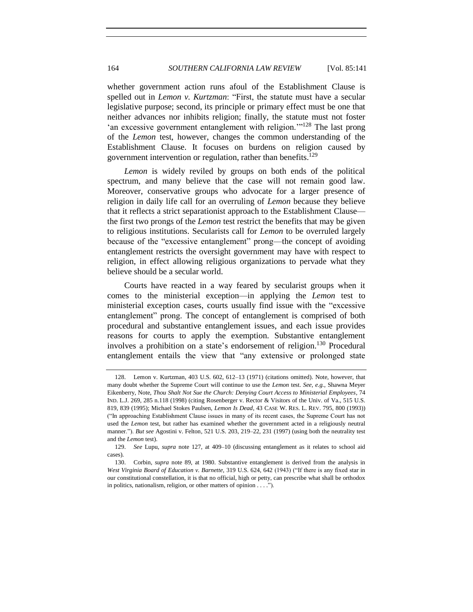<span id="page-23-0"></span>whether government action runs afoul of the Establishment Clause is spelled out in *Lemon v. Kurtzman*: "First, the statute must have a secular legislative purpose; second, its principle or primary effect must be one that neither advances nor inhibits religion; finally, the statute must not foster 'an excessive government entanglement with religion.'"<sup>128</sup> The last prong of the *Lemon* test, however, changes the common understanding of the Establishment Clause. It focuses on burdens on religion caused by government intervention or regulation, rather than benefits.<sup>129</sup>

*Lemon* is widely reviled by groups on both ends of the political spectrum, and many believe that the case will not remain good law. Moreover, conservative groups who advocate for a larger presence of religion in daily life call for an overruling of *Lemon* because they believe that it reflects a strict separationist approach to the Establishment Clause the first two prongs of the *Lemon* test restrict the benefits that may be given to religious institutions. Secularists call for *Lemon* to be overruled largely because of the "excessive entanglement" prong—the concept of avoiding entanglement restricts the oversight government may have with respect to religion, in effect allowing religious organizations to pervade what they believe should be a secular world.

Courts have reacted in a way feared by secularist groups when it comes to the ministerial exception—in applying the *Lemon* test to ministerial exception cases, courts usually find issue with the "excessive entanglement" prong. The concept of entanglement is comprised of both procedural and substantive entanglement issues, and each issue provides reasons for courts to apply the exemption. Substantive entanglement involves a prohibition on a state's endorsement of religion.<sup>130</sup> Procedural entanglement entails the view that "any extensive or prolonged state

<sup>128.</sup> Lemon v. Kurtzman, 403 U.S. 602, 612–13 (1971) (citations omitted). Note, however, that many doubt whether the Supreme Court will continue to use the *Lemon* test. *See, e.g.*, Shawna Meyer Eikenberry, Note, *Thou Shalt Not Sue the Church: Denying Court Access to Ministerial Employees*, 74 IND. L.J. 269, 285 n.118 (1998) (citing Rosenberger v. Rector & Visitors of the Univ. of Va., 515 U.S. 819, 839 (1995); Michael Stokes Paulsen, *Lemon Is Dead*, 43 CASE W. RES. L. REV. 795, 800 (1993)) ("In approaching Establishment Clause issues in many of its recent cases, the Supreme Court has not used the *Lemon* test, but rather has examined whether the government acted in a religiously neutral manner."). *But see* Agostini v. Felton, 521 U.S. 203, 219–22, 231 (1997) (using both the neutrality test and the *Lemon* test).

<sup>129.</sup> *See* Lupu, *supra* note [127,](#page-22-2) at 409–10 (discussing entanglement as it relates to school aid cases).

<sup>130.</sup> Corbin, *supra* note [89,](#page-16-2) at 1980. Substantive entanglement is derived from the analysis in *West Virginia Board of Education v. Barnette*, 319 U.S. 624, 642 (1943) ("If there is any fixed star in our constitutional constellation, it is that no official, high or petty, can prescribe what shall be orthodox in politics, nationalism, religion, or other matters of opinion . . . .").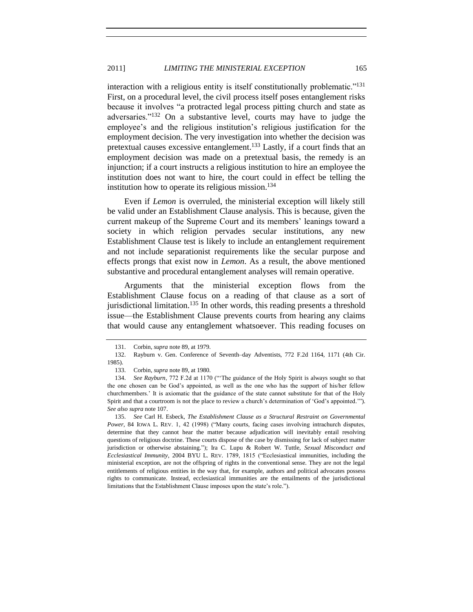interaction with a religious entity is itself constitutionally problematic."<sup>131</sup> First, on a procedural level, the civil process itself poses entanglement risks because it involves "a protracted legal process pitting church and state as adversaries."<sup>132</sup> On a substantive level, courts may have to judge the employee's and the religious institution's religious justification for the employment decision. The very investigation into whether the decision was pretextual causes excessive entanglement.<sup>133</sup> Lastly, if a court finds that an employment decision was made on a pretextual basis, the remedy is an injunction; if a court instructs a religious institution to hire an employee the institution does not want to hire, the court could in effect be telling the institution how to operate its religious mission. $134$ 

Even if *Lemon* is overruled, the ministerial exception will likely still be valid under an Establishment Clause analysis. This is because, given the current makeup of the Supreme Court and its members' leanings toward a society in which religion pervades secular institutions, any new Establishment Clause test is likely to include an entanglement requirement and not include separationist requirements like the secular purpose and effects prongs that exist now in *Lemon*. As a result, the above mentioned substantive and procedural entanglement analyses will remain operative.

<span id="page-24-0"></span>Arguments that the ministerial exception flows from the Establishment Clause focus on a reading of that clause as a sort of jurisdictional limitation.<sup>135</sup> In other words, this reading presents a threshold issue—the Establishment Clause prevents courts from hearing any claims that would cause any entanglement whatsoever. This reading focuses on

<sup>131.</sup> Corbin, *supra* not[e 89,](#page-16-2) at 1979.

<sup>132.</sup> Rayburn v. Gen. Conference of Seventh–day Adventists, 772 F.2d 1164, 1171 (4th Cir. 1985).

<sup>133.</sup> Corbin, *supra* not[e 89,](#page-16-2) at 1980.

<sup>134.</sup> *See Rayburn*, 772 F.2d at 1170 ("'The guidance of the Holy Spirit is always sought so that the one chosen can be God's appointed, as well as the one who has the support of his/her fellow churchmembers.' It is axiomatic that the guidance of the state cannot substitute for that of the Holy Spirit and that a courtroom is not the place to review a church's determination of 'God's appointed.'"). *See also supra* not[e 107.](#page-20-1)

<sup>135.</sup> *See* Carl H. Esbeck, *The Establishment Clause as a Structural Restraint on Governmental Power*, 84 IOWA L. REV. 1, 42 (1998) ("Many courts, facing cases involving intrachurch disputes, determine that they cannot hear the matter because adjudication will inevitably entail resolving questions of religious doctrine. These courts dispose of the case by dismissing for lack of subject matter jurisdiction or otherwise abstaining."); Ira C. Lupu & Robert W. Tuttle, *Sexual Misconduct and Ecclesiastical Immunity*, 2004 BYU L. REV. 1789, 1815 ("Ecclesiastical immunities, including the ministerial exception, are not the offspring of rights in the conventional sense. They are not the legal entitlements of religious entities in the way that, for example, authors and political advocates possess rights to communicate. Instead, ecclesiastical immunities are the entailments of the jurisdictional limitations that the Establishment Clause imposes upon the state's role.").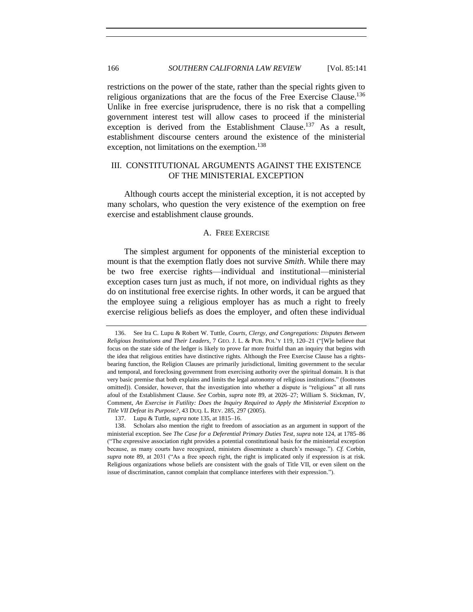restrictions on the power of the state, rather than the special rights given to religious organizations that are the focus of the Free Exercise Clause.<sup>136</sup> Unlike in free exercise jurisprudence, there is no risk that a compelling government interest test will allow cases to proceed if the ministerial exception is derived from the Establishment Clause.<sup>137</sup> As a result, establishment discourse centers around the existence of the ministerial exception, not limitations on the exemption.<sup>138</sup>

# <span id="page-25-0"></span>III. CONSTITUTIONAL ARGUMENTS AGAINST THE EXISTENCE OF THE MINISTERIAL EXCEPTION

<span id="page-25-1"></span>Although courts accept the ministerial exception, it is not accepted by many scholars, who question the very existence of the exemption on free exercise and establishment clause grounds.

#### <span id="page-25-2"></span>A. FREE EXERCISE

The simplest argument for opponents of the ministerial exception to mount is that the exemption flatly does not survive *Smith*. While there may be two free exercise rights—individual and institutional—ministerial exception cases turn just as much, if not more, on individual rights as they do on institutional free exercise rights. In other words, it can be argued that the employee suing a religious employer has as much a right to freely exercise religious beliefs as does the employer, and often these individual

<sup>136.</sup> See Ira C. Lupu & Robert W. Tuttle, *Courts, Clergy, and Congregations: Disputes Between Religious Institutions and Their Leaders*, 7 GEO. J. L. & PUB. POL'Y 119, 120–21 ("[W]e believe that focus on the state side of the ledger is likely to prove far more fruitful than an inquiry that begins with the idea that religious entities have distinctive rights. Although the Free Exercise Clause has a rightsbearing function, the Religion Clauses are primarily jurisdictional, limiting government to the secular and temporal, and foreclosing government from exercising authority over the spiritual domain. It is that very basic premise that both explains and limits the legal autonomy of religious institutions." (footnotes omitted)). Consider, however, that the investigation into whether a dispute is "religious" at all runs afoul of the Establishment Clause. *See* Corbin, *supra* note [89,](#page-16-2) at 2026–27; William S. Stickman, IV, Comment, *An Exercise in Futility: Does the Inquiry Required to Apply the Ministerial Exception to Title VII Defeat its Purpose?*, 43 DUQ. L. REV. 285, 297 (2005).

<sup>137.</sup> Lupu & Tuttle, *supra* not[e 135,](#page-24-0) at 1815–16.

<sup>138.</sup> Scholars also mention the right to freedom of association as an argument in support of the ministerial exception. See *The Case for a Deferential Primary Duties Test*, *supra* not[e 124,](#page-22-1) at 1785–86 ("The expressive association right provides a potential constitutional basis for the ministerial exception because, as many courts have recognized, ministers disseminate a church's message."). *Cf.* Corbin, *supra* note [89,](#page-16-2) at 2031 ("As a free speech right, the right is implicated only if expression is at risk. Religious organizations whose beliefs are consistent with the goals of Title VII, or even silent on the issue of discrimination, cannot complain that compliance interferes with their expression.").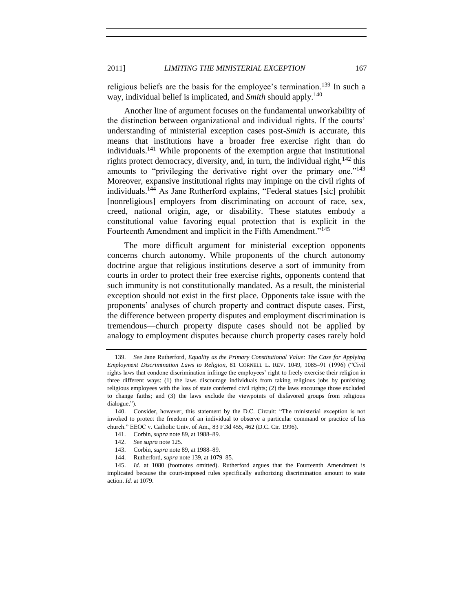religious beliefs are the basis for the employee's termination.<sup>139</sup> In such a way, individual belief is implicated, and *Smith* should apply.<sup>140</sup>

Another line of argument focuses on the fundamental unworkability of the distinction between organizational and individual rights. If the courts' understanding of ministerial exception cases post-*Smith* is accurate, this means that institutions have a broader free exercise right than do individuals.<sup>141</sup> While proponents of the exemption argue that institutional rights protect democracy, diversity, and, in turn, the individual right,  $142$  this amounts to "privileging the derivative right over the primary one."<sup>143</sup> Moreover, expansive institutional rights may impinge on the civil rights of individuals.<sup>144</sup> As Jane Rutherford explains, "Federal statues [sic] prohibit [nonreligious] employers from discriminating on account of race, sex, creed, national origin, age, or disability. These statutes embody a constitutional value favoring equal protection that is explicit in the Fourteenth Amendment and implicit in the Fifth Amendment."<sup>145</sup>

<span id="page-26-0"></span>The more difficult argument for ministerial exception opponents concerns church autonomy. While proponents of the church autonomy doctrine argue that religious institutions deserve a sort of immunity from courts in order to protect their free exercise rights, opponents contend that such immunity is not constitutionally mandated. As a result, the ministerial exception should not exist in the first place. Opponents take issue with the proponents' analyses of church property and contract dispute cases. First, the difference between property disputes and employment discrimination is tremendous—church property dispute cases should not be applied by analogy to employment disputes because church property cases rarely hold

- 141. Corbin, *supra* not[e 89,](#page-16-2) at 1988–89.
- 142. *See supra* not[e 125.](#page-22-3)
- 143. Corbin, *supra* not[e 89,](#page-16-2) at 1988–89.
- 144. Rutherford, *supra* not[e 139,](#page-26-3) at 1079–85.

<span id="page-26-3"></span><span id="page-26-2"></span><span id="page-26-1"></span>

<sup>139.</sup> *See* Jane Rutherford, *Equality as the Primary Constitutional Value: The Case for Applying Employment Discrimination Laws to Religion*, 81 CORNELL L. REV. 1049, 1085–91 (1996) ("Civil rights laws that condone discrimination infringe the employees' right to freely exercise their religion in three different ways: (1) the laws discourage individuals from taking religious jobs by punishing religious employees with the loss of state conferred civil rights; (2) the laws encourage those excluded to change faiths; and (3) the laws exclude the viewpoints of disfavored groups from religious dialogue.").

<sup>140.</sup> Consider, however, this statement by the D.C. Circuit: "The ministerial exception is not invoked to protect the freedom of an individual to observe a particular command or practice of his church." EEOC v. Catholic Univ. of Am., 83 F.3d 455, 462 (D.C. Cir. 1996).

<sup>145.</sup> *Id.* at 1080 (footnotes omitted). Rutherford argues that the Fourteenth Amendment is implicated because the court-imposed rules specifically authorizing discrimination amount to state action. *Id.* at 1079.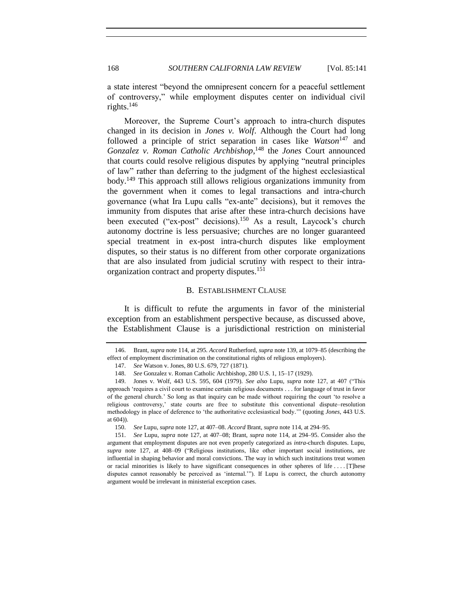a state interest "beyond the omnipresent concern for a peaceful settlement of controversy," while employment disputes center on individual civil rights. $146$ 

<span id="page-27-5"></span><span id="page-27-4"></span>Moreover, the Supreme Court's approach to intra-church disputes changed in its decision in *Jones v. Wolf*. Although the Court had long followed a principle of strict separation in cases like *Watson*<sup>147</sup> and *Gonzalez v. Roman Catholic Archbishop*, <sup>148</sup> the *Jones* Court announced that courts could resolve religious disputes by applying "neutral principles of law" rather than deferring to the judgment of the highest ecclesiastical body.<sup>149</sup> This approach still allows religious organizations immunity from the government when it comes to legal transactions and intra-church governance (what Ira Lupu calls "ex-ante" decisions), but it removes the immunity from disputes that arise after these intra-church decisions have been executed ("ex-post" decisions).<sup>150</sup> As a result, Laycock's church autonomy doctrine is less persuasive; churches are no longer guaranteed special treatment in ex-post intra-church disputes like employment disputes, so their status is no different from other corporate organizations that are also insulated from judicial scrutiny with respect to their intraorganization contract and property disputes.<sup>151</sup>

#### <span id="page-27-3"></span><span id="page-27-2"></span><span id="page-27-1"></span>B. ESTABLISHMENT CLAUSE

<span id="page-27-0"></span>It is difficult to refute the arguments in favor of the ministerial exception from an establishment perspective because, as discussed above, the Establishment Clause is a jurisdictional restriction on ministerial

<sup>146.</sup> Brant, *supra* note [114,](#page-21-0) at 295. *Accord* Rutherford, *supra* not[e 139,](#page-26-3) at 1079–85 (describing the effect of employment discrimination on the constitutional rights of religious employers).

<sup>147.</sup> *See* Watson v. Jones, 80 U.S. 679, 727 (1871).

<sup>148.</sup> *See* Gonzalez v. Roman Catholic Archbishop, 280 U.S. 1, 15–17 (1929).

<sup>149.</sup> Jones v. Wolf, 443 U.S. 595, 604 (1979). *See also* Lupu, *supra* note [127,](#page-22-2) at 407 ("This approach 'requires a civil court to examine certain religious documents . . . for language of trust in favor of the general church.' So long as that inquiry can be made without requiring the court 'to resolve a religious controversy,' state courts are free to substitute this conventional dispute–resolution methodology in place of deference to 'the authoritative ecclesiastical body.'" (quoting *Jones*, 443 U.S. at 604)).

<sup>150.</sup> *See* Lupu, *supra* not[e 127,](#page-22-2) at 407–08. *Accord* Brant, *supra* not[e 114,](#page-21-0) at 294–95.

<sup>151.</sup> *See* Lupu, *supra* note [127,](#page-22-2) at 407–08; Brant, *supra* note [114,](#page-21-0) at 294–95. Consider also the argument that employment disputes are not even properly categorized as *intra*-church disputes. Lupu, *supra* note [127,](#page-22-2) at 408–09 ("Religious institutions, like other important social institutions, are influential in shaping behavior and moral convictions. The way in which such institutions treat women or racial minorities is likely to have significant consequences in other spheres of life . . . . [T]hese disputes cannot reasonably be perceived as 'internal.'"). If Lupu is correct, the church autonomy argument would be irrelevant in ministerial exception cases.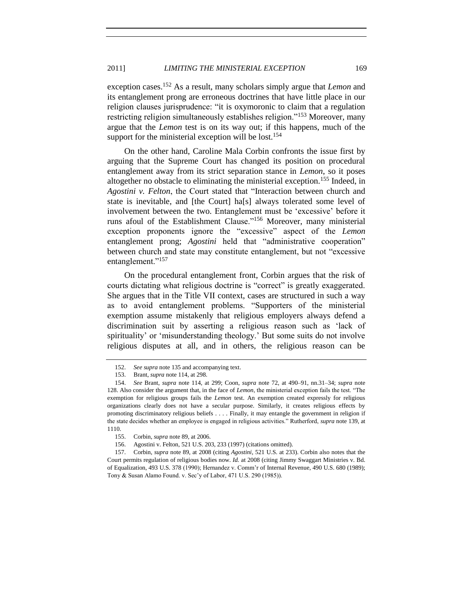exception cases.<sup>152</sup> As a result, many scholars simply argue that *Lemon* and its entanglement prong are erroneous doctrines that have little place in our religion clauses jurisprudence: "it is oxymoronic to claim that a regulation restricting religion simultaneously establishes religion."<sup>153</sup> Moreover, many argue that the *Lemon* test is on its way out; if this happens, much of the support for the ministerial exception will be lost.<sup>154</sup>

On the other hand, Caroline Mala Corbin confronts the issue first by arguing that the Supreme Court has changed its position on procedural entanglement away from its strict separation stance in *Lemon*, so it poses altogether no obstacle to eliminating the ministerial exception.<sup>155</sup> Indeed, in *Agostini v. Felton*, the Court stated that "Interaction between church and state is inevitable, and [the Court] ha[s] always tolerated some level of involvement between the two. Entanglement must be 'excessive' before it runs afoul of the Establishment Clause."<sup>156</sup> Moreover, many ministerial exception proponents ignore the "excessive" aspect of the *Lemon* entanglement prong; *Agostini* held that "administrative cooperation" between church and state may constitute entanglement, but not "excessive entanglement."<sup>157</sup>

<span id="page-28-0"></span>On the procedural entanglement front, Corbin argues that the risk of courts dictating what religious doctrine is "correct" is greatly exaggerated. She argues that in the Title VII context, cases are structured in such a way as to avoid entanglement problems. "Supporters of the ministerial exemption assume mistakenly that religious employers always defend a discrimination suit by asserting a religious reason such as 'lack of spirituality' or 'misunderstanding theology.' But some suits do not involve religious disputes at all, and in others, the religious reason can be

<sup>152.</sup> *See supra* not[e 135](#page-24-0) and accompanying text.

<sup>153.</sup> Brant, *supra* note [114,](#page-21-0) at 298.

<sup>154.</sup> *See* Brant, *supra* note [114,](#page-21-0) at 299; Coon, *supra* note [72,](#page-13-1) at 490–91, nn.31–34; *supra* note [128.](#page-23-0) Also consider the argument that, in the face of *Lemon*, the ministerial exception fails the test. "The exemption for religious groups fails the *Lemon* test. An exemption created expressly for religious organizations clearly does not have a secular purpose. Similarly, it creates religious effects by promoting discriminatory religious beliefs . . . . Finally, it may entangle the government in religion if the state decides whether an employee is engaged in religious activities." Rutherford, *supra* not[e 139,](#page-26-3) at 1110.

<sup>155.</sup> Corbin, *supra* not[e 89,](#page-16-2) at 2006.

<sup>156.</sup> Agostini v. Felton, 521 U.S. 203, 233 (1997) (citations omitted).

<sup>157.</sup> Corbin, *supra* not[e 89,](#page-16-2) at 2008 (citing *Agostini*, 521 U.S. at 233). Corbin also notes that the Court permits regulation of religious bodies now. *Id.* at 2008 (citing Jimmy Swaggart Ministries v. Bd. of Equalization, 493 U.S. 378 (1990); Hernandez v. Comm'r of Internal Revenue, 490 U.S. 680 (1989); Tony & Susan Alamo Found. v. Sec'y of Labor, 471 U.S. 290 (1985)).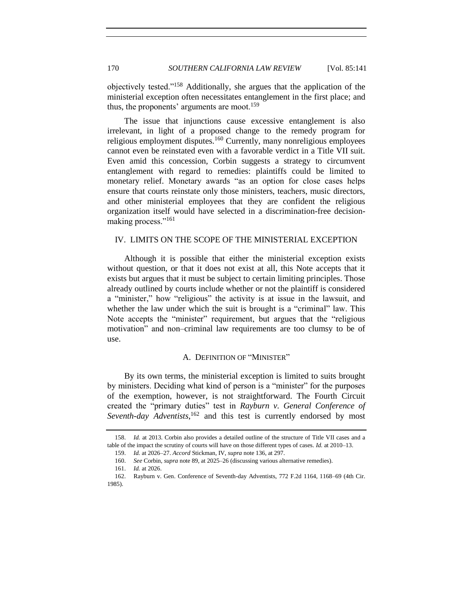objectively tested."<sup>158</sup> Additionally, she argues that the application of the ministerial exception often necessitates entanglement in the first place; and thus, the proponents' arguments are moot.<sup>159</sup>

The issue that injunctions cause excessive entanglement is also irrelevant, in light of a proposed change to the remedy program for religious employment disputes.<sup>160</sup> Currently, many nonreligious employees cannot even be reinstated even with a favorable verdict in a Title VII suit. Even amid this concession, Corbin suggests a strategy to circumvent entanglement with regard to remedies: plaintiffs could be limited to monetary relief. Monetary awards "as an option for close cases helps ensure that courts reinstate only those ministers, teachers, music directors, and other ministerial employees that they are confident the religious organization itself would have selected in a discrimination-free decisionmaking process."<sup>161</sup>

# <span id="page-29-0"></span>IV. LIMITS ON THE SCOPE OF THE MINISTERIAL EXCEPTION

Although it is possible that either the ministerial exception exists without question, or that it does not exist at all, this Note accepts that it exists but argues that it must be subject to certain limiting principles. Those already outlined by courts include whether or not the plaintiff is considered a "minister," how "religious" the activity is at issue in the lawsuit, and whether the law under which the suit is brought is a "criminal" law. This Note accepts the "minister" requirement, but argues that the "religious motivation" and non–criminal law requirements are too clumsy to be of use.

#### A. DEFINITION OF "MINISTER"

<span id="page-29-1"></span>By its own terms, the ministerial exception is limited to suits brought by ministers. Deciding what kind of person is a "minister" for the purposes of the exemption, however, is not straightforward. The Fourth Circuit created the "primary duties" test in *Rayburn v. General Conference of Seventh-day Adventists*, <sup>162</sup> and this test is currently endorsed by most

<sup>158.</sup> *Id.* at 2013. Corbin also provides a detailed outline of the structure of Title VII cases and a table of the impact the scrutiny of courts will have on those different types of cases. *Id.* at 2010–13.

<sup>159.</sup> *Id.* at 2026–27. *Accord* Stickman, IV, *supra* not[e 136,](#page-25-2) at 297.

<sup>160.</sup> *See* Corbin, *supra* not[e 89,](#page-16-2) at 2025–26 (discussing various alternative remedies).

<sup>161.</sup> *Id.* at 2026.

<sup>162.</sup> Rayburn v. Gen. Conference of Seventh-day Adventists, 772 F.2d 1164, 1168–69 (4th Cir. 1985).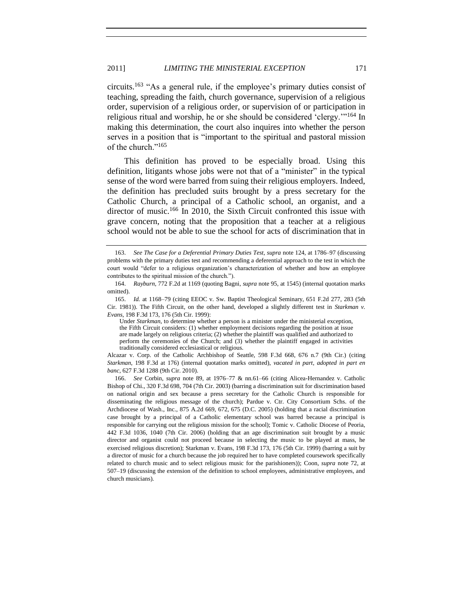circuits.<sup>163</sup> "As a general rule, if the employee's primary duties consist of teaching, spreading the faith, church governance, supervision of a religious order, supervision of a religious order, or supervision of or participation in religious ritual and worship, he or she should be considered 'clergy.'"<sup>164</sup> In making this determination, the court also inquires into whether the person serves in a position that is "important to the spiritual and pastoral mission of the church."<sup>165</sup>

<span id="page-30-0"></span>This definition has proved to be especially broad. Using this definition, litigants whose jobs were not that of a "minister" in the typical sense of the word were barred from suing their religious employers. Indeed, the definition has precluded suits brought by a press secretary for the Catholic Church, a principal of a Catholic school, an organist, and a director of music.<sup>166</sup> In 2010, the Sixth Circuit confronted this issue with grave concern, noting that the proposition that a teacher at a religious school would not be able to sue the school for acts of discrimination that in

165. *Id.* at 1168–79 (citing EEOC v. Sw. Baptist Theological Seminary, 651 F.2d 277, 283 (5th Cir. 1981)). The Fifth Circuit, on the other hand, developed a slightly different test in *Starkman v. Evans*, 198 F.3d 173, 176 (5th Cir. 1999):

Under *Starkman*, to determine whether a person is a minister under the ministerial exception, the Fifth Circuit considers: (1) whether employment decisions regarding the position at issue are made largely on religious criteria; (2) whether the plaintiff was qualified and authorized to perform the ceremonies of the Church; and (3) whether the plaintiff engaged in activities traditionally considered ecclesiastical or religious.

Alcazar v. Corp. of the Catholic Archbishop of Seattle, 598 F.3d 668, 676 n.7 (9th Cir.) (citing *Starkman*, 198 F.3d at 176) (internal quotation marks omitted), *vacated in part, adopted in part en banc*, 627 F.3d 1288 (9th Cir. 2010).

166. *See* Corbin, *supra* note [89,](#page-16-2) at 1976–77 & nn.61–66 (citing Alicea-Hernandez v. Catholic Bishop of Chi., 320 F.3d 698, 704 (7th Cir. 2003) (barring a discrimination suit for discrimination based on national origin and sex because a press secretary for the Catholic Church is responsible for disseminating the religious message of the church); Pardue v. Ctr. City Consortium Schs. of the Archdiocese of Wash., Inc., 875 A.2d 669, 672, 675 (D.C. 2005) (holding that a racial discrimination case brought by a principal of a Catholic elementary school was barred because a principal is responsible for carrying out the religious mission for the school); Tomic v. Catholic Diocese of Peoria, 442 F.3d 1036, 1040 (7th Cir. 2006) (holding that an age discrimination suit brought by a music director and organist could not proceed because in selecting the music to be played at mass, he exercised religious discretion); Starkman v. Evans, 198 F.3d 173, 176 (5th Cir. 1999) (barring a suit by a director of music for a church because the job required her to have completed coursework specifically related to church music and to select religious music for the parishioners)); Coon, *supra* note [72,](#page-13-1) at 507–19 (discussing the extension of the definition to school employees, administrative employees, and church musicians).

<sup>163.</sup> *See The Case for a Deferential Primary Duties Test*, *supra* not[e 124,](#page-22-1) at 1786–97 (discussing problems with the primary duties test and recommending a deferential approach to the test in which the court would "defer to a religious organization's characterization of whether and how an employee contributes to the spiritual mission of the church.").

<sup>164.</sup> *Rayburn*, 772 F.2d at 1169 (quoting Bagni, *supra* not[e 95,](#page-17-1) at 1545) (internal quotation marks omitted).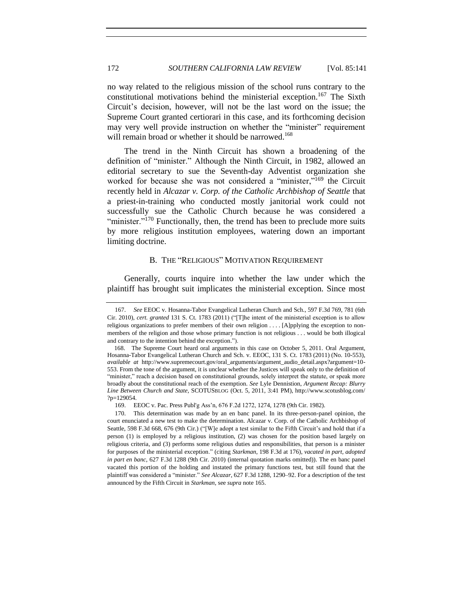<span id="page-31-3"></span>no way related to the religious mission of the school runs contrary to the constitutional motivations behind the ministerial exception.<sup>167</sup> The Sixth Circuit's decision, however, will not be the last word on the issue; the Supreme Court granted certiorari in this case, and its forthcoming decision may very well provide instruction on whether the "minister" requirement will remain broad or whether it should be narrowed.<sup>168</sup>

The trend in the Ninth Circuit has shown a broadening of the definition of "minister." Although the Ninth Circuit, in 1982, allowed an editorial secretary to sue the Seventh-day Adventist organization she worked for because she was not considered a "minister,"<sup>169</sup> the Circuit recently held in *Alcazar v. Corp. of the Catholic Archbishop of Seattle* that a priest-in-training who conducted mostly janitorial work could not successfully sue the Catholic Church because he was considered a "minister."<sup>170</sup> Functionally, then, the trend has been to preclude more suits by more religious institution employees, watering down an important limiting doctrine.

# <span id="page-31-2"></span><span id="page-31-1"></span>B. THE "RELIGIOUS" MOTIVATION REQUIREMENT

<span id="page-31-0"></span>Generally, courts inquire into whether the law under which the plaintiff has brought suit implicates the ministerial exception. Since most

<sup>167.</sup> *See* EEOC v. Hosanna-Tabor Evangelical Lutheran Church and Sch., 597 F.3d 769, 781 (6th Cir. 2010), *cert. granted* 131 S. Ct. 1783 (2011) ("[T]he intent of the ministerial exception is to allow religious organizations to prefer members of their own religion . . . . [A]pplying the exception to nonmembers of the religion and those whose primary function is not religious . . . would be both illogical and contrary to the intention behind the exception.").

<sup>168.</sup> The Supreme Court heard oral arguments in this case on October 5, 2011. Oral Argument, Hosanna-Tabor Evangelical Lutheran Church and Sch. v. EEOC, 131 S. Ct. 1783 (2011) (No. 10-553), *available at* http://www.supremecourt.gov/oral\_arguments/argument\_audio\_detail.aspx?argument=10- 553. From the tone of the argument, it is unclear whether the Justices will speak only to the definition of "minister," reach a decision based on constitutional grounds, solely interpret the statute, or speak more broadly about the constitutional reach of the exemption. *See* Lyle Dennistion, *Argument Recap: Blurry Line Between Church and State*, SCOTUSBLOG (Oct. 5, 2011, 3:41 PM), http://www.scotusblog.com/ ?p=129054.

<sup>169.</sup> EEOC v. Pac. Press Publ'g Ass'n, 676 F.2d 1272, 1274, 1278 (9th Cir. 1982).

<sup>170.</sup> This determination was made by an en banc panel. In its three-person-panel opinion, the court enunciated a new test to make the determination. Alcazar v. Corp. of the Catholic Archbishop of Seattle, 598 F.3d 668, 676 (9th Cir.) ("[W]e adopt a test similar to the Fifth Circuit's and hold that if a person (1) is employed by a religious institution, (2) was chosen for the position based largely on religious criteria, and (3) performs some religious duties and responsibilities, that person is a minister for purposes of the ministerial exception." (citing *Starkman*, 198 F.3d at 176), *vacated in part, adopted in part en banc*, 627 F.3d 1288 (9th Cir. 2010) (internal quotation marks omitted)). The en banc panel vacated this portion of the holding and instated the primary functions test, but still found that the plaintiff was considered a "minister." *See Alcazar*, 627 F.3d 1288, 1290–92. For a description of the test announced by the Fifth Circuit in *Starkman*, see *supra* not[e 165.](#page-30-0)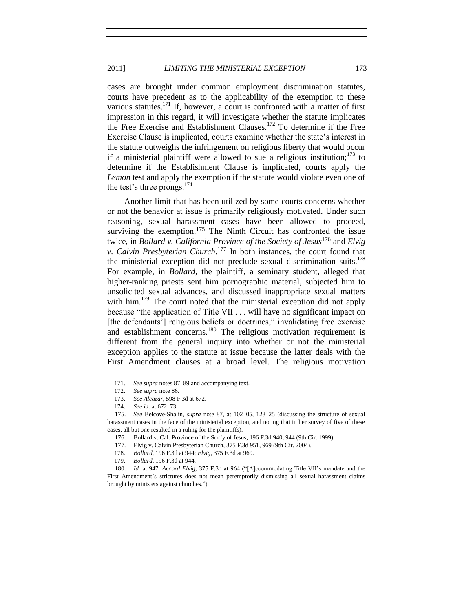cases are brought under common employment discrimination statutes, courts have precedent as to the applicability of the exemption to these various statutes.<sup>171</sup> If, however, a court is confronted with a matter of first impression in this regard, it will investigate whether the statute implicates the Free Exercise and Establishment Clauses.<sup>172</sup> To determine if the Free Exercise Clause is implicated, courts examine whether the state's interest in the statute outweighs the infringement on religious liberty that would occur if a ministerial plaintiff were allowed to sue a religious institution; $173$  to determine if the Establishment Clause is implicated, courts apply the *Lemon* test and apply the exemption if the statute would violate even one of the test's three prongs. $174$ 

<span id="page-32-0"></span>Another limit that has been utilized by some courts concerns whether or not the behavior at issue is primarily religiously motivated. Under such reasoning, sexual harassment cases have been allowed to proceed, surviving the exemption.<sup>175</sup> The Ninth Circuit has confronted the issue twice, in *Bollard v. California Province of the Society of Jesus*<sup>176</sup> and *Elvig v. Calvin Presbyterian Church*. <sup>177</sup> In both instances, the court found that the ministerial exception did not preclude sexual discrimination suits.<sup>178</sup> For example, in *Bollard*, the plaintiff, a seminary student, alleged that higher-ranking priests sent him pornographic material, subjected him to unsolicited sexual advances, and discussed inappropriate sexual matters with him.<sup>179</sup> The court noted that the ministerial exception did not apply because "the application of Title VII . . . will have no significant impact on [the defendants'] religious beliefs or doctrines," invalidating free exercise and establishment concerns.<sup>180</sup> The religious motivation requirement is different from the general inquiry into whether or not the ministerial exception applies to the statute at issue because the latter deals with the First Amendment clauses at a broad level. The religious motivation

<span id="page-32-1"></span><sup>171.</sup> *See supra* note[s 87](#page-15-1)[–89](#page-16-2) and accompanying text.

<sup>172.</sup> *See supra* not[e 86.](#page-15-0)

<sup>173.</sup> *See Alcazar*, 598 F.3d at 672.

<sup>174.</sup> *See id.* at 672–73.

<sup>175.</sup> *See* Belcove-Shalin, *supra* note [87,](#page-15-1) at 102–05, 123–25 (discussing the structure of sexual harassment cases in the face of the ministerial exception, and noting that in her survey of five of these cases, all but one resulted in a ruling for the plaintiffs).

<sup>176.</sup> Bollard v. Cal. Province of the Soc'y of Jesus, 196 F.3d 940, 944 (9th Cir. 1999).

<sup>177.</sup> Elvig v. Calvin Presbyterian Church, 375 F.3d 951, 969 (9th Cir. 2004).

<sup>178.</sup> *Bollard*, 196 F.3d at 944; *Elvig*, 375 F.3d at 969.

<sup>179.</sup> *Bollard*, 196 F.3d at 944.

<sup>180.</sup> *Id.* at 947. *Accord Elvig*, 375 F.3d at 964 ("[A]ccommodating Title VII's mandate and the First Amendment's strictures does not mean peremptorily dismissing all sexual harassment claims brought by ministers against churches.").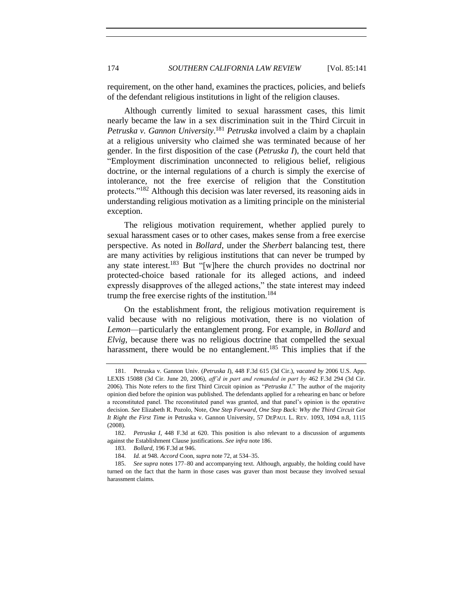requirement, on the other hand, examines the practices, policies, and beliefs of the defendant religious institutions in light of the religion clauses.

<span id="page-33-0"></span>Although currently limited to sexual harassment cases, this limit nearly became the law in a sex discrimination suit in the Third Circuit in *Petruska v. Gannon University*. <sup>181</sup> *Petruska* involved a claim by a chaplain at a religious university who claimed she was terminated because of her gender. In the first disposition of the case (*Petruska I*), the court held that "Employment discrimination unconnected to religious belief, religious doctrine, or the internal regulations of a church is simply the exercise of intolerance, not the free exercise of religion that the Constitution protects."<sup>182</sup> Although this decision was later reversed, its reasoning aids in understanding religious motivation as a limiting principle on the ministerial exception.

The religious motivation requirement, whether applied purely to sexual harassment cases or to other cases, makes sense from a free exercise perspective. As noted in *Bollard*, under the *Sherbert* balancing test, there are many activities by religious institutions that can never be trumped by any state interest.<sup>183</sup> But "[w]here the church provides no doctrinal nor protected-choice based rationale for its alleged actions, and indeed expressly disapproves of the alleged actions," the state interest may indeed trump the free exercise rights of the institution.<sup>184</sup>

On the establishment front, the religious motivation requirement is valid because with no religious motivation, there is no violation of *Lemon*—particularly the entanglement prong. For example, in *Bollard* and *Elvig*, because there was no religious doctrine that compelled the sexual harassment, there would be no entanglement.<sup>185</sup> This implies that if the

<sup>181.</sup> Petruska v. Gannon Univ. (*Petruska I*), 448 F.3d 615 (3d Cir.), *vacated by* 2006 U.S. App. LEXIS 15088 (3d Cir. June 20, 2006), *aff'd in part and remanded in part by* 462 F.3d 294 (3d Cir. 2006). This Note refers to the first Third Circuit opinion as "*Petruska I*." The author of the majority opinion died before the opinion was published. The defendants applied for a rehearing en banc or before a reconstituted panel. The reconstituted panel was granted, and that panel's opinion is the operative decision. *See* Elizabeth R. Pozolo, Note, *One Step Forward, One Step Back: Why the Third Circuit Got It Right the First Time in* Petruska v. Gannon University, 57 DEPAUL L. REV. 1093, 1094 n.8, 1115 (2008).

<sup>182.</sup> *Petruska I*, 448 F.3d at 620. This position is also relevant to a discussion of arguments against the Establishment Clause justifications. *See infra* not[e 186.](#page-34-0)

<sup>183.</sup> *Bollard*, 196 F.3d at 946.

<sup>184.</sup> *Id.* at 948. *Accord* Coon, *supra* not[e 72,](#page-13-1) at 534–35.

<sup>185.</sup> *See supra* notes [177–](#page-32-0)[80](#page-32-1) and accompanying text. Although, arguably, the holding could have turned on the fact that the harm in those cases was graver than most because they involved sexual harassment claims.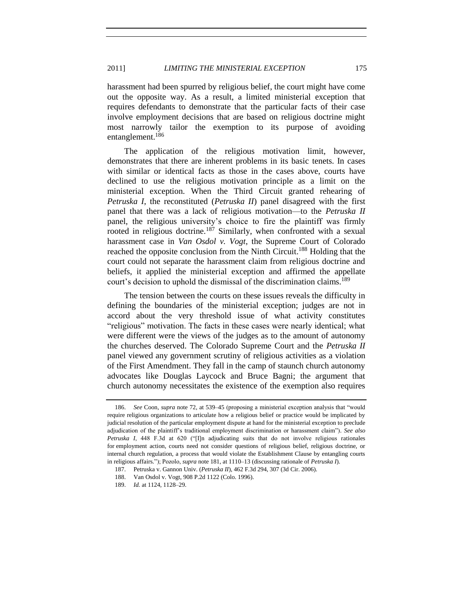harassment had been spurred by religious belief, the court might have come out the opposite way. As a result, a limited ministerial exception that requires defendants to demonstrate that the particular facts of their case involve employment decisions that are based on religious doctrine might most narrowly tailor the exemption to its purpose of avoiding entanglement.<sup>186</sup>

<span id="page-34-0"></span>The application of the religious motivation limit, however, demonstrates that there are inherent problems in its basic tenets. In cases with similar or identical facts as those in the cases above, courts have declined to use the religious motivation principle as a limit on the ministerial exception. When the Third Circuit granted rehearing of *Petruska I*, the reconstituted (*Petruska II*) panel disagreed with the first panel that there was a lack of religious motivation—to the *Petruska II* panel, the religious university's choice to fire the plaintiff was firmly rooted in religious doctrine.<sup>187</sup> Similarly, when confronted with a sexual harassment case in *Van Osdol v. Vogt*, the Supreme Court of Colorado reached the opposite conclusion from the Ninth Circuit.<sup>188</sup> Holding that the court could not separate the harassment claim from religious doctrine and beliefs, it applied the ministerial exception and affirmed the appellate court's decision to uphold the dismissal of the discrimination claims.<sup>189</sup>

The tension between the courts on these issues reveals the difficulty in defining the boundaries of the ministerial exception; judges are not in accord about the very threshold issue of what activity constitutes "religious" motivation. The facts in these cases were nearly identical; what were different were the views of the judges as to the amount of autonomy the churches deserved. The Colorado Supreme Court and the *Petruska II* panel viewed any government scrutiny of religious activities as a violation of the First Amendment. They fall in the camp of staunch church autonomy advocates like Douglas Laycock and Bruce Bagni; the argument that church autonomy necessitates the existence of the exemption also requires

<sup>186.</sup> *See* Coon, *supra* not[e 72,](#page-13-1) at 539–45 (proposing a ministerial exception analysis that "would require religious organizations to articulate how a religious belief or practice would be implicated by judicial resolution of the particular employment dispute at hand for the ministerial exception to preclude adjudication of the plaintiff's traditional employment discrimination or harassment claim"). *See also Petruska I*, 448 F.3d at 620 ("[I]n adjudicating suits that do not involve religious rationales for employment action, courts need not consider questions of religious belief, religious doctrine, or internal church regulation, a process that would violate the Establishment Clause by entangling courts in religious affairs."); Pozolo, *supra* not[e 181,](#page-33-0) at 1110–13 (discussing rationale of *Petruska I*).

<sup>187.</sup> Petruska v. Gannon Univ. (*Petruska II*), 462 F.3d 294, 307 (3d Cir. 2006).

<sup>188.</sup> Van Osdol v. Vogt, 908 P.2d 1122 (Colo. 1996).

<sup>189.</sup> *Id.* at 1124, 1128–29.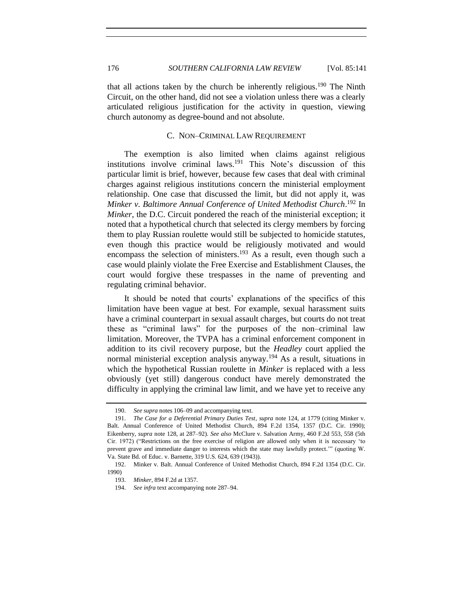that all actions taken by the church be inherently religious.<sup>190</sup> The Ninth Circuit, on the other hand, did not see a violation unless there was a clearly articulated religious justification for the activity in question, viewing church autonomy as degree-bound and not absolute.

# <span id="page-35-3"></span><span id="page-35-2"></span><span id="page-35-1"></span>C. NON–CRIMINAL LAW REQUIREMENT

<span id="page-35-0"></span>The exemption is also limited when claims against religious institutions involve criminal laws.<sup>191</sup> This Note's discussion of this particular limit is brief, however, because few cases that deal with criminal charges against religious institutions concern the ministerial employment relationship. One case that discussed the limit, but did not apply it, was *Minker v. Baltimore Annual Conference of United Methodist Church*. <sup>192</sup> In *Minker*, the D.C. Circuit pondered the reach of the ministerial exception; it noted that a hypothetical church that selected its clergy members by forcing them to play Russian roulette would still be subjected to homicide statutes, even though this practice would be religiously motivated and would encompass the selection of ministers.<sup>193</sup> As a result, even though such a case would plainly violate the Free Exercise and Establishment Clauses, the court would forgive these trespasses in the name of preventing and regulating criminal behavior.

It should be noted that courts' explanations of the specifics of this limitation have been vague at best. For example, sexual harassment suits have a criminal counterpart in sexual assault charges, but courts do not treat these as "criminal laws" for the purposes of the non–criminal law limitation. Moreover, the TVPA has a criminal enforcement component in addition to its civil recovery purpose, but the *Headley* court applied the normal ministerial exception analysis anyway.<sup>194</sup> As a result, situations in which the hypothetical Russian roulette in *Minker* is replaced with a less obviously (yet still) dangerous conduct have merely demonstrated the difficulty in applying the criminal law limit, and we have yet to receive any

<sup>190.</sup> *See supra* note[s 106](#page-19-0)[–09](#page-20-2) and accompanying text.

<sup>191.</sup> *The Case for a Deferential Primary Duties Test*, *supra* note [124,](#page-22-1) at 1779 (citing Minker v. Balt. Annual Conference of United Methodist Church, 894 F.2d 1354, 1357 (D.C. Cir. 1990); Eikenberry, *supra* note [128,](#page-23-0) at 287–92). *See also* McClure v. Salvation Army, 460 F.2d 553, 558 (5th Cir. 1972) ("Restrictions on the free exercise of religion are allowed only when it is necessary 'to prevent grave and immediate danger to interests which the state may lawfully protect.'" (quoting W. Va. State Bd. of Educ. v. Barnette, 319 U.S. 624, 639 (1943)).

<sup>192.</sup> Minker v. Balt. Annual Conference of United Methodist Church, 894 F.2d 1354 (D.C. Cir. 1990)

<sup>193.</sup> *Minker*, 894 F.2d at 1357.

<sup>194.</sup> *See infra* text accompanying not[e 287](#page-54-3)[–94.](#page-55-0)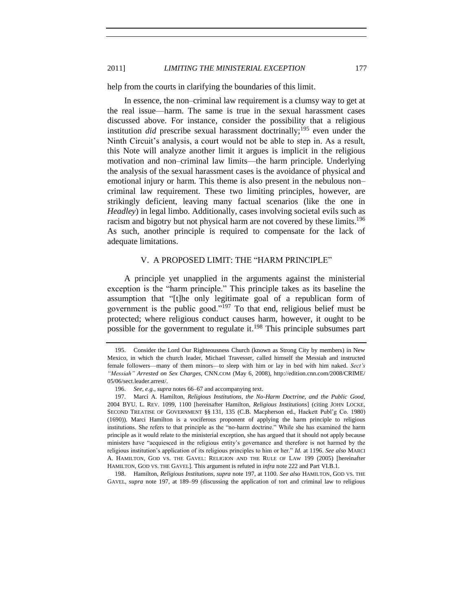# 2011] *LIMITING THE MINISTERIAL EXCEPTION* 177

help from the courts in clarifying the boundaries of this limit.

In essence, the non–criminal law requirement is a clumsy way to get at the real issue—harm. The same is true in the sexual harassment cases discussed above. For instance, consider the possibility that a religious institution *did* prescribe sexual harassment doctrinally;<sup>195</sup> even under the Ninth Circuit's analysis, a court would not be able to step in. As a result, this Note will analyze another limit it argues is implicit in the religious motivation and non–criminal law limits—the harm principle. Underlying the analysis of the sexual harassment cases is the avoidance of physical and emotional injury or harm. This theme is also present in the nebulous non– criminal law requirement. These two limiting principles, however, are strikingly deficient, leaving many factual scenarios (like the one in *Headley*) in legal limbo. Additionally, cases involving societal evils such as racism and bigotry but not physical harm are not covered by these limits.<sup>196</sup> As such, another principle is required to compensate for the lack of adequate limitations.

# <span id="page-36-1"></span>V. A PROPOSED LIMIT: THE "HARM PRINCIPLE"

<span id="page-36-0"></span>A principle yet unapplied in the arguments against the ministerial exception is the "harm principle." This principle takes as its baseline the assumption that "[t]he only legitimate goal of a republican form of government is the public good."<sup>197</sup> To that end, religious belief must be protected; where religious conduct causes harm, however, it ought to be possible for the government to regulate it.<sup>198</sup> This principle subsumes part

198. Hamilton, *Religious Institutions*, *supra* not[e 197,](#page-36-1) at 1100. *See also* HAMILTON, GOD VS. THE GAVEL, *supra* note 197, at 189–99 (discussing the application of tort and criminal law to religious

<sup>195.</sup> Consider the Lord Our Righteousness Church (known as Strong City by members) in New Mexico, in which the church leader, Michael Travesser, called himself the Messiah and instructed female followers—many of them minors—to sleep with him or lay in bed with him naked. *Sect's "Messiah" Arrested on Sex Charges*, CNN.COM (May 6, 2008), http://edition.cnn.com/2008/CRIME/ 05/06/sect.leader.arrest/.

<sup>196.</sup> *See, e.g.*, *supra* notes [66–](#page-11-1)[67](#page-11-0) and accompanying text.

<sup>197.</sup> Marci A. Hamilton, *Religious Institutions, the No-Harm Doctrine, and the Public Good*, 2004 BYU. L. REV. 1099, 1100 [hereinafter Hamilton, *Religious Institutions*] (citing JOHN LOCKE, SECOND TREATISE OF GOVERNMENT §§ 131, 135 (C.B. Macpherson ed., Hackett Publ'g Co. 1980) (1690)). Marci Hamilton is a vociferous proponent of applying the harm principle to religious institutions. She refers to that principle as the "no-harm doctrine." While she has examined the harm principle as it would relate to the ministerial exception, she has argued that it should not apply because ministers have "acquiesced in the religious entity's governance and therefore is not harmed by the religious institution's application of its religious principles to him or her." *Id.* at 1196. *See also* MARCI A. HAMILTON, GOD VS. THE GAVEL: RELIGION AND THE RULE OF LAW 199 (2005) [hereinafter HAMILTON, GOD VS. THE GAVEL]. This argument is refuted in *infra* not[e 222](#page-41-0) and Part VI.B.1.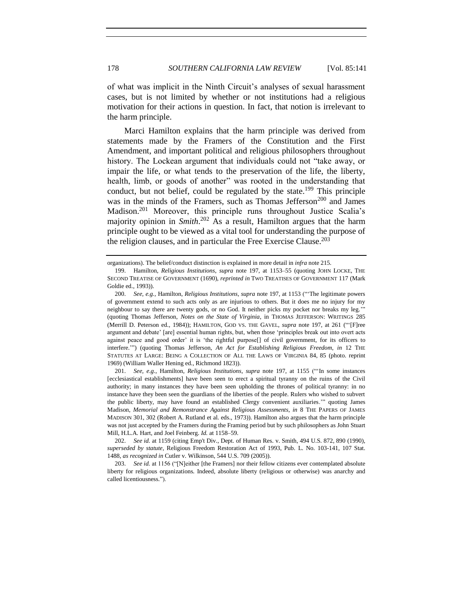of what was implicit in the Ninth Circuit's analyses of sexual harassment cases, but is not limited by whether or not institutions had a religious motivation for their actions in question. In fact, that notion is irrelevant to the harm principle.

Marci Hamilton explains that the harm principle was derived from statements made by the Framers of the Constitution and the First Amendment, and important political and religious philosophers throughout history. The Lockean argument that individuals could not "take away, or impair the life, or what tends to the preservation of the life, the liberty, health, limb, or goods of another" was rooted in the understanding that conduct, but not belief, could be regulated by the state.<sup>199</sup> This principle was in the minds of the Framers, such as Thomas Jefferson<sup>200</sup> and James Madison.<sup>201</sup> Moreover, this principle runs throughout Justice Scalia's majority opinion in *Smith*. <sup>202</sup> As a result, Hamilton argues that the harm principle ought to be viewed as a vital tool for understanding the purpose of the religion clauses, and in particular the Free Exercise Clause.<sup>203</sup>

201. *See, e.g.*, Hamilton, *Religious Institutions*, *supra* note [197,](#page-36-1) at 1155 ("'In some instances [ecclesiastical establishments] have been seen to erect a spiritual tyranny on the ruins of the Civil authority; in many instances they have been seen upholding the thrones of political tyranny: in no instance have they been seen the guardians of the liberties of the people. Rulers who wished to subvert the public liberty, may have found an established Clergy convenient auxiliaries.'" quoting James Madison, *Memorial and Remonstrance Against Religious Assessments*, *in* 8 THE PAPERS OF JAMES MADISON 301, 302 (Robert A. Rutland et al. eds., 1973)). Hamilton also argues that the harm principle was not just accepted by the Framers during the Framing period but by such philosophers as John Stuart Mill, H.L.A. Hart, and Joel Feinberg. *Id.* at 1158–59.

organizations). The belief/conduct distinction is explained in more detail in *infra* not[e 215.](#page-40-0)

<sup>199.</sup> Hamilton, *Religious Institutions*, *supra* note 197, at 1153–55 (quoting JOHN LOCKE, THE SECOND TREATISE OF GOVERNMENT (1690), *reprinted in* TWO TREATISES OF GOVERNMENT 117 (Mark Goldie ed., 1993)).

<sup>200.</sup> *See, e.g.*, Hamilton, *Religious Institutions*, *supra* note [197,](#page-36-1) at 1153 ("'The legitimate powers of government extend to such acts only as are injurious to others. But it does me no injury for my neighbour to say there are twenty gods, or no God. It neither picks my pocket nor breaks my leg.'" (quoting Thomas Jefferson, *Notes on the State of Virginia*, in THOMAS JEFFERSON: WRITINGS 285 (Merrill D. Peterson ed., 1984)); HAMILTON, GOD VS. THE GAVEL, *supra* note 197, at 261 ("'[F]ree argument and debate' [are] essential human rights, but, when those 'principles break out into overt acts against peace and good order' it is 'the rightful purpose[] of civil government, for its officers to interfere.'") (quoting Thomas Jefferson, *An Act for Establishing Religious Freedom*, *in* 12 THE STATUTES AT LARGE: BEING A COLLECTION OF ALL THE LAWS OF VIRGINIA 84, 85 (photo. reprint 1969) (William Waller Hening ed., Richmond 1823)).

<sup>202.</sup> *See id.* at 1159 (citing Emp't Div., Dept. of Human Res. v. Smith, 494 U.S. 872, 890 (1990), *superseded by statute*, Religious Freedom Restoration Act of 1993, Pub. L. No. 103-141, 107 Stat. 1488, *as recognized in* Cutler v. Wilkinson, 544 U.S. 709 (2005)).

<sup>203.</sup> *See id.* at 1156 ("[N]either [the Framers] nor their fellow citizens ever contemplated absolute liberty for religious organizations. Indeed, absolute liberty (religious or otherwise) was anarchy and called licentiousness.").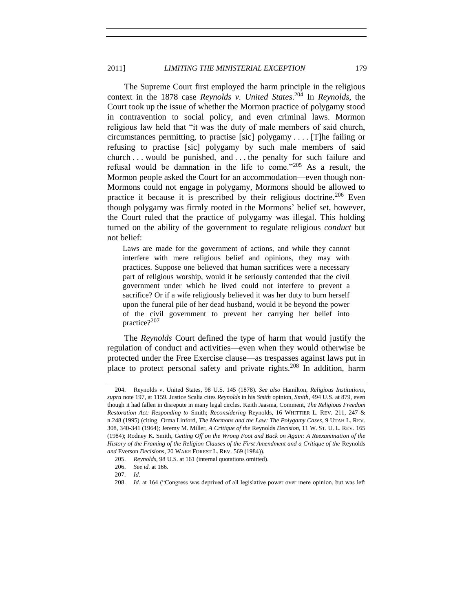# 2011] *LIMITING THE MINISTERIAL EXCEPTION* 179

<span id="page-38-3"></span>The Supreme Court first employed the harm principle in the religious context in the 1878 case *Reynolds v. United States*. <sup>204</sup> In *Reynolds*, the Court took up the issue of whether the Mormon practice of polygamy stood in contravention to social policy, and even criminal laws. Mormon religious law held that "it was the duty of male members of said church, circumstances permitting, to practise [sic] polygamy . . . . [T]he failing or refusing to practise [sic] polygamy by such male members of said church . . . would be punished, and . . . the penalty for such failure and refusal would be damnation in the life to come."<sup>205</sup> As a result, the Mormon people asked the Court for an accommodation—even though non-Mormons could not engage in polygamy, Mormons should be allowed to practice it because it is prescribed by their religious doctrine.<sup>206</sup> Even though polygamy was firmly rooted in the Mormons' belief set, however, the Court ruled that the practice of polygamy was illegal. This holding turned on the ability of the government to regulate religious *conduct* but not belief:

<span id="page-38-1"></span>Laws are made for the government of actions, and while they cannot interfere with mere religious belief and opinions, they may with practices. Suppose one believed that human sacrifices were a necessary part of religious worship, would it be seriously contended that the civil government under which he lived could not interfere to prevent a sacrifice? Or if a wife religiously believed it was her duty to burn herself upon the funeral pile of her dead husband, would it be beyond the power of the civil government to prevent her carrying her belief into practice?<sup>207</sup>

<span id="page-38-2"></span>The *Reynolds* Court defined the type of harm that would justify the regulation of conduct and activities—even when they would otherwise be protected under the Free Exercise clause—as trespasses against laws put in place to protect personal safety and private rights.<sup>208</sup> In addition, harm

<span id="page-38-0"></span><sup>204.</sup> Reynolds v. United States, 98 U.S. 145 (1878). *See also* Hamilton, *Religious Institutions*, *supra* note 197, at 1159. Justice Scalia cites *Reynolds* in his *Smith* opinion, *Smith*, 494 U.S. at 879, even though it had fallen in disrepute in many legal circles. Keith Jaasma, Comment, *The Religious Freedom Restoration Act: Responding to* Smith; *Reconsidering* Reynolds, 16 WHITTIER L. REV. 211, 247 & n.248 (1995) (citing Orma Linford, *The Mormons and the Law: The Polygamy Cases*, 9 UTAH L. REV. 308, 340-341 (1964); Jeremy M. Miller, *A Critique of the* Reynolds *Decision*, 11 W. ST. U. L. REV. 165 (1984); Rodney K. Smith, *Getting Off on the Wrong Foot and Back on Again: A Reexamination of the History of the Framing of the Religion Clauses of the First Amendment and a Critique of the* Reynolds *and* Everson *Decisions*, 20 WAKE FOREST L. REV. 569 (1984)).

<sup>205.</sup> *Reynolds*, 98 U.S. at 161 (internal quotations omitted).

<sup>206.</sup> *See id.* at 166.

<sup>207.</sup> *Id.*

<sup>208.</sup> *Id.* at 164 ("Congress was deprived of all legislative power over mere opinion, but was left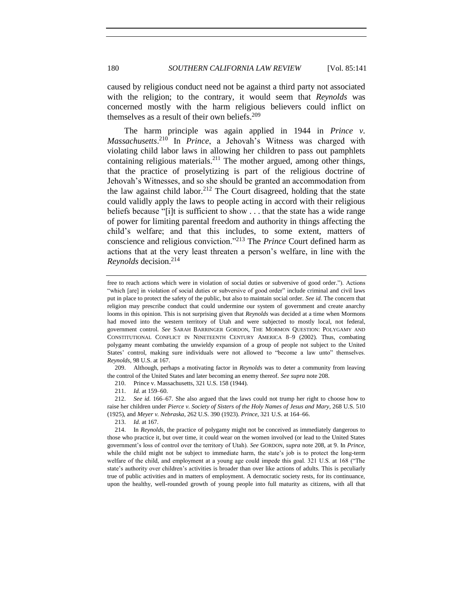caused by religious conduct need not be against a third party not associated with the religion; to the contrary, it would seem that *Reynolds* was concerned mostly with the harm religious believers could inflict on themselves as a result of their own beliefs. 209

The harm principle was again applied in 1944 in *Prince v. Massachusetts*. <sup>210</sup> In *Prince*, a Jehovah's Witness was charged with violating child labor laws in allowing her children to pass out pamphlets containing religious materials.<sup>211</sup> The mother argued, among other things, that the practice of proselytizing is part of the religious doctrine of Jehovah's Witnesses, and so she should be granted an accommodation from the law against child labor.<sup>212</sup> The Court disagreed, holding that the state could validly apply the laws to people acting in accord with their religious beliefs because "[i]t is sufficient to show . . . that the state has a wide range of power for limiting parental freedom and authority in things affecting the child's welfare; and that this includes, to some extent, matters of conscience and religious conviction."<sup>213</sup> The *Prince* Court defined harm as actions that at the very least threaten a person's welfare, in line with the *Reynolds* decision.<sup>214</sup>

209. Although, perhaps a motivating factor in *Reynolds* was to deter a community from leaving the control of the United States and later becoming an enemy thereof. *See supra* not[e 208.](#page-38-0)

210. Prince v. Massachusetts, 321 U.S. 158 (1944).

211. *Id.* at 159–60.

212. *See id.* 166–67. She also argued that the laws could not trump her right to choose how to raise her children under *Pierce v. Society of Sisters of the Holy Names of Jesus and Mary*, 268 U.S. 510 (1925), and *Meyer v. Nebraska*, 262 U.S. 390 (1923). *Prince*, 321 U.S. at 164–66.

213. *Id.* at 167.

<span id="page-39-1"></span><span id="page-39-0"></span>free to reach actions which were in violation of social duties or subversive of good order."). Actions "which [are] in violation of social duties or subversive of good order" include criminal and civil laws put in place to protect the safety of the public, but also to maintain social order. *See id.* The concern that religion may prescribe conduct that could undermine our system of government and create anarchy looms in this opinion. This is not surprising given that *Reynolds* was decided at a time when Mormons had moved into the western territory of Utah and were subjected to mostly local, not federal, government control. *See* SARAH BARRINGER GORDON, THE MORMON QUESTION: POLYGAMY AND CONSTITUTIONAL CONFLICT IN NINETEENTH CENTURY AMERICA 8–9 (2002). Thus, combating polygamy meant combating the unwieldy expansion of a group of people not subject to the United States' control, making sure individuals were not allowed to "become a law unto" themselves. *Reynolds*, 98 U.S. at 167.

<sup>214.</sup> In *Reynolds*, the practice of polygamy might not be conceived as immediately dangerous to those who practice it, but over time, it could wear on the women involved (or lead to the United States government's loss of control over the territory of Utah). *See* GORDON, *supra* not[e 208,](#page-38-0) at 9. In *Prince*, while the child might not be subject to immediate harm, the state's job is to protect the long-term welfare of the child, and employment at a young age could impede this goal. 321 U.S. at 168 ("The state's authority over children's activities is broader than over like actions of adults. This is peculiarly true of public activities and in matters of employment. A democratic society rests, for its continuance, upon the healthy, well-rounded growth of young people into full maturity as citizens, with all that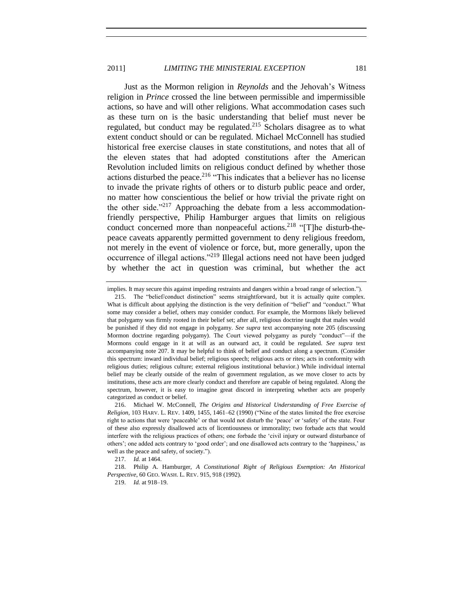<span id="page-40-1"></span>Just as the Mormon religion in *Reynolds* and the Jehovah's Witness religion in *Prince* crossed the line between permissible and impermissible actions, so have and will other religions. What accommodation cases such as these turn on is the basic understanding that belief must never be regulated, but conduct may be regulated.<sup>215</sup> Scholars disagree as to what extent conduct should or can be regulated. Michael McConnell has studied historical free exercise clauses in state constitutions, and notes that all of the eleven states that had adopted constitutions after the American Revolution included limits on religious conduct defined by whether those actions disturbed the peace.<sup>216</sup> "This indicates that a believer has no license to invade the private rights of others or to disturb public peace and order, no matter how conscientious the belief or how trivial the private right on the other side. $12^{17}$  Approaching the debate from a less accommodationfriendly perspective, Philip Hamburger argues that limits on religious conduct concerned more than nonpeaceful actions.<sup>218</sup> "[T]he disturb-thepeace caveats apparently permitted government to deny religious freedom, not merely in the event of violence or force, but, more generally, upon the occurrence of illegal actions."<sup>219</sup> Illegal actions need not have been judged by whether the act in question was criminal, but whether the act

<span id="page-40-3"></span><span id="page-40-0"></span>

<span id="page-40-2"></span>implies. It may secure this against impeding restraints and dangers within a broad range of selection.").

<sup>215.</sup> The "belief/conduct distinction" seems straightforward, but it is actually quite complex. What is difficult about applying the distinction is the very definition of "belief" and "conduct." What some may consider a belief, others may consider conduct. For example, the Mormons likely believed that polygamy was firmly rooted in their belief set; after all, religious doctrine taught that males would be punished if they did not engage in polygamy. *See supra* text accompanying note [205](#page-38-1) (discussing Mormon doctrine regarding polygamy). The Court viewed polygamy as purely "conduct"—if the Mormons could engage in it at will as an outward act, it could be regulated. *See supra* text accompanying not[e 207.](#page-38-2) It may be helpful to think of belief and conduct along a spectrum. (Consider this spectrum: inward individual belief; religious speech; religious acts or rites; acts in conformity with religious duties; religious culture; external religious institutional behavior.) While individual internal belief may be clearly outside of the realm of government regulation, as we move closer to acts by institutions, these acts are more clearly conduct and therefore are capable of being regulated. Along the spectrum, however, it is easy to imagine great discord in interpreting whether acts are properly categorized as conduct or belief.

<sup>216.</sup> Michael W. McConnell, *The Origins and Historical Understanding of Free Exercise of Religion*, 103 HARV. L. REV. 1409, 1455, 1461–62 (1990) ("Nine of the states limited the free exercise right to actions that were 'peaceable' or that would not disturb the 'peace' or 'safety' of the state. Four of these also expressly disallowed acts of licentiousness or immorality; two forbade acts that would interfere with the religious practices of others; one forbade the 'civil injury or outward disturbance of others'; one added acts contrary to 'good order'; and one disallowed acts contrary to the 'happiness,' as well as the peace and safety, of society.").

<sup>217.</sup> *Id.* at 1464.

<sup>218.</sup> Philip A. Hamburger, *A Constitutional Right of Religious Exemption: An Historical Perspective*, 60 GEO. WASH. L. REV. 915, 918 (1992).

<sup>219.</sup> *Id.* at 918–19.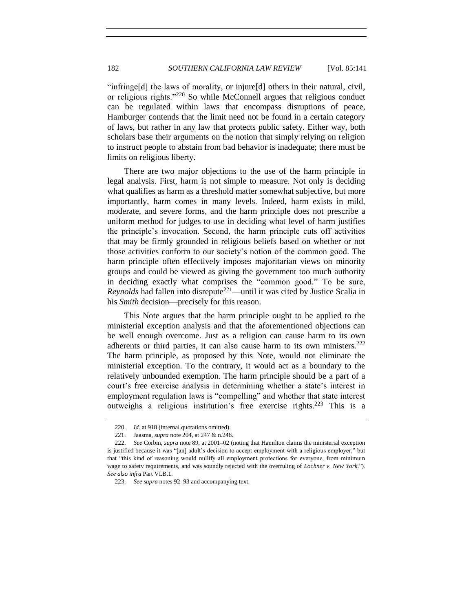<span id="page-41-1"></span>"infringe[d] the laws of morality, or injure[d] others in their natural, civil, or religious rights."<sup>220</sup> So while McConnell argues that religious conduct can be regulated within laws that encompass disruptions of peace, Hamburger contends that the limit need not be found in a certain category of laws, but rather in any law that protects public safety. Either way, both scholars base their arguments on the notion that simply relying on religion to instruct people to abstain from bad behavior is inadequate; there must be limits on religious liberty.

There are two major objections to the use of the harm principle in legal analysis. First, harm is not simple to measure. Not only is deciding what qualifies as harm as a threshold matter somewhat subjective, but more importantly, harm comes in many levels. Indeed, harm exists in mild, moderate, and severe forms, and the harm principle does not prescribe a uniform method for judges to use in deciding what level of harm justifies the principle's invocation. Second, the harm principle cuts off activities that may be firmly grounded in religious beliefs based on whether or not those activities conform to our society's notion of the common good. The harm principle often effectively imposes majoritarian views on minority groups and could be viewed as giving the government too much authority in deciding exactly what comprises the "common good." To be sure, *Reynolds* had fallen into disrepute<sup>221</sup>—until it was cited by Justice Scalia in his *Smith* decision—precisely for this reason.

<span id="page-41-0"></span>This Note argues that the harm principle ought to be applied to the ministerial exception analysis and that the aforementioned objections can be well enough overcome. Just as a religion can cause harm to its own adherents or third parties, it can also cause harm to its own ministers.<sup>222</sup> The harm principle, as proposed by this Note, would not eliminate the ministerial exception. To the contrary, it would act as a boundary to the relatively unbounded exemption. The harm principle should be a part of a court's free exercise analysis in determining whether a state's interest in employment regulation laws is "compelling" and whether that state interest outweighs a religious institution's free exercise rights.<sup>223</sup> This is a

<sup>220.</sup> *Id.* at 918 (internal quotations omitted).

<sup>221.</sup> Jaasma, *supra* not[e 204,](#page-38-3) at 247 & n.248.

<sup>222.</sup> *See* Corbin, *supra* note [89,](#page-16-2) at 2001–02 (noting that Hamilton claims the ministerial exception is justified because it was "[an] adult's decision to accept employment with a religious employer," but that "this kind of reasoning would nullify all employment protections for everyone, from minimum wage to safety requirements, and was soundly rejected with the overruling of *Lochner v. New York*."). *See also infra* Part VI.B.1.

<sup>223.</sup> *See supra* note[s 92](#page-17-2)[–93](#page-17-3) and accompanying text.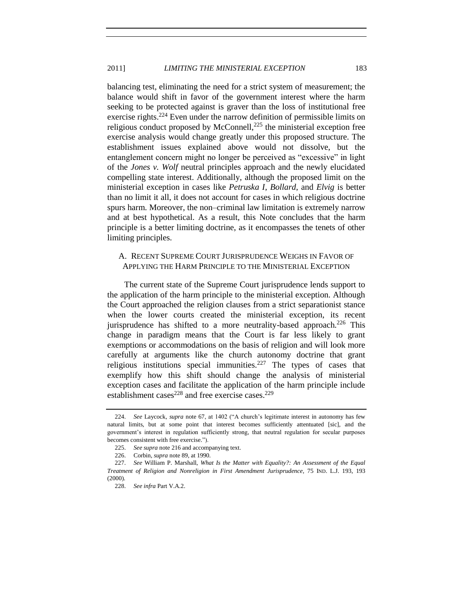balancing test, eliminating the need for a strict system of measurement; the balance would shift in favor of the government interest where the harm seeking to be protected against is graver than the loss of institutional free exercise rights.<sup>224</sup> Even under the narrow definition of permissible limits on religious conduct proposed by McConnell, $^{225}$  the ministerial exception free exercise analysis would change greatly under this proposed structure. The establishment issues explained above would not dissolve, but the entanglement concern might no longer be perceived as "excessive" in light of the *Jones v. Wolf* neutral principles approach and the newly elucidated compelling state interest. Additionally, although the proposed limit on the ministerial exception in cases like *Petruska I*, *Bollard*, and *Elvig* is better than no limit it all, it does not account for cases in which religious doctrine spurs harm. Moreover, the non–criminal law limitation is extremely narrow and at best hypothetical. As a result, this Note concludes that the harm principle is a better limiting doctrine, as it encompasses the tenets of other limiting principles.

# <span id="page-42-0"></span>A. RECENT SUPREME COURT JURISPRUDENCE WEIGHS IN FAVOR OF APPLYING THE HARM PRINCIPLE TO THE MINISTERIAL EXCEPTION

The current state of the Supreme Court jurisprudence lends support to the application of the harm principle to the ministerial exception. Although the Court approached the religion clauses from a strict separationist stance when the lower courts created the ministerial exception, its recent jurisprudence has shifted to a more neutrality-based approach.<sup>226</sup> This change in paradigm means that the Court is far less likely to grant exemptions or accommodations on the basis of religion and will look more carefully at arguments like the church autonomy doctrine that grant religious institutions special immunities.<sup>227</sup> The types of cases that exemplify how this shift should change the analysis of ministerial exception cases and facilitate the application of the harm principle include establishment cases<sup>228</sup> and free exercise cases.<sup>229</sup>

<span id="page-42-1"></span><sup>224.</sup> *See* Laycock, *supra* note [67,](#page-11-0) at 1402 ("A church's legitimate interest in autonomy has few natural limits, but at some point that interest becomes sufficiently attentuated [sic], and the government's interest in regulation sufficiently strong, that neutral regulation for secular purposes becomes consistent with free exercise.").

<sup>225.</sup> *See supra* not[e 216](#page-40-1) and accompanying text.

<sup>226.</sup> Corbin, *supra* not[e 89,](#page-16-2) at 1990.

<sup>227.</sup> *See* William P. Marshall, *What Is the Matter with Equality?: An Assessment of the Equal Treatment of Religion and Nonreligion in First Amendment Jurisprudence*, 75 IND. L.J. 193, 193 (2000).

<sup>228.</sup> *See infra* Part V.A.2.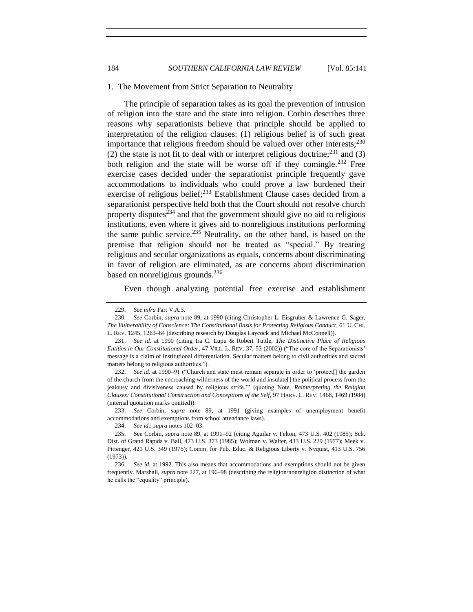#### <span id="page-43-0"></span>1. The Movement from Strict Separation to Neutrality

The principle of separation takes as its goal the prevention of intrusion of religion into the state and the state into religion. Corbin describes three reasons why separationists believe that principle should be applied to interpretation of the religion clauses: (1) religious belief is of such great importance that religious freedom should be valued over other interests; $^{230}$ (2) the state is not fit to deal with or interpret religious doctrine;<sup>231</sup> and (3) both religion and the state will be worse off if they comingle.<sup>232</sup> Free exercise cases decided under the separationist principle frequently gave accommodations to individuals who could prove a law burdened their exercise of religious belief;<sup>233</sup> Establishment Clause cases decided from a separationist perspective held both that the Court should not resolve church property disputes $^{234}$  and that the government should give no aid to religious institutions, even where it gives aid to nonreligious institutions performing the same public service.<sup>235</sup> Neutrality, on the other hand, is based on the premise that religion should not be treated as "special." By treating religious and secular organizations as equals, concerns about discriminating in favor of religion are eliminated, as are concerns about discrimination based on nonreligious grounds. $^{236}$ 

Even though analyzing potential free exercise and establishment

233. *See* Corbin, *supra* note [89,](#page-16-2) at 1991 (giving examples of unemployment benefit accommodations and exemptions from school attendance laws).

<sup>229.</sup> *See infra* Part V.A.3.

<sup>230.</sup> *See* Corbin, *supra* note [89,](#page-16-2) at 1990 (citing Christopher L. Eisgruber & Lawrence G. Sager, *The Vulnerability of Conscience: The Constitutional Basis for Protecting Religious Conduct*, 61 U. CHI. L. REV. 1245, 1263–64 (describing research by Douglas Laycock and Michael McConnell)).

<sup>231.</sup> *See id.* at 1990 (citing Ira C. Lupu & Robert Tuttle, *The Distinctive Place of Religious Entities in Our Constitutional Order*, 47 VILL. L. REV. 37, 53 (2002)) ("The core of the Separationists' message is a claim of institutional differentiation. Secular matters belong to civil authorities and sacred matters belong to religious authorities.").

<sup>232.</sup> *See id.* at 1990–91 ("Church and state must remain separate in order to 'protect[] the garden of the church from the encroaching wilderness of the world and insulate[] the political process from the jealousy and divisiveness caused by religious strife.'" (quoting Note, *Reinterpreting the Religion Clauses: Constitutional Construction and Conceptions of the Self*, 97 HARV. L. REV. 1468, 1469 (1984) (internal quotation marks omitted)).

<sup>234.</sup> *See id.*; *supra* note[s 102](#page-18-0)[–03.](#page-19-1)

<sup>235.</sup> See Corbin, *supra* note [89,](#page-16-2) at 1991–92 (citing Aguilar v. Felton, 473 U.S. 402 (1985); Sch. Dist. of Grand Rapids v. Ball, 473 U.S. 373 (1985); Wolman v. Walter, 433 U.S. 229 (1977); Meek v. Pittenger, 421 U.S. 349 (1975); Comm. for Pub. Educ. & Religious Liberty v. Nyquist, 413 U.S. 756 (1973)).

<sup>236.</sup> *See id.* at 1992. This also means that accommodations and exemptions should not be given frequently. Marshall, *supra* not[e 227,](#page-42-1) at 196–98 (describing the religion/nonreligion distinction of what he calls the "equality" principle).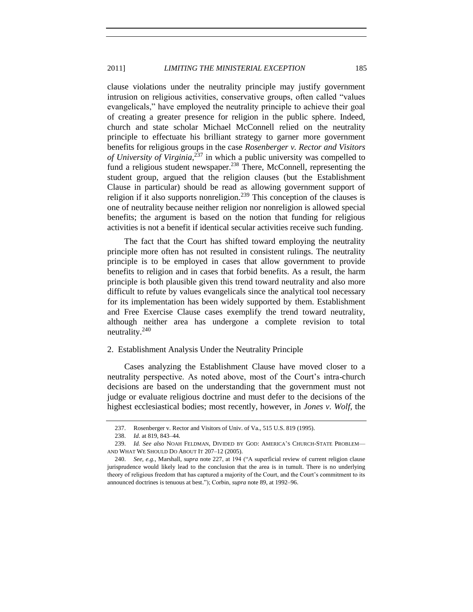clause violations under the neutrality principle may justify government intrusion on religious activities, conservative groups, often called "values evangelicals," have employed the neutrality principle to achieve their goal of creating a greater presence for religion in the public sphere. Indeed, church and state scholar Michael McConnell relied on the neutrality principle to effectuate his brilliant strategy to garner more government benefits for religious groups in the case *Rosenberger v. Rector and Visitors of University of Virginia*, <sup>237</sup> in which a public university was compelled to fund a religious student newspaper.<sup>238</sup> There, McConnell, representing the student group, argued that the religion clauses (but the Establishment Clause in particular) should be read as allowing government support of religion if it also supports nonreligion.<sup>239</sup> This conception of the clauses is one of neutrality because neither religion nor nonreligion is allowed special benefits; the argument is based on the notion that funding for religious activities is not a benefit if identical secular activities receive such funding.

The fact that the Court has shifted toward employing the neutrality principle more often has not resulted in consistent rulings. The neutrality principle is to be employed in cases that allow government to provide benefits to religion and in cases that forbid benefits. As a result, the harm principle is both plausible given this trend toward neutrality and also more difficult to refute by values evangelicals since the analytical tool necessary for its implementation has been widely supported by them. Establishment and Free Exercise Clause cases exemplify the trend toward neutrality, although neither area has undergone a complete revision to total neutrality.<sup>240</sup>

## <span id="page-44-0"></span>2. Establishment Analysis Under the Neutrality Principle

Cases analyzing the Establishment Clause have moved closer to a neutrality perspective. As noted above, most of the Court's intra-church decisions are based on the understanding that the government must not judge or evaluate religious doctrine and must defer to the decisions of the highest ecclesiastical bodies; most recently, however, in *Jones v. Wolf*, the

<sup>237.</sup> Rosenberger v. Rector and Visitors of Univ. of Va., 515 U.S. 819 (1995).

<sup>238.</sup> *Id*. at 819, 843–44.

<sup>239.</sup> *Id. See also* NOAH FELDMAN, DIVIDED BY GOD: AMERICA'S CHURCH-STATE PROBLEM— AND WHAT WE SHOULD DO ABOUT IT 207–12 (2005).

<sup>240.</sup> *See, e.g.*, Marshall, *supra* note [227,](#page-42-1) at 194 ("A superficial review of current religion clause jurisprudence would likely lead to the conclusion that the area is in tumult. There is no underlying theory of religious freedom that has captured a majority of the Court, and the Court's commitment to its announced doctrines is tenuous at best."); Corbin, *supra* not[e 89,](#page-16-2) at 1992–96.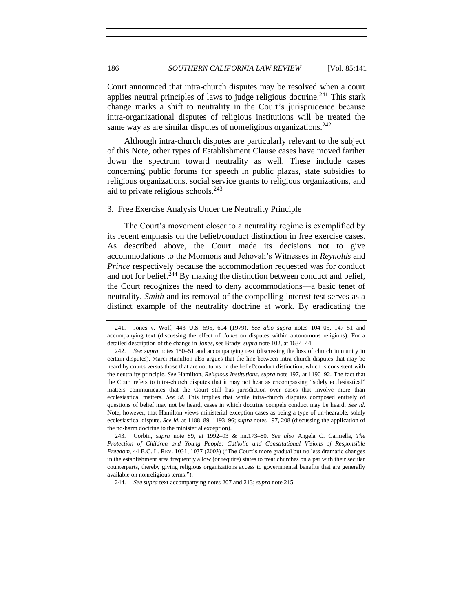Court announced that intra-church disputes may be resolved when a court applies neutral principles of laws to judge religious doctrine.<sup>241</sup> This stark change marks a shift to neutrality in the Court's jurisprudence because intra-organizational disputes of religious institutions will be treated the same way as are similar disputes of nonreligious organizations.<sup>242</sup>

Although intra-church disputes are particularly relevant to the subject of this Note, other types of Establishment Clause cases have moved farther down the spectrum toward neutrality as well. These include cases concerning public forums for speech in public plazas, state subsidies to religious organizations, social service grants to religious organizations, and aid to private religious schools.<sup>243</sup>

#### <span id="page-45-1"></span><span id="page-45-0"></span>3. Free Exercise Analysis Under the Neutrality Principle

The Court's movement closer to a neutrality regime is exemplified by its recent emphasis on the belief/conduct distinction in free exercise cases. As described above, the Court made its decisions not to give accommodations to the Mormons and Jehovah's Witnesses in *Reynolds* and *Prince* respectively because the accommodation requested was for conduct and not for belief.<sup>244</sup> By making the distinction between conduct and belief, the Court recognizes the need to deny accommodations—a basic tenet of neutrality. *Smith* and its removal of the compelling interest test serves as a distinct example of the neutrality doctrine at work. By eradicating the

243. Corbin, *supra* note [89,](#page-16-2) at 1992–93 & nn.173–80. *See also* Angela C. Carmella, *The Protection of Children and Young People: Catholic and Constitutional Visions of Responsible Freedom*, 44 B.C. L. REV. 1031, 1037 (2003) ("The Court's more gradual but no less dramatic changes in the establishment area frequently allow (or require) states to treat churches on a par with their secular counterparts, thereby giving religious organizations access to governmental benefits that are generally available on nonreligious terms.").

244. *See supra* text accompanying notes [207](#page-38-2) an[d 213;](#page-39-0) *supra* not[e 215.](#page-40-0)

<sup>241.</sup> Jones v. Wolf, 443 U.S. 595, 604 (1979). *See also supra* notes [104](#page-19-2)[–05,](#page-19-3) [147](#page-27-1)[–51](#page-27-2) and accompanying text (discussing the effect of *Jones* on disputes within autonomous religions). For a detailed description of the change in *Jones*, see Brady, *supra* not[e 102,](#page-18-0) at 1634–44.

<sup>242.</sup> *See supra* notes [150–](#page-27-3)[51](#page-27-2) and accompanying text (discussing the loss of church immunity in certain disputes). Marci Hamilton also argues that the line between intra-church disputes that may be heard by courts versus those that are not turns on the belief/conduct distinction, which is consistent with the neutrality principle. *See* Hamilton, *Religious Institutions*, *supra* note [197,](#page-36-1) at 1190–92. The fact that the Court refers to intra-church disputes that it may not hear as encompassing "solely ecclesiastical" matters communicates that the Court still has jurisdiction over cases that involve more than ecclesiastical matters. *See id.* This implies that while intra-church disputes composed entirely of questions of belief may not be heard, cases in which doctrine compels conduct may be heard. *See id.* Note, however, that Hamilton views ministerial exception cases as being a type of un-hearable, solely ecclesiastical dispute. *See id.* at 1188–89, 1193–96; *supra* note[s 197,](#page-36-1) [208](#page-38-0) (discussing the application of the no-harm doctrine to the ministerial exception).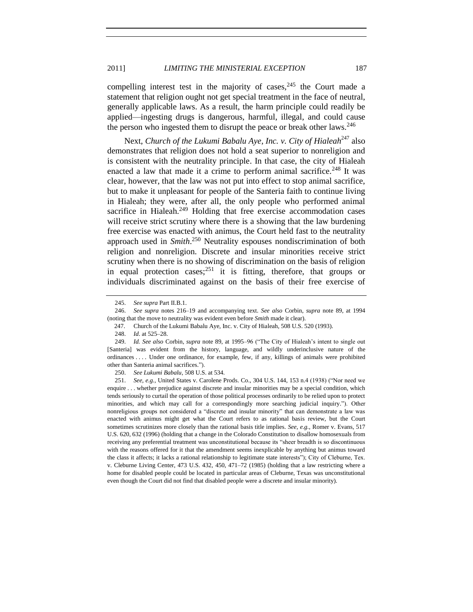# 2011] *LIMITING THE MINISTERIAL EXCEPTION* 187

compelling interest test in the majority of cases,  $245$  the Court made a statement that religion ought not get special treatment in the face of neutral, generally applicable laws. As a result, the harm principle could readily be applied—ingesting drugs is dangerous, harmful, illegal, and could cause the person who ingested them to disrupt the peace or break other laws.<sup>246</sup>

Next, *Church of the Lukumi Babalu Aye, Inc. v. City of Hialeah*<sup>247</sup> also demonstrates that religion does not hold a seat superior to nonreligion and is consistent with the neutrality principle. In that case, the city of Hialeah enacted a law that made it a crime to perform animal sacrifice.<sup>248</sup> It was clear, however, that the law was not put into effect to stop animal sacrifice, but to make it unpleasant for people of the Santeria faith to continue living in Hialeah; they were, after all, the only people who performed animal sacrifice in Hialeah. $249$  Holding that free exercise accommodation cases will receive strict scrutiny where there is a showing that the law burdening free exercise was enacted with animus, the Court held fast to the neutrality approach used in *Smith*. <sup>250</sup> Neutrality espouses nondiscrimination of both religion and nonreligion. Discrete and insular minorities receive strict scrutiny when there is no showing of discrimination on the basis of religion in equal protection cases;  $^{251}$  it is fitting, therefore, that groups or individuals discriminated against on the basis of their free exercise of

<span id="page-46-0"></span><sup>245.</sup> *See supra* Part II.B.1.

<sup>246.</sup> *See supra* notes [216–](#page-40-1)[19](#page-40-2) and accompanying text. *See also* Corbin, *supra* note [89,](#page-16-2) at 1994 (noting that the move to neutrality was evident even before *Smith* made it clear).

<sup>247.</sup> Church of the Lukumi Babalu Aye, Inc. v. City of Hialeah, 508 U.S. 520 (1993).

<sup>248.</sup> *Id*. at 525–28.

<sup>249.</sup> *Id. See also* Corbin, *supra* not[e 89,](#page-16-2) at 1995–96 ("The City of Hialeah's intent to single out [Santeria] was evident from the history, language, and wildly underinclusive nature of the ordinances . . . . Under one ordinance, for example, few, if any, killings of animals were prohibited other than Santeria animal sacrifices.").

<sup>250.</sup> *See Lukumi Babalu*, 508 U.S. at 534.

<sup>251.</sup> *See, e.g.*, United States v. Carolene Prods. Co., 304 U.S. 144, 153 n.4 (1938) ("Nor need we enquire . . . whether prejudice against discrete and insular minorities may be a special condition, which tends seriously to curtail the operation of those political processes ordinarily to be relied upon to protect minorities, and which may call for a correspondingly more searching judicial inquiry."). Other nonreligious groups not considered a "discrete and insular minority" that can demonstrate a law was enacted with animus might get what the Court refers to as rational basis review, but the Court sometimes scrutinizes more closely than the rational basis title implies. *See, e.g.*, Romer v. Evans, 517 U.S. 620, 632 (1996) (holding that a change in the Colorado Constitution to disallow homosexuals from receiving any preferential treatment was unconstitutional because its "sheer breadth is so discontinuous with the reasons offered for it that the amendment seems inexplicable by anything but animus toward the class it affects; it lacks a rational relationship to legitimate state interests"); City of Cleburne, Tex. v. Cleburne Living Center, 473 U.S. 432, 450, 471–72 (1985) (holding that a law restricting where a home for disabled people could be located in particular areas of Cleburne, Texas was unconstitutional even though the Court did not find that disabled people were a discrete and insular minority).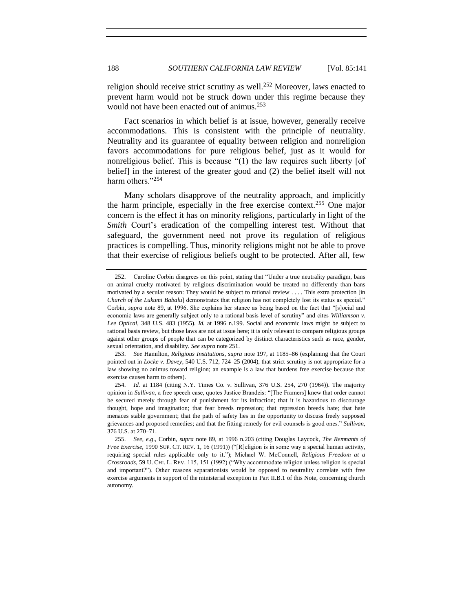religion should receive strict scrutiny as well.<sup>252</sup> Moreover, laws enacted to prevent harm would not be struck down under this regime because they would not have been enacted out of animus.<sup>253</sup>

Fact scenarios in which belief is at issue, however, generally receive accommodations. This is consistent with the principle of neutrality. Neutrality and its guarantee of equality between religion and nonreligion favors accommodations for pure religious belief, just as it would for nonreligious belief. This is because "(1) the law requires such liberty [of belief] in the interest of the greater good and (2) the belief itself will not harm others."<sup>254</sup>

Many scholars disapprove of the neutrality approach, and implicitly the harm principle, especially in the free exercise context.<sup>255</sup> One major concern is the effect it has on minority religions, particularly in light of the *Smith* Court's eradication of the compelling interest test. Without that safeguard, the government need not prove its regulation of religious practices is compelling. Thus, minority religions might not be able to prove that their exercise of religious beliefs ought to be protected. After all, few

<sup>252.</sup> Caroline Corbin disagrees on this point, stating that "Under a true neutrality paradigm, bans on animal cruelty motivated by religious discrimination would be treated no differently than bans motivated by a secular reason: They would be subject to rational review . . . . This extra protection [in *Church of the Lukumi Babalu*] demonstrates that religion has not completely lost its status as special." Corbin, *supra* note [89,](#page-16-2) at 1996. She explains her stance as being based on the fact that "[s]ocial and economic laws are generally subject only to a rational basis level of scrutiny" and cites *Williamson v. Lee Optical*, 348 U.S. 483 (1955). *Id.* at 1996 n.199. Social and economic laws might be subject to rational basis review, but those laws are not at issue here; it is only relevant to compare religious groups against other groups of people that can be categorized by distinct characteristics such as race, gender, sexual orientation, and disability. *See supra* not[e 251.](#page-46-0)

<sup>253.</sup> *See* Hamilton, *Religious Institutions*, *supra* not[e 197,](#page-36-1) at 1185–86 (explaining that the Court pointed out in *Locke v. Davey*, 540 U.S. 712, 724–25 (2004), that strict scrutiny is not appropriate for a law showing no animus toward religion; an example is a law that burdens free exercise because that exercise causes harm to others).

<sup>254.</sup> *Id.* at 1184 (citing N.Y. Times Co. v. Sullivan, 376 U.S. 254, 270 (1964)). The majority opinion in *Sullivan*, a free speech case, quotes Justice Brandeis: "[The Framers] knew that order cannot be secured merely through fear of punishment for its infraction; that it is hazardous to discourage thought, hope and imagination; that fear breeds repression; that repression breeds hate; that hate menaces stable government; that the path of safety lies in the opportunity to discuss freely supposed grievances and proposed remedies; and that the fitting remedy for evil counsels is good ones." *Sullivan*, 376 U.S. at 270–71.

<sup>255.</sup> *See, e.g*., Corbin, *supra* note [89,](#page-16-2) at 1996 n.203 (citing Douglas Laycock, *The Remnants of Free Exercise*, 1990 SUP. CT. REV. 1, 16 (1991)) ("[R]eligion is in some way a special human activity, requiring special rules applicable only to it."); Michael W. McConnell, *Religious Freedom at a Crossroads*, 59 U. CHI. L. REV. 115, 151 (1992) ("Why accommodate religion unless religion is special and important?"). Other reasons separationists would be opposed to neutrality correlate with free exercise arguments in support of the ministerial exception in Part II.B.1 of this Note, concerning church autonomy.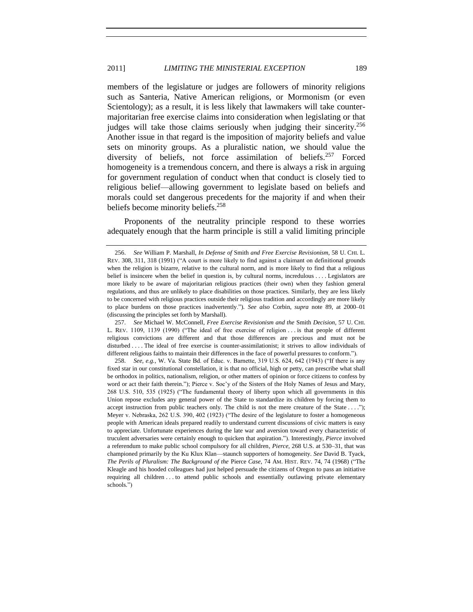<span id="page-48-0"></span>members of the legislature or judges are followers of minority religions such as Santeria, Native American religions, or Mormonism (or even Scientology); as a result, it is less likely that lawmakers will take countermajoritarian free exercise claims into consideration when legislating or that judges will take those claims seriously when judging their sincerity.<sup>256</sup> Another issue in that regard is the imposition of majority beliefs and value sets on minority groups. As a pluralistic nation, we should value the diversity of beliefs, not force assimilation of beliefs.<sup>257</sup> Forced homogeneity is a tremendous concern, and there is always a risk in arguing for government regulation of conduct when that conduct is closely tied to religious belief—allowing government to legislate based on beliefs and morals could set dangerous precedents for the majority if and when their beliefs become minority beliefs.<sup>258</sup>

Proponents of the neutrality principle respond to these worries adequately enough that the harm principle is still a valid limiting principle

<sup>256.</sup> *See* William P. Marshall, *In Defense of* Smith *and Free Exercise Revisionism*, 58 U. CHI. L. REV. 308, 311, 318 (1991) ("A court is more likely to find against a claimant on definitional grounds when the religion is bizarre, relative to the cultural norm, and is more likely to find that a religious belief is insincere when the belief in question is, by cultural norms, incredulous . . . . Legislators are more likely to be aware of majoritarian religious practices (their own) when they fashion general regulations, and thus are unlikely to place disabilities on those practices. Similarly, they are less likely to be concerned with religious practices outside their religious tradition and accordingly are more likely to place burdens on those practices inadvertently."). *See also* Corbin, *supra* note [89,](#page-16-2) at 2000–01 (discussing the principles set forth by Marshall).

<sup>257.</sup> *See* Michael W. McConnell, *Free Exercise Revisionism and the* Smith *Decision*, 57 U. CHI. L. REV. 1109, 1139 (1990) ("The ideal of free exercise of religion . . . is that people of different religious convictions are different and that those differences are precious and must not be disturbed . . . . The ideal of free exercise is counter-assimilationist; it strives to allow individuals of different religious faiths to maintain their differences in the face of powerful pressures to conform.").

<sup>258.</sup> *See, e.g.*, W. Va. State Bd. of Educ. v. Barnette, 319 U.S. 624, 642 (1943) ("If there is any fixed star in our constitutional constellation, it is that no official, high or petty, can prescribe what shall be orthodox in politics, nationalism, religion, or other matters of opinion or force citizens to confess by word or act their faith therein."); Pierce v. Soc'y of the Sisters of the Holy Names of Jesus and Mary, 268 U.S. 510, 535 (1925) ("The fundamental theory of liberty upon which all governments in this Union repose excludes any general power of the State to standardize its children by forcing them to accept instruction from public teachers only. The child is not the mere creature of the State . . . ."); Meyer v. Nebraska, 262 U.S. 390, 402 (1923) ("The desire of the legislature to foster a homogeneous people with American ideals prepared readily to understand current discussions of civic matters is easy to appreciate. Unfortunate experiences during the late war and aversion toward every characteristic of truculent adversaries were certainly enough to quicken that aspiration."). Interestingly, *Pierce* involved a referendum to make public school compulsory for all children, *Pierce*, 268 U.S. at 530–31, that was championed primarily by the Ku Klux Klan—staunch supporters of homogeneity. *See* David B. Tyack, *The Perils of Pluralism: The Background of the* Pierce *Case*, 74 AM. HIST. REV. 74, 74 (1968) ("The Kleagle and his hooded colleagues had just helped persuade the citizens of Oregon to pass an initiative requiring all children . . . to attend public schools and essentially outlawing private elementary schools.")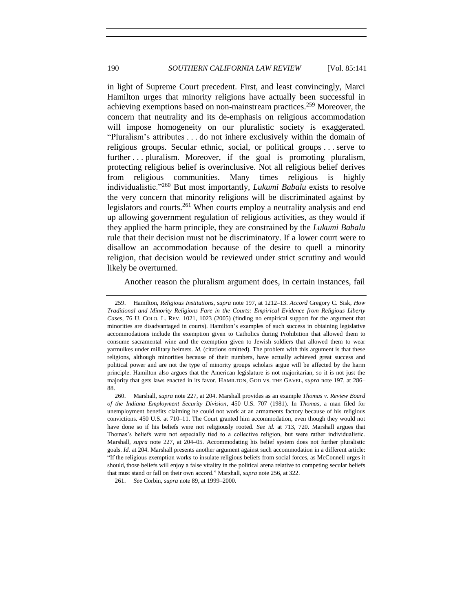in light of Supreme Court precedent. First, and least convincingly, Marci Hamilton urges that minority religions have actually been successful in achieving exemptions based on non-mainstream practices.<sup>259</sup> Moreover, the concern that neutrality and its de-emphasis on religious accommodation will impose homogeneity on our pluralistic society is exaggerated. "Pluralism's attributes . . . do not inhere exclusively within the domain of religious groups. Secular ethnic, social, or political groups . . . serve to further ... pluralism. Moreover, if the goal is promoting pluralism, protecting religious belief is overinclusive. Not all religious belief derives from religious communities. Many times religious is highly individualistic."<sup>260</sup> But most importantly, *Lukumi Babalu* exists to resolve the very concern that minority religions will be discriminated against by legislators and courts.<sup>261</sup> When courts employ a neutrality analysis and end up allowing government regulation of religious activities, as they would if they applied the harm principle, they are constrained by the *Lukumi Babalu* rule that their decision must not be discriminatory. If a lower court were to disallow an accommodation because of the desire to quell a minority religion, that decision would be reviewed under strict scrutiny and would likely be overturned.

<span id="page-49-0"></span>Another reason the pluralism argument does, in certain instances, fail

<sup>259.</sup> Hamilton, *Religious Institutions*, *supra* note [197,](#page-36-1) at 1212–13. *Accord* Gregory C. Sisk, *How Traditional and Minority Religions Fare in the Courts: Empirical Evidence from Religious Liberty Cases*, 76 U. COLO. L. REV. 1021, 1023 (2005) (finding no empirical support for the argument that minorities are disadvantaged in courts). Hamilton's examples of such success in obtaining legislative accommodations include the exemption given to Catholics during Prohibition that allowed them to consume sacramental wine and the exemption given to Jewish soldiers that allowed them to wear yarmulkes under military helmets. *Id.* (citations omitted). The problem with this argument is that these religions, although minorities because of their numbers, have actually achieved great success and political power and are not the type of minority groups scholars argue will be affected by the harm principle. Hamilton also argues that the American legislature is not majoritarian, so it is not just the majority that gets laws enacted in its favor. HAMILTON, GOD VS. THE GAVEL, *supra* note [197,](#page-36-1) at 286– 88.

<sup>260.</sup> Marshall, *supra* not[e 227,](#page-42-1) at 204. Marshall provides as an example *Thomas v. Review Board of the Indiana Employment Security Division*, 450 U.S. 707 (1981). In *Thomas*, a man filed for unemployment benefits claiming he could not work at an armaments factory because of his religious convictions. 450 U.S. at 710–11. The Court granted him accommodation, even though they would not have done so if his beliefs were not religiously rooted. *See id.* at 713, 720. Marshall argues that Thomas's beliefs were not especially tied to a collective religion, but were rather individualistic. Marshall, *supra* note [227,](#page-42-1) at 204–05. Accommodating his belief system does not further pluralistic goals. *Id.* at 204. Marshall presents another argument against such accommodation in a different article: "If the religious exemption works to insulate religious beliefs from social forces, as McConnell urges it should, those beliefs will enjoy a false vitality in the political arena relative to competing secular beliefs that must stand or fall on their own accord." Marshall, *supra* not[e 256,](#page-48-0) at 322.

<sup>261.</sup> *See* Corbin, *supra* not[e 89,](#page-16-2) at 1999–2000.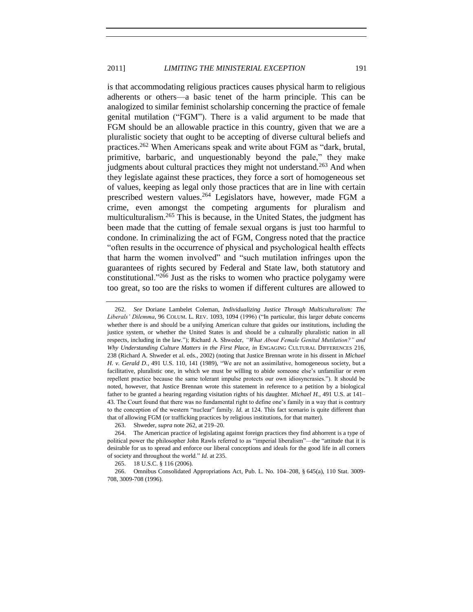<span id="page-50-0"></span>is that accommodating religious practices causes physical harm to religious adherents or others—a basic tenet of the harm principle. This can be analogized to similar feminist scholarship concerning the practice of female genital mutilation ("FGM"). There is a valid argument to be made that FGM should be an allowable practice in this country, given that we are a pluralistic society that ought to be accepting of diverse cultural beliefs and practices.<sup>262</sup> When Americans speak and write about FGM as "dark, brutal, primitive, barbaric, and unquestionably beyond the pale," they make judgments about cultural practices they might not understand.<sup>263</sup> And when they legislate against these practices, they force a sort of homogeneous set of values, keeping as legal only those practices that are in line with certain prescribed western values.<sup>264</sup> Legislators have, however, made FGM a crime, even amongst the competing arguments for pluralism and multiculturalism.<sup>265</sup> This is because, in the United States, the judgment has been made that the cutting of female sexual organs is just too harmful to condone. In criminalizing the act of FGM, Congress noted that the practice "often results in the occurrence of physical and psychological health effects that harm the women involved" and "such mutilation infringes upon the guarantees of rights secured by Federal and State law, both statutory and constitutional."<sup>266</sup> Just as the risks to women who practice polygamy were too great, so too are the risks to women if different cultures are allowed to

<sup>262.</sup> *See* Doriane Lambelet Coleman, *Individualizing Justice Through Multiculturalism: The Liberals' Dilemma*, 96 COLUM. L. REV. 1093, 1094 (1996) ("In particular, this larger debate concerns whether there is and should be a unifying American culture that guides our institutions, including the justice system, or whether the United States is and should be a culturally pluralistic nation in all respects, including in the law."); Richard A. Shweder, *"What About Female Genital Mutilation?" and Why Understanding Culture Matters in the First Place*, *in* ENGAGING CULTURAL DIFFERENCES 216, 238 (Richard A. Shweder et al. eds., 2002) (noting that Justice Brennan wrote in his dissent in *Michael H. v. Gerald D.*, 491 U.S. 110, 141 (1989), "We are not an assimilative, homogeneous society, but a facilitative, pluralistic one, in which we must be willing to abide someone else's unfamiliar or even repellent practice because the same tolerant impulse protects our own idiosyncrasies."). It should be noted, however, that Justice Brennan wrote this statement in reference to a petition by a biological father to be granted a hearing regarding visitation rights of his daughter. *Michael H.*, 491 U.S. at 141– 43. The Court found that there was no fundamental right to define one's family in a way that is contrary to the conception of the western "nuclear" family. *Id.* at 124. This fact scenario is quite different than that of allowing FGM (or trafficking practices by religious institutions, for that matter).

<sup>263.</sup> Shweder, *supra* not[e 262,](#page-50-0) at 219–20.

<sup>264.</sup> The American practice of legislating against foreign practices they find abhorrent is a type of political power the philosopher John Rawls referred to as "imperial liberalism"—the "attitude that it is desirable for us to spread and enforce our liberal conceptions and ideals for the good life in all corners of society and throughout the world." *Id.* at 235.

<sup>265.</sup> 18 U.S.C. § 116 (2006).

<sup>266.</sup> Omnibus Consolidated Appropriations Act, Pub. L. No. 104–208, § 645(a), 110 Stat. 3009- 708, 3009-708 (1996).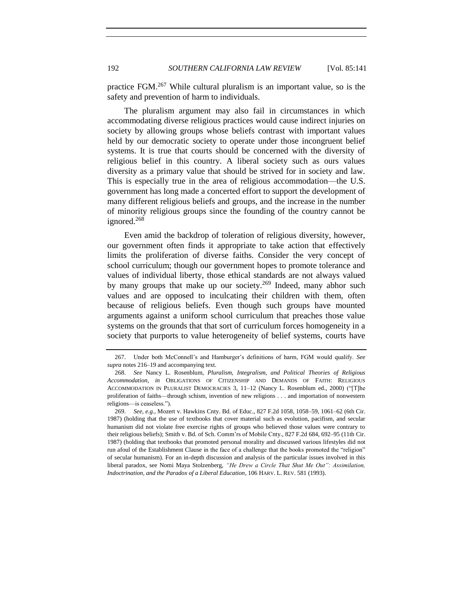<span id="page-51-1"></span>practice FGM.<sup>267</sup> While cultural pluralism is an important value, so is the safety and prevention of harm to individuals.

The pluralism argument may also fail in circumstances in which accommodating diverse religious practices would cause indirect injuries on society by allowing groups whose beliefs contrast with important values held by our democratic society to operate under those incongruent belief systems. It is true that courts should be concerned with the diversity of religious belief in this country. A liberal society such as ours values diversity as a primary value that should be strived for in society and law. This is especially true in the area of religious accommodation—the U.S. government has long made a concerted effort to support the development of many different religious beliefs and groups, and the increase in the number of minority religious groups since the founding of the country cannot be ignored.<sup>268</sup>

<span id="page-51-0"></span>Even amid the backdrop of toleration of religious diversity, however, our government often finds it appropriate to take action that effectively limits the proliferation of diverse faiths. Consider the very concept of school curriculum; though our government hopes to promote tolerance and values of individual liberty, those ethical standards are not always valued by many groups that make up our society.<sup>269</sup> Indeed, many abhor such values and are opposed to inculcating their children with them, often because of religious beliefs. Even though such groups have mounted arguments against a uniform school curriculum that preaches those value systems on the grounds that that sort of curriculum forces homogeneity in a society that purports to value heterogeneity of belief systems, courts have

<sup>267.</sup> Under both McConnell's and Hamburger's definitions of harm, FGM would qualify. *See supra* note[s 216](#page-40-1)[–19](#page-40-2) and accompanying text.

<sup>268.</sup> *See* Nancy L. Rosenblum, *Pluralism, Integralism, and Political Theories of Religious Accommodation*, *in* OBLIGATIONS OF CITIZENSHIP AND DEMANDS OF FAITH: RELIGIOUS ACCOMMODATION IN PLURALIST DEMOCRACIES 3, 11–12 (Nancy L. Rosenblum ed., 2000) ("[T]he proliferation of faiths—through schism, invention of new religions . . . and importation of nonwestern religions—is ceaseless.").

<sup>269.</sup> *See, e.g.*, Mozert v. Hawkins Cnty. Bd. of Educ., 827 F.2d 1058, 1058–59, 1061–62 (6th Cir. 1987) (holding that the use of textbooks that cover material such as evolution, pacifism, and secular humanism did not violate free exercise rights of groups who believed those values were contrary to their religious beliefs); Smith v. Bd. of Sch. Comm'rs of Mobile Cnty., 827 F.2d 684, 692–95 (11th Cir. 1987) (holding that textbooks that promoted personal morality and discussed various lifestyles did not run afoul of the Establishment Clause in the face of a challenge that the books promoted the "religion" of secular humanism). For an in-depth discussion and analysis of the particular issues involved in this liberal paradox, see Nomi Maya Stolzenberg, *"He Drew a Circle That Shut Me Out": Assimilation, Indoctrination, and the Paradox of a Liberal Education*, 106 HARV. L. REV. 581 (1993).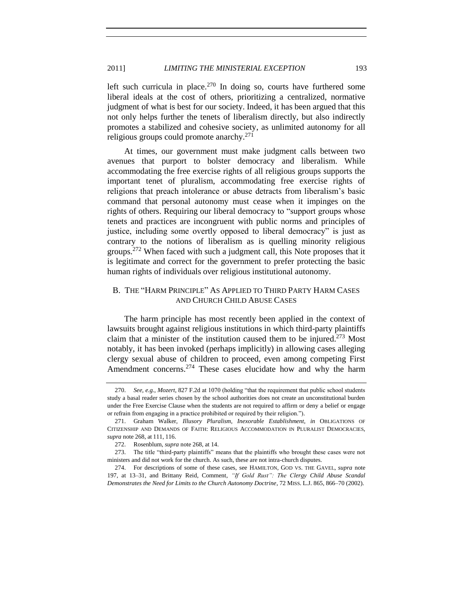left such curricula in place.<sup>270</sup> In doing so, courts have furthered some liberal ideals at the cost of others, prioritizing a centralized, normative judgment of what is best for our society. Indeed, it has been argued that this not only helps further the tenets of liberalism directly, but also indirectly promotes a stabilized and cohesive society, as unlimited autonomy for all religious groups could promote anarchy.<sup>271</sup>

At times, our government must make judgment calls between two avenues that purport to bolster democracy and liberalism. While accommodating the free exercise rights of all religious groups supports the important tenet of pluralism, accommodating free exercise rights of religions that preach intolerance or abuse detracts from liberalism's basic command that personal autonomy must cease when it impinges on the rights of others. Requiring our liberal democracy to "support groups whose tenets and practices are incongruent with public norms and principles of justice, including some overtly opposed to liberal democracy" is just as contrary to the notions of liberalism as is quelling minority religious groups.<sup>272</sup> When faced with such a judgment call, this Note proposes that it is legitimate and correct for the government to prefer protecting the basic human rights of individuals over religious institutional autonomy.

# <span id="page-52-2"></span><span id="page-52-0"></span>B. THE "HARM PRINCIPLE" AS APPLIED TO THIRD PARTY HARM CASES AND CHURCH CHILD ABUSE CASES

The harm principle has most recently been applied in the context of lawsuits brought against religious institutions in which third-party plaintiffs claim that a minister of the institution caused them to be injured. $273$  Most notably, it has been invoked (perhaps implicitly) in allowing cases alleging clergy sexual abuse of children to proceed, even among competing First Amendment concerns.<sup>274</sup> These cases elucidate how and why the harm

<span id="page-52-1"></span><sup>270.</sup> *See, e.g.*, *Mozert*, 827 F.2d at 1070 (holding "that the requirement that public school students study a basal reader series chosen by the school authorities does not create an unconstitutional burden under the Free Exercise Clause when the students are not required to affirm or deny a belief or engage or refrain from engaging in a practice prohibited or required by their religion.").

<sup>271.</sup> Graham Walker, *Illusory Pluralism, Inexorable Establishment*, *in* OBLIGATIONS OF CITIZENSHIP AND DEMANDS OF FAITH: RELIGIOUS ACCOMMODATION IN PLURALIST DEMOCRACIES, *supra* not[e 268,](#page-51-0) at 111, 116.

<sup>272.</sup> Rosenblum, *supra* not[e 268,](#page-51-0) at 14.

<sup>273.</sup> The title "third-party plaintiffs" means that the plaintiffs who brought these cases were not ministers and did not work for the church. As such, these are not intra-church disputes.

<sup>274.</sup> For descriptions of some of these cases, see HAMILTON, GOD VS. THE GAVEL, *supra* note [197,](#page-36-1) at 13–31, and Brittany Reid, Comment, *"If Gold Rust": The Clergy Child Abuse Scandal Demonstrates the Need for Limits to the Church Autonomy Doctrine*, 72 MISS. L.J. 865, 866–70 (2002).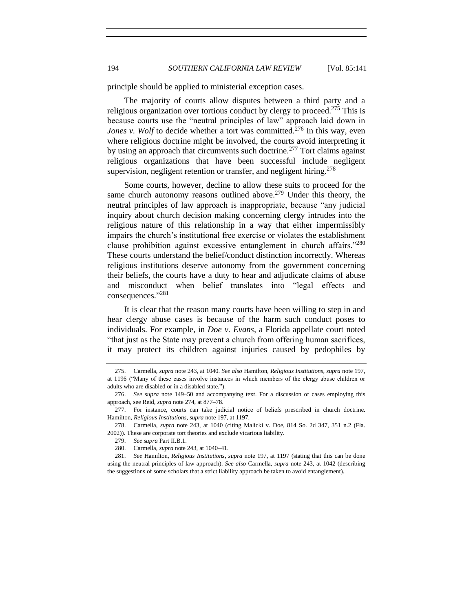principle should be applied to ministerial exception cases.

The majority of courts allow disputes between a third party and a religious organization over tortious conduct by clergy to proceed.<sup>275</sup> This is because courts use the "neutral principles of law" approach laid down in *Jones v. Wolf* to decide whether a tort was committed.<sup>276</sup> In this way, even where religious doctrine might be involved, the courts avoid interpreting it by using an approach that circumvents such doctrine.<sup>277</sup> Tort claims against religious organizations that have been successful include negligent supervision, negligent retention or transfer, and negligent hiring.<sup>278</sup>

Some courts, however, decline to allow these suits to proceed for the same church autonomy reasons outlined above.<sup>279</sup> Under this theory, the neutral principles of law approach is inappropriate, because "any judicial inquiry about church decision making concerning clergy intrudes into the religious nature of this relationship in a way that either impermissibly impairs the church's institutional free exercise or violates the establishment clause prohibition against excessive entanglement in church affairs."<sup>280</sup> These courts understand the belief/conduct distinction incorrectly. Whereas religious institutions deserve autonomy from the government concerning their beliefs, the courts have a duty to hear and adjudicate claims of abuse and misconduct when belief translates into "legal effects and consequences." 281

It is clear that the reason many courts have been willing to step in and hear clergy abuse cases is because of the harm such conduct poses to individuals. For example, in *Doe v. Evans*, a Florida appellate court noted "that just as the State may prevent a church from offering human sacrifices, it may protect its children against injuries caused by pedophiles by

<sup>275.</sup> Carmella, *supra* note [243,](#page-45-1) at 1040. *See also* Hamilton, *Religious Institutions*, *supra* note [197,](#page-36-1)  at 1196 ("Many of these cases involve instances in which members of the clergy abuse children or adults who are disabled or in a disabled state.").

<sup>276.</sup> *See supra* note [149](#page-27-4)[–50](#page-27-3) and accompanying text. For a discussion of cases employing this approach, see Reid, *supra* not[e 274,](#page-52-1) at 877–78.

<sup>277.</sup> For instance, courts can take judicial notice of beliefs prescribed in church doctrine. Hamilton, *Religious Institutions*, *supra* not[e 197,](#page-36-1) at 1197.

<sup>278.</sup> Carmella, *supra* note [243,](#page-45-1) at 1040 (citing Malicki v. Doe, 814 So. 2d 347, 351 n.2 (Fla. 2002)). These are corporate tort theories and exclude vicarious liability.

<sup>279.</sup> *See supra* Part II.B.1.

<sup>280.</sup> Carmella, *supra* not[e 243,](#page-45-1) at 1040–41.

<sup>281.</sup> *See* Hamilton, *Religious Institutions*, *supra* note [197,](#page-36-1) at 1197 (stating that this can be done using the neutral principles of law approach). *See also* Carmella, *supra* note [243,](#page-45-1) at 1042 (describing the suggestions of some scholars that a strict liability approach be taken to avoid entanglement).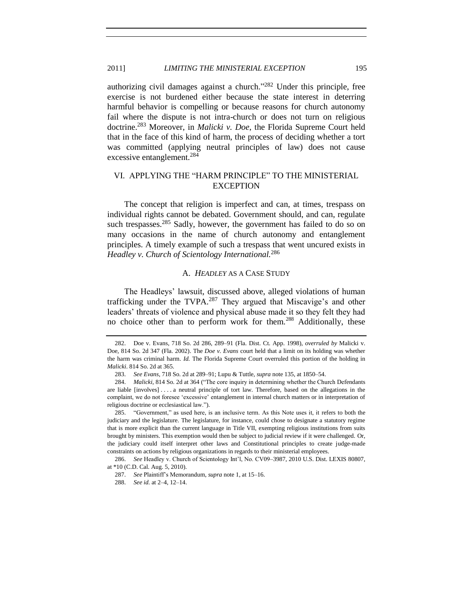# 2011] *LIMITING THE MINISTERIAL EXCEPTION* 195

authorizing civil damages against a church." <sup>282</sup> Under this principle, free exercise is not burdened either because the state interest in deterring harmful behavior is compelling or because reasons for church autonomy fail where the dispute is not intra-church or does not turn on religious doctrine.<sup>283</sup> Moreover, in *Malicki v. Doe*, the Florida Supreme Court held that in the face of this kind of harm, the process of deciding whether a tort was committed (applying neutral principles of law) does not cause excessive entanglement.<sup>284</sup>

# <span id="page-54-0"></span>VI. APPLYING THE "HARM PRINCIPLE" TO THE MINISTERIAL **EXCEPTION**

The concept that religion is imperfect and can, at times, trespass on individual rights cannot be debated. Government should, and can, regulate such trespasses.<sup>285</sup> Sadly, however, the government has failed to do so on many occasions in the name of church autonomy and entanglement principles. A timely example of such a trespass that went uncured exists in *Headley v. Church of Scientology International.*<sup>286</sup>

# <span id="page-54-3"></span><span id="page-54-2"></span>A. *HEADLEY* AS A CASE STUDY

<span id="page-54-1"></span>The Headleys' lawsuit, discussed above, alleged violations of human trafficking under the TVPA. $^{287}$  They argued that Miscavige's and other leaders' threats of violence and physical abuse made it so they felt they had no choice other than to perform work for them.<sup>288</sup> Additionally, these

<sup>282.</sup> Doe v. Evans, 718 So. 2d 286, 289–91 (Fla. Dist. Ct. App. 1998), *overruled by* Malicki v. Doe, 814 So. 2d 347 (Fla. 2002). The *Doe v. Evans* court held that a limit on its holding was whether the harm was criminal harm. *Id.* The Florida Supreme Court overruled this portion of the holding in *Malicki*. 814 So. 2d at 365.

<sup>283.</sup> *See Evans*, 718 So. 2d at 289–91; Lupu & Tuttle, *supra* not[e 135,](#page-24-0) at 1850–54.

<sup>284.</sup> *Malicki*, 814 So. 2d at 364 ("The core inquiry in determining whether the Church Defendants are liable [involves] . . . . a neutral principle of tort law. Therefore, based on the allegations in the complaint, we do not foresee 'excessive' entanglement in internal church matters or in interpretation of religious doctrine or ecclesiastical law.").

<sup>285.</sup> "Government," as used here, is an inclusive term. As this Note uses it, it refers to both the judiciary and the legislature. The legislature, for instance, could chose to designate a statutory regime that is more explicit than the current language in Title VII, exempting religious institutions from suits brought by ministers. This exemption would then be subject to judicial review if it were challenged. Or, the judiciary could itself interpret other laws and Constitutional principles to create judge-made constraints on actions by religious organizations in regards to their ministerial employees.

<sup>286.</sup> *See* Headley v. Church of Scientology Int'l, No. CV09–3987, 2010 U.S. Dist. LEXIS 80807, at \*10 (C.D. Cal. Aug. 5, 2010).

<sup>287.</sup> *See* Plaintiff's Memorandum, *supra* not[e 1,](#page-2-2) at 15–16.

<sup>288.</sup> *See id.* at 2–4, 12–14.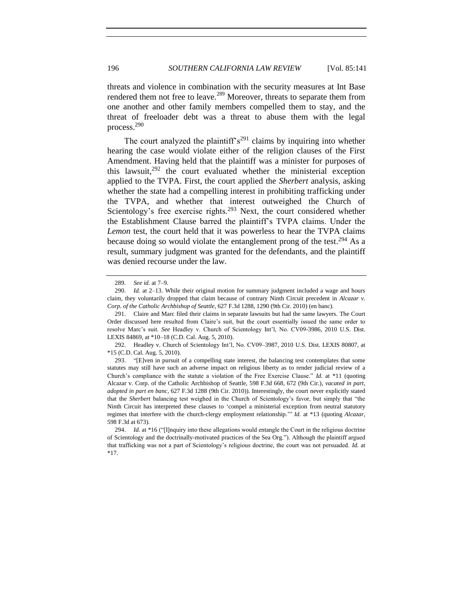threats and violence in combination with the security measures at Int Base rendered them not free to leave.<sup>289</sup> Moreover, threats to separate them from one another and other family members compelled them to stay, and the threat of freeloader debt was a threat to abuse them with the legal process.<sup>290</sup>

The court analyzed the plaintiff's<sup>291</sup> claims by inquiring into whether hearing the case would violate either of the religion clauses of the First Amendment. Having held that the plaintiff was a minister for purposes of this lawsuit, $292$  the court evaluated whether the ministerial exception applied to the TVPA. First, the court applied the *Sherbert* analysis, asking whether the state had a compelling interest in prohibiting trafficking under the TVPA, and whether that interest outweighed the Church of Scientology's free exercise rights.<sup>293</sup> Next, the court considered whether the Establishment Clause barred the plaintiff's TVPA claims. Under the *Lemon* test, the court held that it was powerless to hear the TVPA claims because doing so would violate the entanglement prong of the test.<sup>294</sup> As a result, summary judgment was granted for the defendants, and the plaintiff was denied recourse under the law.

<span id="page-55-1"></span><span id="page-55-0"></span><sup>289.</sup> *See id.* at 7–9.

<sup>290.</sup> *Id.* at 2-13. While their original motion for summary judgment included a wage and hours claim, they voluntarily dropped that claim because of contrary Ninth Circuit precedent in *Alcazar v. Corp. of the Catholic Archbishop of Seattle*, 627 F.3d 1288, 1290 (9th Cir. 2010) (en banc).

<sup>291.</sup> Claire and Marc filed their claims in separate lawsuits but had the same lawyers. The Court Order discussed here resulted from Claire's suit, but the court essentially issued the same order to resolve Marc's suit. *See* Headley v. Church of Scientology Int'l, No. CV09-3986, 2010 U.S. Dist. LEXIS 84869, at \*10–18 (C.D. Cal. Aug. 5, 2010).

<sup>292.</sup> Headley v. Church of Scientology Int'l, No. CV09–3987, 2010 U.S. Dist. LEXIS 80807, at \*15 (C.D. Cal. Aug. 5, 2010).

<sup>293.</sup> "[E]ven in pursuit of a compelling state interest, the balancing test contemplates that some statutes may still have such an adverse impact on religious liberty as to render judicial review of a Church's compliance with the statute a violation of the Free Exercise Clause." *Id.* at \*11 (quoting Alcazar v. Corp. of the Catholic Archbishop of Seattle, 598 F.3d 668, 672 (9th Cir.), *vacated in part, adopted in part en banc*, 627 F.3d 1288 (9th Cir. 2010)). Interestingly, the court never explicitly stated that the *Sherbert* balancing test weighed in the Church of Scientology's favor, but simply that "the Ninth Circuit has interpreted these clauses to 'compel a ministerial exception from neutral statutory regimes that interfere with the church-clergy employment relationship.'" *Id.* at \*13 (quoting *Alcazar*, 598 F.3d at 673).

<sup>294.</sup> *Id.* at \*16 ("[I]nquiry into these allegations would entangle the Court in the religious doctrine of Scientology and the doctrinally-motivated practices of the Sea Org."). Although the plaintiff argued that trafficking was not a part of Scientology's religious doctrine, the court was not persuaded. *Id.* at \*17.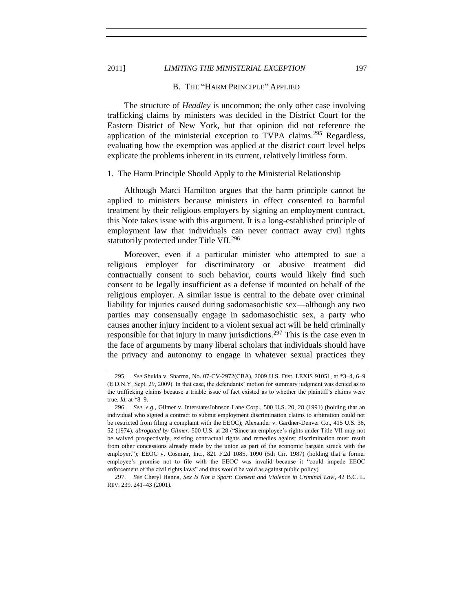# 2011] *LIMITING THE MINISTERIAL EXCEPTION* 197

#### <span id="page-56-2"></span>B. THE "HARM PRINCIPLE" APPLIED

The structure of *Headley* is uncommon; the only other case involving trafficking claims by ministers was decided in the District Court for the Eastern District of New York, but that opinion did not reference the application of the ministerial exception to TVPA claims.<sup>295</sup> Regardless, evaluating how the exemption was applied at the district court level helps explicate the problems inherent in its current, relatively limitless form.

# <span id="page-56-1"></span>1. The Harm Principle Should Apply to the Ministerial Relationship

Although Marci Hamilton argues that the harm principle cannot be applied to ministers because ministers in effect consented to harmful treatment by their religious employers by signing an employment contract, this Note takes issue with this argument. It is a long-established principle of employment law that individuals can never contract away civil rights statutorily protected under Title VII.<sup>296</sup>

Moreover, even if a particular minister who attempted to sue a religious employer for discriminatory or abusive treatment did contractually consent to such behavior, courts would likely find such consent to be legally insufficient as a defense if mounted on behalf of the religious employer. A similar issue is central to the debate over criminal liability for injuries caused during sadomasochistic sex—although any two parties may consensually engage in sadomasochistic sex, a party who causes another injury incident to a violent sexual act will be held criminally responsible for that injury in many jurisdictions.<sup>297</sup> This is the case even in the face of arguments by many liberal scholars that individuals should have the privacy and autonomy to engage in whatever sexual practices they

<span id="page-56-0"></span>

<sup>295.</sup> *See* Shukla v. Sharma, No. 07-CV-2972(CBA), 2009 U.S. Dist. LEXIS 91051, at \*3–4, 6–9 (E.D.N.Y. Sept. 29, 2009). In that case, the defendants' motion for summary judgment was denied as to the trafficking claims because a triable issue of fact existed as to whether the plaintiff's claims were true. *Id.* at \*8–9.

<sup>296.</sup> *See, e.g.*, Gilmer v. Interstate/Johnson Lane Corp., 500 U.S. 20, 28 (1991) (holding that an individual who signed a contract to submit employment discrimination claims to arbitration could not be restricted from filing a complaint with the EEOC); Alexander v. Gardner-Denver Co., 415 U.S. 36, 52 (1974), *abrogated by Gilmer*, 500 U.S. at 28 ("Since an employee's rights under Title VII may not be waived prospectively, existing contractual rights and remedies against discrimination must result from other concessions already made by the union as part of the economic bargain struck with the employer."); EEOC v. Cosmair, Inc., 821 F.2d 1085, 1090 (5th Cir. 1987) (holding that a former employee's promise not to file with the EEOC was invalid because it "could impede EEOC enforcement of the civil rights laws" and thus would be void as against public policy).

<sup>297.</sup> *See* Cheryl Hanna, *Sex Is Not a Sport: Consent and Violence in Criminal Law*, 42 B.C. L. REV. 239, 241–43 (2001).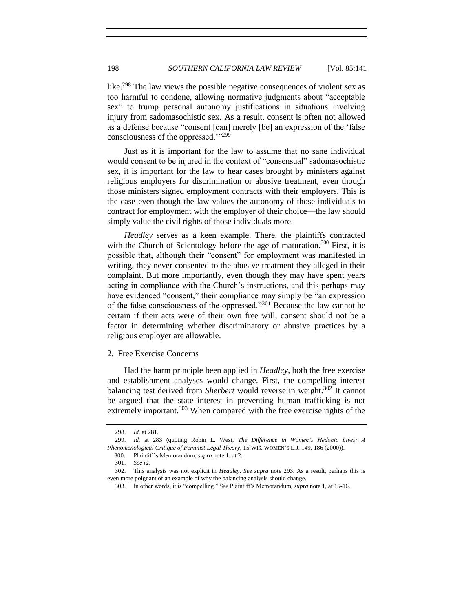like.<sup>298</sup> The law views the possible negative consequences of violent sex as too harmful to condone, allowing normative judgments about "acceptable sex" to trump personal autonomy justifications in situations involving injury from sadomasochistic sex. As a result, consent is often not allowed as a defense because "consent [can] merely [be] an expression of the 'false consciousness of the oppressed."<sup>299</sup>

Just as it is important for the law to assume that no sane individual would consent to be injured in the context of "consensual" sadomasochistic sex, it is important for the law to hear cases brought by ministers against religious employers for discrimination or abusive treatment, even though those ministers signed employment contracts with their employers. This is the case even though the law values the autonomy of those individuals to contract for employment with the employer of their choice—the law should simply value the civil rights of those individuals more.

*Headley* serves as a keen example. There, the plaintiffs contracted with the Church of Scientology before the age of maturation.<sup>300</sup> First, it is possible that, although their "consent" for employment was manifested in writing, they never consented to the abusive treatment they alleged in their complaint. But more importantly, even though they may have spent years acting in compliance with the Church's instructions, and this perhaps may have evidenced "consent," their compliance may simply be "an expression of the false consciousness of the oppressed."<sup>301</sup> Because the law cannot be certain if their acts were of their own free will, consent should not be a factor in determining whether discriminatory or abusive practices by a religious employer are allowable.

# <span id="page-57-0"></span>2. Free Exercise Concerns

Had the harm principle been applied in *Headley*, both the free exercise and establishment analyses would change. First, the compelling interest balancing test derived from *Sherbert* would reverse in weight.<sup>302</sup> It cannot be argued that the state interest in preventing human trafficking is not extremely important.<sup>303</sup> When compared with the free exercise rights of the

<sup>298.</sup> *Id.* at 281.

<sup>299.</sup> *Id.* at 283 (quoting Robin L. West, *The Difference in Women's Hedonic Lives: A Phenomenological Critique of Feminist Legal Theory*, 15 WIS. WOMEN'S L.J. 149, 186 (2000)).

<sup>300.</sup> Plaintiff's Memorandum, *supra* not[e 1,](#page-2-2) at 2.

<sup>301.</sup> *See id.*

<sup>302.</sup> This analysis was not explicit in *Headley*. *See supra* note [293.](#page-55-1) As a result, perhaps this is even more poignant of an example of why the balancing analysis should change.

<sup>303.</sup> In other words, it is "compelling." *See* Plaintiff's Memorandum, *supra* not[e 1,](#page-2-2) at 15-16.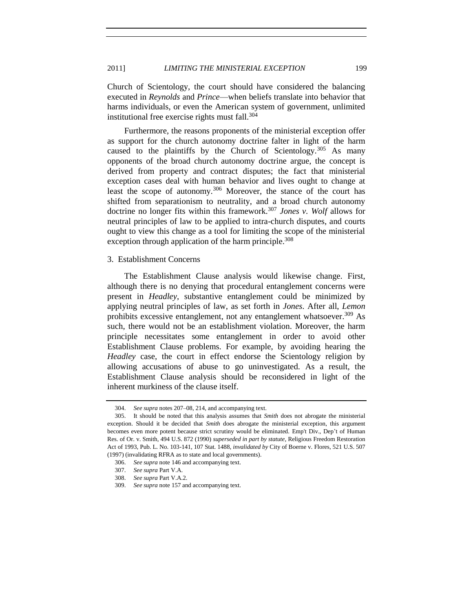Church of Scientology, the court should have considered the balancing executed in *Reynolds* and *Prince*—when beliefs translate into behavior that harms individuals, or even the American system of government, unlimited institutional free exercise rights must fall.<sup>304</sup>

Furthermore, the reasons proponents of the ministerial exception offer as support for the church autonomy doctrine falter in light of the harm caused to the plaintiffs by the Church of Scientology.<sup>305</sup> As many opponents of the broad church autonomy doctrine argue, the concept is derived from property and contract disputes; the fact that ministerial exception cases deal with human behavior and lives ought to change at least the scope of autonomy.<sup>306</sup> Moreover, the stance of the court has shifted from separationism to neutrality, and a broad church autonomy doctrine no longer fits within this framework.<sup>307</sup> *Jones v. Wolf* allows for neutral principles of law to be applied to intra-church disputes, and courts ought to view this change as a tool for limiting the scope of the ministerial exception through application of the harm principle.<sup>308</sup>

# <span id="page-58-0"></span>3. Establishment Concerns

The Establishment Clause analysis would likewise change. First, although there is no denying that procedural entanglement concerns were present in *Headley*, substantive entanglement could be minimized by applying neutral principles of law, as set forth in *Jones*. After all, *Lemon* prohibits excessive entanglement, not any entanglement whatsoever.<sup>309</sup> As such, there would not be an establishment violation. Moreover, the harm principle necessitates some entanglement in order to avoid other Establishment Clause problems. For example, by avoiding hearing the *Headley* case, the court in effect endorse the Scientology religion by allowing accusations of abuse to go uninvestigated. As a result, the Establishment Clause analysis should be reconsidered in light of the inherent murkiness of the clause itself.

<sup>304.</sup> *See supra* note[s 207](#page-38-2)[–08,](#page-38-0) [214,](#page-39-1) and accompanying text.

<sup>305.</sup> It should be noted that this analysis assumes that *Smith* does not abrogate the ministerial exception. Should it be decided that *Smith* does abrogate the ministerial exception, this argument becomes even more potent because strict scrutiny would be eliminated. Emp't Div., Dep't of Human Res. of Or. v. Smith, 494 U.S. 872 (1990) *superseded in part by statute*, Religious Freedom Restoration Act of 1993, Pub. L. No. 103-141, 107 Stat. 1488, *invalidated by* City of Boerne v. Flores, 521 U.S. 507 (1997) (invalidating RFRA as to state and local governments).

<sup>306.</sup> *See supra* not[e 146](#page-27-5) and accompanying text.

<sup>307.</sup> *See supra* Part V.A.

<sup>308.</sup> *See supra* Part V.A.2.

<sup>309.</sup> *See supra* not[e 157](#page-28-0) and accompanying text.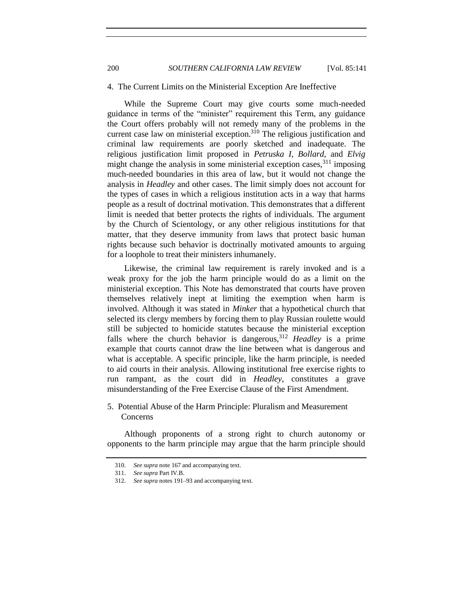200 *SOUTHERN CALIFORNIA LAW REVIEW* [Vol. 85:141

#### <span id="page-59-0"></span>4. The Current Limits on the Ministerial Exception Are Ineffective

While the Supreme Court may give courts some much-needed guidance in terms of the "minister" requirement this Term, any guidance the Court offers probably will not remedy many of the problems in the current case law on ministerial exception.<sup>310</sup> The religious justification and criminal law requirements are poorly sketched and inadequate. The religious justification limit proposed in *Petruska I*, *Bollard*, and *Elvig* might change the analysis in some ministerial exception cases,  $311$  imposing much-needed boundaries in this area of law, but it would not change the analysis in *Headley* and other cases. The limit simply does not account for the types of cases in which a religious institution acts in a way that harms people as a result of doctrinal motivation. This demonstrates that a different limit is needed that better protects the rights of individuals. The argument by the Church of Scientology, or any other religious institutions for that matter, that they deserve immunity from laws that protect basic human rights because such behavior is doctrinally motivated amounts to arguing for a loophole to treat their ministers inhumanely.

Likewise, the criminal law requirement is rarely invoked and is a weak proxy for the job the harm principle would do as a limit on the ministerial exception. This Note has demonstrated that courts have proven themselves relatively inept at limiting the exemption when harm is involved. Although it was stated in *Minker* that a hypothetical church that selected its clergy members by forcing them to play Russian roulette would still be subjected to homicide statutes because the ministerial exception falls where the church behavior is dangerous,<sup>312</sup> *Headley* is a prime example that courts cannot draw the line between what is dangerous and what is acceptable. A specific principle, like the harm principle, is needed to aid courts in their analysis. Allowing institutional free exercise rights to run rampant, as the court did in *Headley*, constitutes a grave misunderstanding of the Free Exercise Clause of the First Amendment.

<span id="page-59-1"></span>5. Potential Abuse of the Harm Principle: Pluralism and Measurement Concerns

Although proponents of a strong right to church autonomy or opponents to the harm principle may argue that the harm principle should

<sup>310.</sup> *See supra* note [167](#page-31-3) and accompanying text.

<sup>311.</sup> *See supra* Part IV.B.

<sup>312.</sup> *See supra* note[s 191](#page-35-2)[–93](#page-35-3) and accompanying text.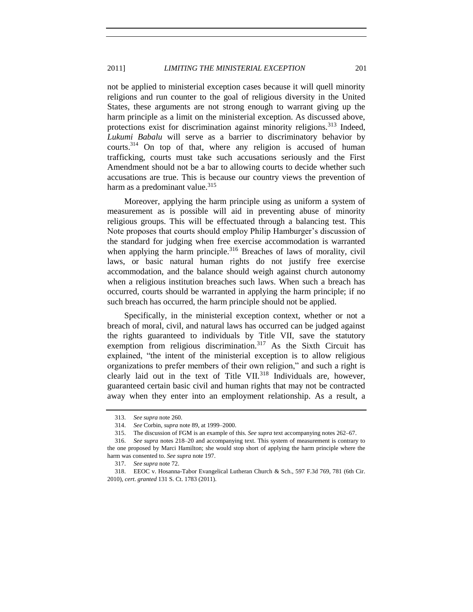not be applied to ministerial exception cases because it will quell minority religions and run counter to the goal of religious diversity in the United States, these arguments are not strong enough to warrant giving up the harm principle as a limit on the ministerial exception. As discussed above, protections exist for discrimination against minority religions.<sup>313</sup> Indeed, *Lukumi Babalu* will serve as a barrier to discriminatory behavior by courts.<sup>314</sup> On top of that, where any religion is accused of human trafficking, courts must take such accusations seriously and the First Amendment should not be a bar to allowing courts to decide whether such accusations are true. This is because our country views the prevention of harm as a predominant value. $315$ 

Moreover, applying the harm principle using as uniform a system of measurement as is possible will aid in preventing abuse of minority religious groups. This will be effectuated through a balancing test. This Note proposes that courts should employ Philip Hamburger's discussion of the standard for judging when free exercise accommodation is warranted when applying the harm principle.<sup>316</sup> Breaches of laws of morality, civil laws, or basic natural human rights do not justify free exercise accommodation, and the balance should weigh against church autonomy when a religious institution breaches such laws. When such a breach has occurred, courts should be warranted in applying the harm principle; if no such breach has occurred, the harm principle should not be applied.

Specifically, in the ministerial exception context, whether or not a breach of moral, civil, and natural laws has occurred can be judged against the rights guaranteed to individuals by Title VII, save the statutory exemption from religious discrimination.<sup>317</sup> As the Sixth Circuit has explained, "the intent of the ministerial exception is to allow religious organizations to prefer members of their own religion," and such a right is clearly laid out in the text of Title VII.<sup>318</sup> Individuals are, however, guaranteed certain basic civil and human rights that may not be contracted away when they enter into an employment relationship. As a result, a

<sup>313.</sup> *See supra* not[e 260.](#page-49-0)

<sup>314.</sup> *See* Corbin, *supra* not[e 89,](#page-16-2) at 1999–2000.

<sup>315.</sup> The discussion of FGM is an example of this. *See supra* text accompanying notes [262–](#page-50-0)[67.](#page-51-1)

<sup>316.</sup> *See supra* notes [218–](#page-40-3)[20](#page-41-1) and accompanying text. This system of measurement is contrary to the one proposed by Marci Hamilton; she would stop short of applying the harm principle where the harm was consented to. *See supra* not[e 197.](#page-36-1)

<sup>317.</sup> *See supra* not[e 72.](#page-13-1)

<sup>318.</sup> EEOC v. Hosanna-Tabor Evangelical Lutheran Church & Sch., 597 F.3d 769, 781 (6th Cir. 2010), *cert*. *granted* 131 S. Ct. 1783 (2011).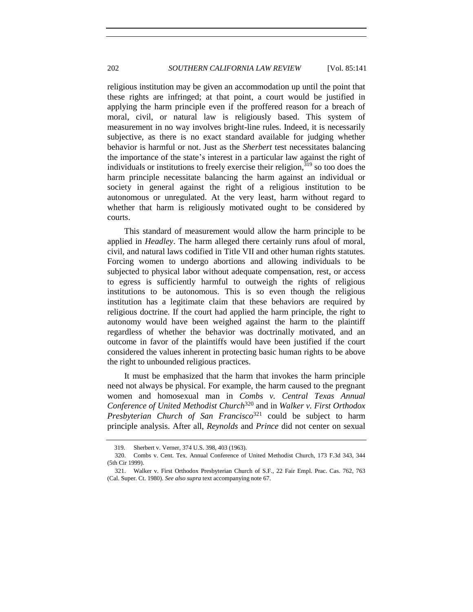religious institution may be given an accommodation up until the point that these rights are infringed; at that point, a court would be justified in applying the harm principle even if the proffered reason for a breach of moral, civil, or natural law is religiously based. This system of measurement in no way involves bright-line rules. Indeed, it is necessarily subjective, as there is no exact standard available for judging whether behavior is harmful or not. Just as the *Sherbert* test necessitates balancing the importance of the state's interest in a particular law against the right of individuals or institutions to freely exercise their religion,  $319$  so too does the harm principle necessitate balancing the harm against an individual or society in general against the right of a religious institution to be autonomous or unregulated. At the very least, harm without regard to whether that harm is religiously motivated ought to be considered by courts.

This standard of measurement would allow the harm principle to be applied in *Headley*. The harm alleged there certainly runs afoul of moral, civil, and natural laws codified in Title VII and other human rights statutes. Forcing women to undergo abortions and allowing individuals to be subjected to physical labor without adequate compensation, rest, or access to egress is sufficiently harmful to outweigh the rights of religious institutions to be autonomous. This is so even though the religious institution has a legitimate claim that these behaviors are required by religious doctrine. If the court had applied the harm principle, the right to autonomy would have been weighed against the harm to the plaintiff regardless of whether the behavior was doctrinally motivated, and an outcome in favor of the plaintiffs would have been justified if the court considered the values inherent in protecting basic human rights to be above the right to unbounded religious practices.

It must be emphasized that the harm that invokes the harm principle need not always be physical. For example, the harm caused to the pregnant women and homosexual man in *Combs v. Central Texas Annual Conference of United Methodist Church*<sup>320</sup> and in *Walker v. First Orthodox Presbyterian Church of San Francisco*<sup>321</sup> could be subject to harm principle analysis. After all, *Reynolds* and *Prince* did not center on sexual

<sup>319.</sup> Sherbert v. Verner, 374 U.S. 398, 403 (1963).

<sup>320.</sup> Combs v. Cent. Tex. Annual Conference of United Methodist Church, 173 F.3d 343, 344 (5th Cir 1999).

<sup>321.</sup> Walker v. First Orthodox Presbyterian Church of S.F., 22 Fair Empl. Prac. Cas. 762, 763 (Cal. Super. Ct. 1980). *See also supra* text accompanying not[e 67.](#page-11-0)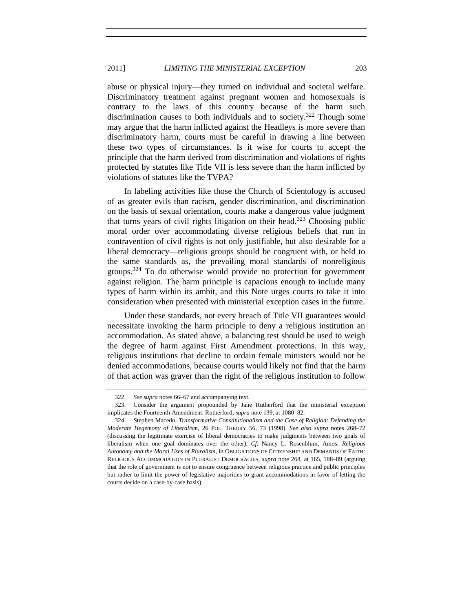# 2011] *LIMITING THE MINISTERIAL EXCEPTION* 203

abuse or physical injury—they turned on individual and societal welfare. Discriminatory treatment against pregnant women and homosexuals is contrary to the laws of this country because of the harm such discrimination causes to both individuals and to society.<sup>322</sup> Though some may argue that the harm inflicted against the Headleys is more severe than discriminatory harm, courts must be careful in drawing a line between these two types of circumstances. Is it wise for courts to accept the principle that the harm derived from discrimination and violations of rights protected by statutes like Title VII is less severe than the harm inflicted by violations of statutes like the TVPA?

In labeling activities like those the Church of Scientology is accused of as greater evils than racism, gender discrimination, and discrimination on the basis of sexual orientation, courts make a dangerous value judgment that turns years of civil rights litigation on their head.<sup>323</sup> Choosing public moral order over accommodating diverse religious beliefs that run in contravention of civil rights is not only justifiable, but also desirable for a liberal democracy—religious groups should be congruent with, or held to the same standards as, the prevailing moral standards of nonreligious groups.<sup>324</sup> To do otherwise would provide no protection for government against religion. The harm principle is capacious enough to include many types of harm within its ambit, and this Note urges courts to take it into consideration when presented with ministerial exception cases in the future.

Under these standards, not every breach of Title VII guarantees would necessitate invoking the harm principle to deny a religious institution an accommodation. As stated above, a balancing test should be used to weigh the degree of harm against First Amendment protections. In this way, religious institutions that decline to ordain female ministers would not be denied accommodations, because courts would likely not find that the harm of that action was graver than the right of the religious institution to follow

<sup>322.</sup> *See supra* note[s 66](#page-11-1)[–67](#page-11-0) and accompanying text.

<sup>323.</sup> Consider the argument propounded by Jane Rutherford that the ministerial exception implicates the Fourteenth Amendment. Rutherford, *supra* not[e 139,](#page-26-3) at 1080–82.

<sup>324.</sup> Stephen Macedo, *Transformative Constitutionalism and the Case of Religion: Defending the Moderate Hegemony of Liberalism*, 26 POL. THEORY 56, 73 (1998). *See also supra* notes [268](#page-51-0)[–72](#page-52-2) (discussing the legitimate exercise of liberal democracies to make judgments between two goals of liberalism when one goal dominates over the other). *Cf.* Nancy L. Rosenblum, Amos: *Religious Autonomy and the Moral Uses of Pluralism*, in OBLIGATIONS OF CITIZENSHIP AND DEMANDS OF FAITH: RELIGIOUS ACCOMMODATION IN PLURALIST DEMOCRACIES, *supra* note [268,](#page-51-0) at 165, 188–89 (arguing that the role of government is not to ensure congruence between religious practice and public principles but rather to limit the power of legislative majorities to grant accommodations in favor of letting the courts decide on a case-by-case basis).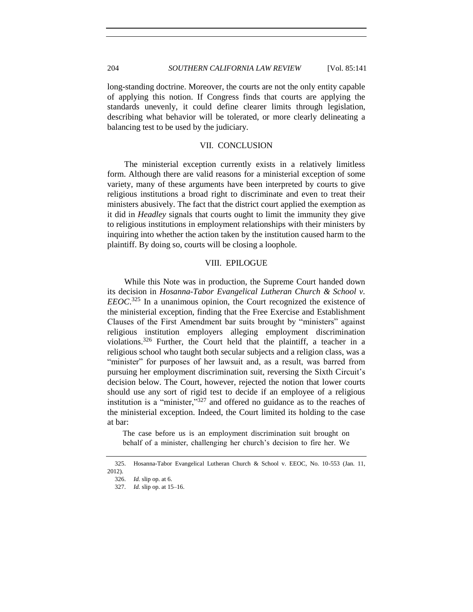long-standing doctrine. Moreover, the courts are not the only entity capable of applying this notion. If Congress finds that courts are applying the standards unevenly, it could define clearer limits through legislation, describing what behavior will be tolerated, or more clearly delineating a balancing test to be used by the judiciary.

# VII. CONCLUSION

<span id="page-63-0"></span>The ministerial exception currently exists in a relatively limitless form. Although there are valid reasons for a ministerial exception of some variety, many of these arguments have been interpreted by courts to give religious institutions a broad right to discriminate and even to treat their ministers abusively. The fact that the district court applied the exemption as it did in *Headley* signals that courts ought to limit the immunity they give to religious institutions in employment relationships with their ministers by inquiring into whether the action taken by the institution caused harm to the plaintiff. By doing so, courts will be closing a loophole.

# VIII. EPILOGUE

<span id="page-63-1"></span>While this Note was in production, the Supreme Court handed down its decision in *Hosanna-Tabor Evangelical Lutheran Church & School v. EEOC*. <sup>325</sup> In a unanimous opinion, the Court recognized the existence of the ministerial exception, finding that the Free Exercise and Establishment Clauses of the First Amendment bar suits brought by "ministers" against religious institution employers alleging employment discrimination violations.<sup>326</sup> Further, the Court held that the plaintiff, a teacher in a religious school who taught both secular subjects and a religion class, was a "minister" for purposes of her lawsuit and, as a result, was barred from pursuing her employment discrimination suit, reversing the Sixth Circuit's decision below. The Court, however, rejected the notion that lower courts should use any sort of rigid test to decide if an employee of a religious institution is a "minister,"<sup>327</sup> and offered no guidance as to the reaches of the ministerial exception. Indeed, the Court limited its holding to the case at bar:

The case before us is an employment discrimination suit brought on behalf of a minister, challenging her church's decision to fire her. We

<sup>325.</sup> Hosanna-Tabor Evangelical Lutheran Church & School v. EEOC, No. 10-553 (Jan. 11, 2012).

<sup>326.</sup> *Id.* slip op. at 6.

<sup>327.</sup> *Id.* slip op. at 15–16.